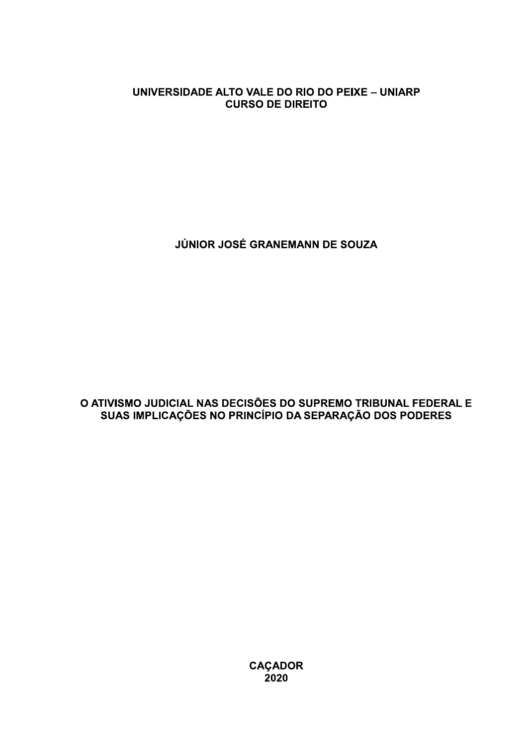## UNIVERSIDADE ALTO VALE DO RIO DO PEIXE - UNIARP **CURSO DE DIREITO**

JÚNIOR JOSÉ GRANEMANN DE SOUZA

O ATIVISMO JUDICIAL NAS DECISÕES DO SUPREMO TRIBUNAL FEDERAL E SUAS IMPLICAÇÕES NO PRINCÍPIO DA SEPARAÇÃO DOS PODERES

CAÇADOR<br>2020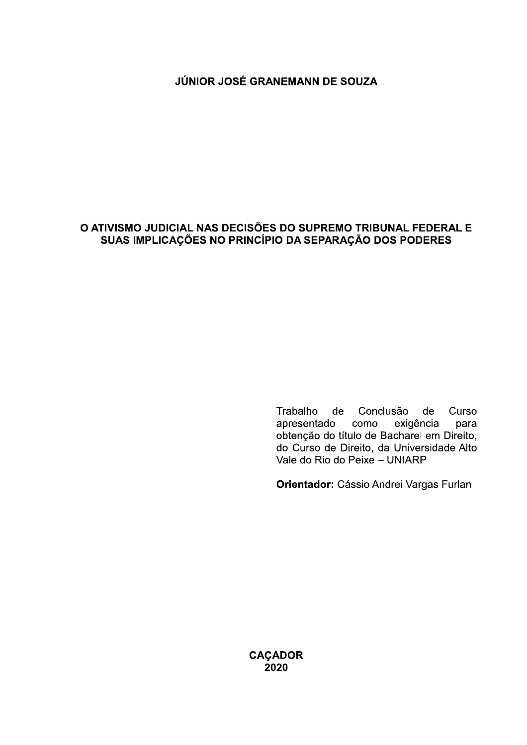## JÚNIOR JOSÉ GRANEMANN DE SOUZA

## O ATIVISMO JUDICIAL NAS DECISÕES DO SUPREMO TRIBUNAL FEDERAL E SUAS IMPLICAÇÕES NO PRINCÍPIO DA SEPARAÇÃO DOS PODERES

Trabalho de Conclusão de Curso apresentado exigência como para obtenção do título de Bacharel em Direito, do Curso de Direito, da Universidade Alto Vale do Rio do Peixe - UNIARP

Orientador: Cássio Andrei Vargas Furlan

**CAÇADOR** 2020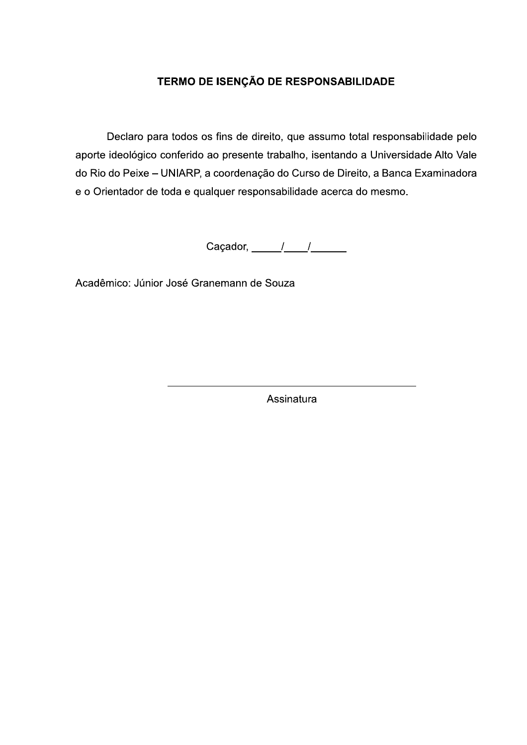## TERMO DE ISENÇÃO DE RESPONSABILIDADE

Declaro para todos os fins de direito, que assumo total responsabilidade pelo aporte ideológico conferido ao presente trabalho, isentando a Universidade Alto Vale do Rio do Peixe - UNIARP, a coordenação do Curso de Direito, a Banca Examinadora e o Orientador de toda e qualquer responsabilidade acerca do mesmo.

Caçador,  $\frac{1}{\sqrt{1-\frac{1}{2}}}$ 

Acadêmico: Júnior José Granemann de Souza

Assinatura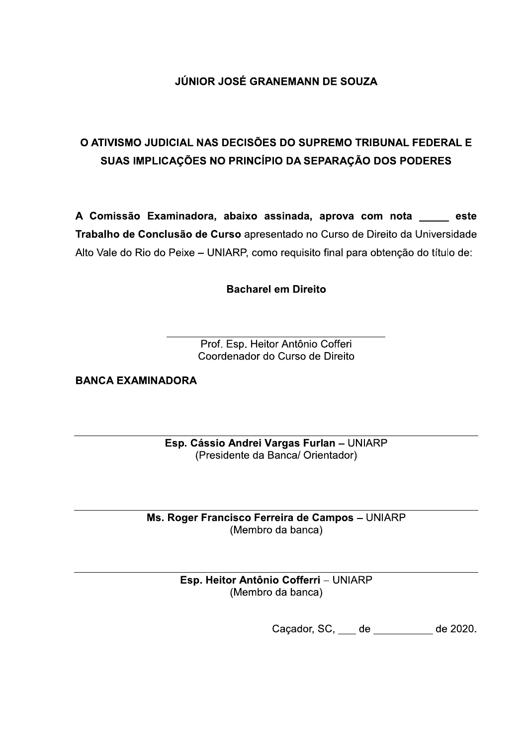# JÚNIOR JOSÉ GRANEMANN DE SOUZA

# O ATIVISMO JUDICIAL NAS DECISÕES DO SUPREMO TRIBUNAL FEDERAL E SUAS IMPLICAÇÕES NO PRINCÍPIO DA SEPARAÇÃO DOS PODERES

A Comissão Examinadora, abaixo assinada, aprova com nota este Trabalho de Conclusão de Curso apresentado no Curso de Direito da Universidade Alto Vale do Rio do Peixe - UNIARP, como requisito final para obtenção do título de:

**Bacharel em Direito** 

Prof. Esp. Heitor Antônio Cofferi Coordenador do Curso de Direito

**BANCA EXAMINADORA** 

Esp. Cássio Andrei Vargas Furlan - UNIARP (Presidente da Banca/ Orientador)

Ms. Roger Francisco Ferreira de Campos - UNIARP (Membro da banca)

> Esp. Heitor Antônio Cofferri - UNIARP (Membro da banca)

> > Caçador, SC, de de de 2020.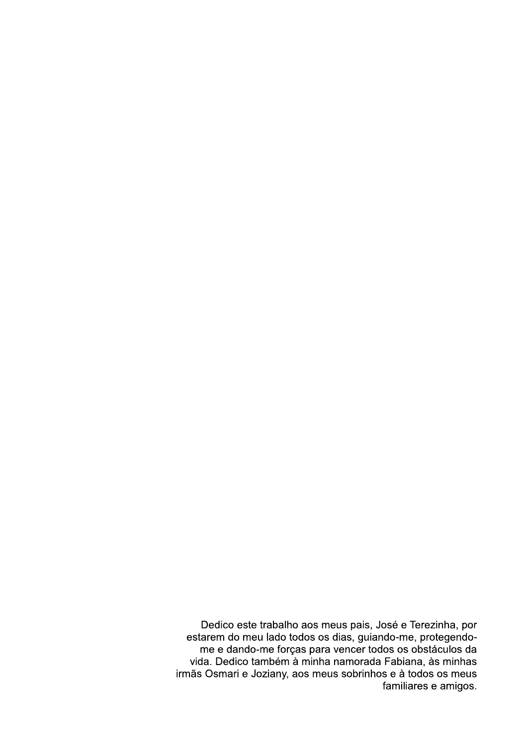Dedico este trabalho aos meus pais, José e Terezinha, por<br>estarem do meu lado todos os dias, guiando-me, protegendo-<br>me e dando-me forças para vencer todos os obstáculos da vida. Dedico também à minha namorada Fabiana, às minhas irmãs Osmari e Joziany, aos meus sobrinhos e à todos os meus familiares e amigos.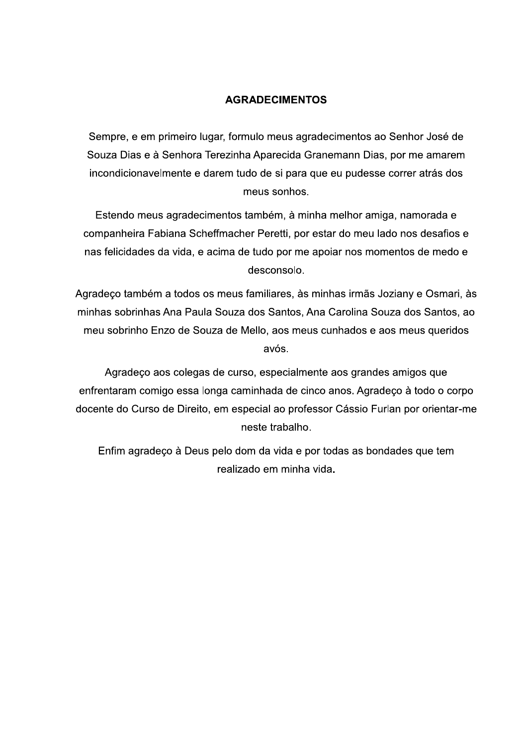## **AGRADECIMENTOS**

Sempre, e em primeiro lugar, formulo meus agradecimentos ao Senhor José de Souza Dias e à Senhora Terezinha Aparecida Granemann Dias, por me amarem incondicionavelmente e darem tudo de si para que eu pudesse correr atrás dos meus sonhos.

Estendo meus agradecimentos também, à minha melhor amiga, namorada e companheira Fabiana Scheffmacher Peretti, por estar do meu lado nos desafios e nas felicidades da vida, e acima de tudo por me apoiar nos momentos de medo e desconsolo.

Agradeço também a todos os meus familiares, às minhas irmãs Joziany e Osmari, às minhas sobrinhas Ana Paula Souza dos Santos, Ana Carolina Souza dos Santos, ao meu sobrinho Enzo de Souza de Mello, aos meus cunhados e aos meus queridos avós.

Agradeço aos colegas de curso, especialmente aos grandes amigos que enfrentaram comigo essa longa caminhada de cinco anos. Agradeço à todo o corpo docente do Curso de Direito, em especial ao professor Cássio Furlan por orientar-me neste trabalho.

Enfim agradeço à Deus pelo dom da vida e por todas as bondades que tem realizado em minha vida.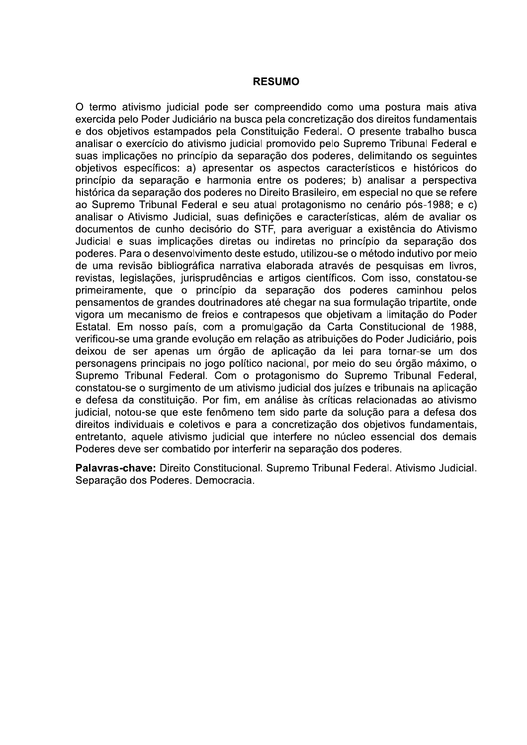#### **RESUMO**

O termo ativismo judicial pode ser compreendido como uma postura mais ativa exercida pelo Poder Judiciário na busca pela concretização dos direitos fundamentais e dos objetivos estampados pela Constituição Federal. O presente trabalho busca analisar o exercício do ativismo iudicial promovido pelo Supremo Tribunal Federal e suas implicações no princípio da separação dos poderes, delimitando os seguintes objetivos específicos: a) apresentar os aspectos característicos e históricos do princípio da separação e harmonia entre os poderes; b) analisar a perspectiva histórica da separação dos poderes no Direito Brasileiro, em especial no que se refere ao Supremo Tribunal Federal e seu atual protagonismo no cenário pós-1988; e c) analisar o Ativismo Judicial, suas definições e características, além de avaliar os documentos de cunho decisório do STF, para averiguar a existência do Ativismo Judicial e suas implicações diretas ou indiretas no princípio da separação dos poderes. Para o desenvolvimento deste estudo, utilizou-se o método indutivo por meio de uma revisão bibliográfica narrativa elaborada através de pesquisas em livros, revistas, legislações, jurisprudências e artigos científicos. Com isso, constatou-se primeiramente, que o princípio da separação dos poderes caminhou pelos pensamentos de grandes doutrinadores até chegar na sua formulação tripartite, onde vigora um mecanismo de freios e contrapesos que objetivam a limitação do Poder Estatal. Em nosso país, com a promulgação da Carta Constitucional de 1988, verificou-se uma grande evolução em relação as atribuições do Poder Judiciário, pois deixou de ser apenas um órgão de aplicação da lei para tornar-se um dos personagens principais no jogo político nacional, por meio do seu órgão máximo, o Supremo Tribunal Federal. Com o protagonismo do Supremo Tribunal Federal, constatou-se o surgimento de um ativismo judicial dos juízes e tribunais na aplicação e defesa da constituição. Por fim, em análise às críticas relacionadas ao ativismo judicial, notou-se que este fenômeno tem sido parte da solução para a defesa dos direitos individuais e coletivos e para a concretização dos objetivos fundamentais, entretanto, aquele ativismo judicial que interfere no núcleo essencial dos demais Poderes deve ser combatido por interferir na separação dos poderes.

Palavras-chave: Direito Constitucional. Supremo Tribunal Federal. Ativismo Judicial. Separação dos Poderes. Democracia.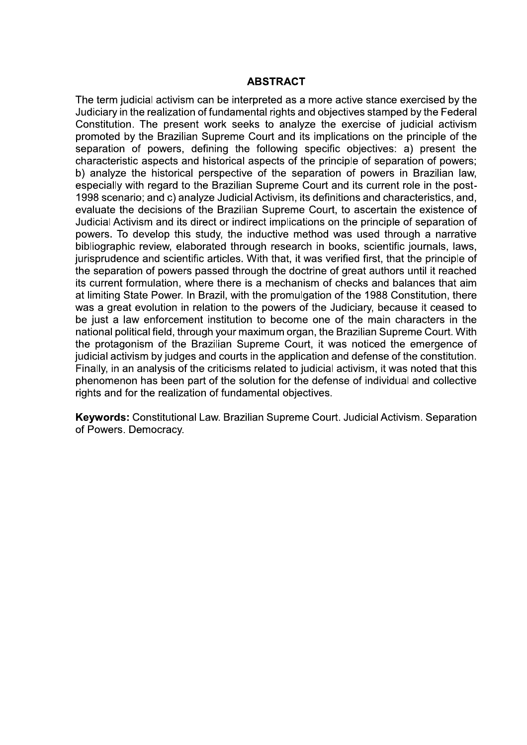#### **ABSTRACT**

The term judicial activism can be interpreted as a more active stance exercised by the Judiciary in the realization of fundamental rights and objectives stamped by the Federal Constitution. The present work seeks to analyze the exercise of judicial activism promoted by the Brazilian Supreme Court and its implications on the principle of the separation of powers, defining the following specific objectives: a) present the characteristic aspects and historical aspects of the principle of separation of powers: b) analyze the historical perspective of the separation of powers in Brazilian law, especially with regard to the Brazilian Supreme Court and its current role in the post-1998 scenario; and c) analyze Judicial Activism, its definitions and characteristics, and, evaluate the decisions of the Brazilian Supreme Court, to ascertain the existence of Judicial Activism and its direct or indirect implications on the principle of separation of powers. To develop this study, the inductive method was used through a narrative bibliographic review, elaborated through research in books, scientific journals, laws, jurisprudence and scientific articles. With that, it was verified first, that the principle of the separation of powers passed through the doctrine of great authors until it reached its current formulation, where there is a mechanism of checks and balances that aim at limiting State Power. In Brazil, with the promulgation of the 1988 Constitution, there was a great evolution in relation to the powers of the Judiciary, because it ceased to be just a law enforcement institution to become one of the main characters in the national political field, through your maximum organ, the Brazilian Supreme Court. With the protagonism of the Brazilian Supreme Court, it was noticed the emergence of judicial activism by judges and courts in the application and defense of the constitution. Finally, in an analysis of the criticisms related to judicial activism, it was noted that this phenomenon has been part of the solution for the defense of individual and collective rights and for the realization of fundamental objectives.

Keywords: Constitutional Law. Brazilian Supreme Court. Judicial Activism. Separation of Powers. Democracy.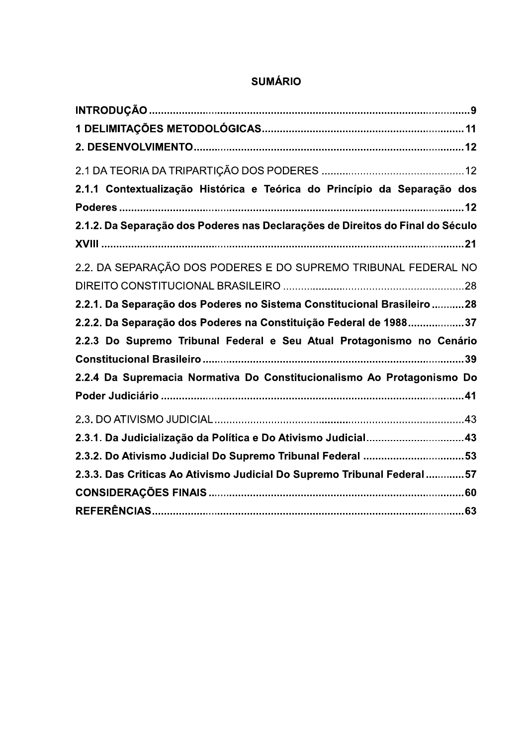| 2.1.1 Contextualização Histórica e Teórica do Princípio da Separação dos       |
|--------------------------------------------------------------------------------|
|                                                                                |
| 2.1.2. Da Separação dos Poderes nas Declarações de Direitos do Final do Século |
|                                                                                |
| 2.2. DA SEPARAÇÃO DOS PODERES E DO SUPREMO TRIBUNAL FEDERAL NO                 |
|                                                                                |
| 2.2.1. Da Separação dos Poderes no Sistema Constitucional Brasileiro 28        |
| 2.2.2. Da Separação dos Poderes na Constituição Federal de 198837              |
| 2.2.3 Do Supremo Tribunal Federal e Seu Atual Protagonismo no Cenário          |
|                                                                                |
| 2.2.4 Da Supremacia Normativa Do Constitucionalismo Ao Protagonismo Do         |
|                                                                                |
|                                                                                |
| 2.3.1. Da Judicialização da Política e Do Ativismo Judicial43                  |
| 2.3.2. Do Ativismo Judicial Do Supremo Tribunal Federal 53                     |
| 2.3.3. Das Criticas Ao Ativismo Judicial Do Supremo Tribunal Federal57         |
|                                                                                |
|                                                                                |

# **SUMÁRIO**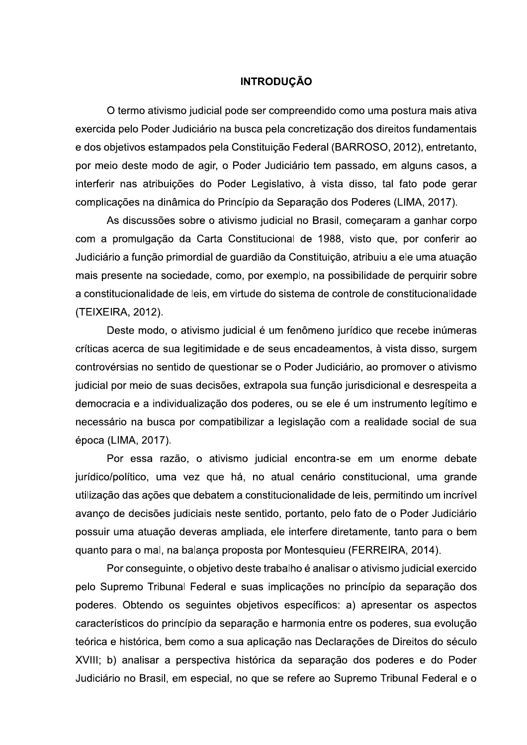## **INTRODUÇÃO**

O termo ativismo judicial pode ser compreendido como uma postura mais ativa exercida pelo Poder Judiciário na busca pela concretização dos direitos fundamentais e dos objetivos estampados pela Constituição Federal (BARROSO, 2012), entretanto, por meio deste modo de agir, o Poder Judiciário tem passado, em alguns casos, a interferir nas atribuições do Poder Legislativo, à vista disso, tal fato pode gerar complicações na dinâmica do Princípio da Separação dos Poderes (LIMA, 2017).

As discussões sobre o ativismo judicial no Brasil, começaram a ganhar corpo com a promulgação da Carta Constitucional de 1988, visto que, por conferir ao Judiciário a função primordial de guardião da Constituição, atribuiu a ele uma atuação mais presente na sociedade, como, por exemplo, na possibilidade de perquirir sobre a constitucionalidade de leis, em virtude do sistema de controle de constitucionalidade (TEIXEIRA, 2012).

Deste modo, o ativismo judicial é um fenômeno jurídico que recebe inúmeras críticas acerca de sua legitimidade e de seus encadeamentos, à vista disso, surgem controvérsias no sentido de questionar se o Poder Judiciário, ao promover o ativismo judicial por meio de suas decisões, extrapola sua função jurisdicional e desrespeita a democracia e a individualização dos poderes, ou se ele é um instrumento legítimo e necessário na busca por compatibilizar a legislação com a realidade social de sua época (LIMA, 2017).

Por essa razão, o ativismo judicial encontra-se em um enorme debate jurídico/político, uma vez que há, no atual cenário constitucional, uma grande utilização das ações que debatem a constitucionalidade de leis, permitindo um incrível avanço de decisões judiciais neste sentido, portanto, pelo fato de o Poder Judiciário possuir uma atuação deveras ampliada, ele interfere diretamente, tanto para o bem guanto para o mal, na balança proposta por Montesquieu (FERREIRA, 2014).

Por conseguinte, o objetivo deste trabalho é analisar o ativismo judicial exercido pelo Supremo Tribunal Federal e suas implicações no princípio da separação dos poderes. Obtendo os seguintes objetivos específicos: a) apresentar os aspectos característicos do princípio da separação e harmonia entre os poderes, sua evolução teórica e histórica, bem como a sua aplicação nas Declarações de Direitos do século XVIII; b) analisar a perspectiva histórica da separação dos poderes e do Poder Judiciário no Brasil, em especial, no que se refere ao Supremo Tribunal Federal e o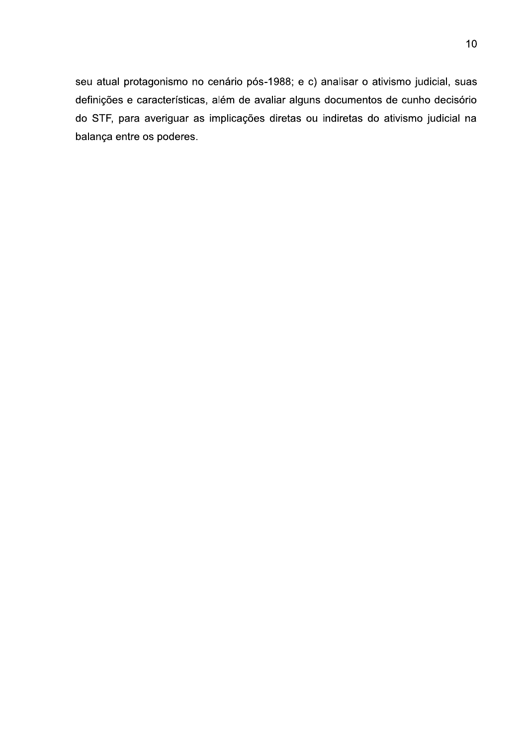seu atual protagonismo no cenário pós-1988; e c) analisar o ativismo judicial, suas definições e características, além de avaliar alguns documentos de cunho decisório do STF, para averiguar as implicações diretas ou indiretas do ativismo judicial na balança entre os poderes.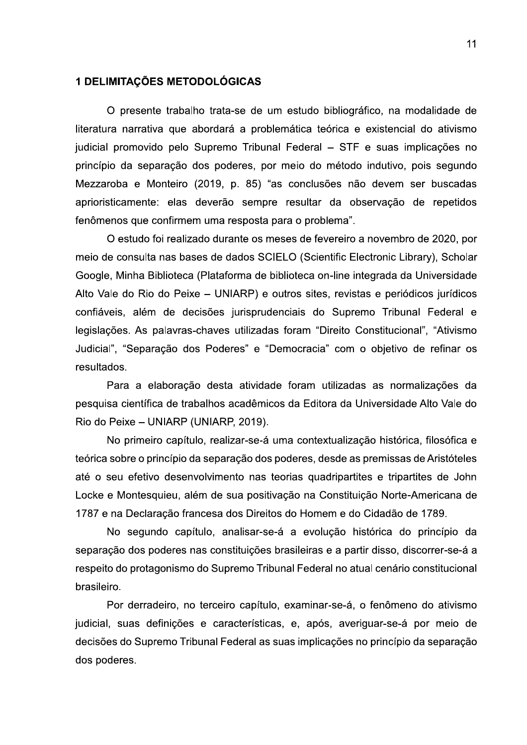#### 1 DELIMITAÇÕES METODOLÓGICAS

O presente trabalho trata-se de um estudo bibliográfico, na modalidade de literatura narrativa que abordará a problemática teórica e existencial do ativismo judicial promovido pelo Supremo Tribunal Federal - STF e suas implicações no princípio da separação dos poderes, por meio do método indutivo, pois segundo Mezzaroba e Monteiro (2019, p. 85) "as conclusões não devem ser buscadas aprioristicamente: elas deverão sempre resultar da observação de repetidos fenômenos que confirmem uma resposta para o problema".

O estudo foi realizado durante os meses de fevereiro a novembro de 2020, por meio de consulta nas bases de dados SCIELO (Scientific Electronic Library), Scholar Google, Minha Biblioteca (Plataforma de biblioteca on-line integrada da Universidade Alto Vale do Rio do Peixe - UNIARP) e outros sites, revistas e periódicos jurídicos confiáveis, além de decisões jurisprudenciais do Supremo Tribunal Federal e legislações. As palavras-chaves utilizadas foram "Direito Constitucional", "Ativismo Judicial", "Separação dos Poderes" e "Democracia" com o objetivo de refinar os resultados.

Para a elaboração desta atividade foram utilizadas as normalizações da pesquisa científica de trabalhos acadêmicos da Editora da Universidade Alto Vale do Rio do Peixe - UNIARP (UNIARP, 2019).

No primeiro capítulo, realizar-se-á uma contextualização histórica, filosófica e teórica sobre o princípio da separação dos poderes, desde as premissas de Aristóteles até o seu efetivo desenvolvimento nas teorias quadripartites e tripartites de John Locke e Montesquieu, além de sua positivação na Constituição Norte-Americana de 1787 e na Declaração francesa dos Direitos do Homem e do Cidadão de 1789.

No segundo capítulo, analisar-se-á a evolução histórica do princípio da separação dos poderes nas constituições brasileiras e a partir disso, discorrer-se-á a respeito do protagonismo do Supremo Tribunal Federal no atual cenário constitucional brasileiro.

Por derradeiro, no terceiro capítulo, examinar-se-á, o fenômeno do ativismo judicial, suas definições e características, e, após, averiguar-se-á por meio de decisões do Supremo Tribunal Federal as suas implicações no princípio da separação dos poderes.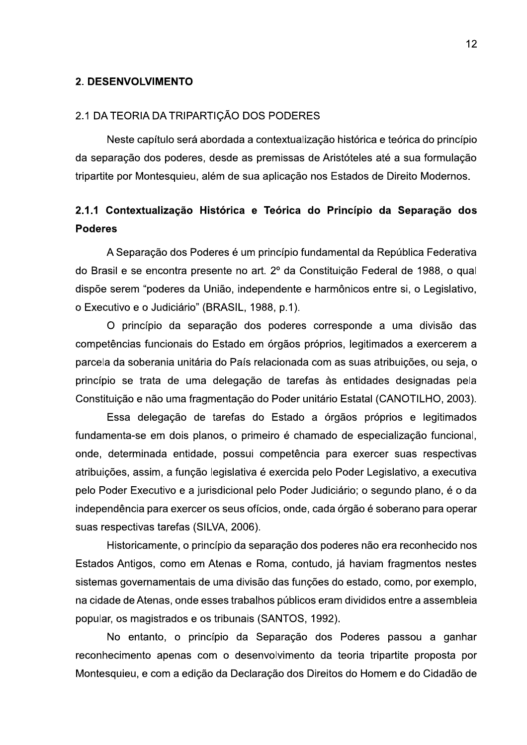#### **2. DESENVOLVIMENTO**

#### 2.1 DA TEORIA DA TRIPARTIÇÃO DOS PODERES

Neste capítulo será abordada a contextualização histórica e teórica do princípio da separação dos poderes, desde as premissas de Aristóteles até a sua formulação tripartite por Montesquieu, além de sua aplicação nos Estados de Direito Modernos.

# 2.1.1 Contextualização Histórica e Teórica do Princípio da Separação dos **Poderes**

A Separação dos Poderes é um princípio fundamental da República Federativa do Brasil e se encontra presente no art. 2º da Constituição Federal de 1988, o qual dispõe serem "poderes da União, independente e harmônicos entre si, o Legislativo, o Executivo e o Judiciário" (BRASIL, 1988, p.1).

O princípio da separação dos poderes corresponde a uma divisão das competências funcionais do Estado em órgãos próprios, legitimados a exercerem a parcela da soberania unitária do País relacionada com as suas atribuições, ou seja, o princípio se trata de uma delegação de tarefas às entidades designadas pela Constituição e não uma fragmentação do Poder unitário Estatal (CANOTILHO, 2003).

Essa delegação de tarefas do Estado a órgãos próprios e legitimados fundamenta-se em dois planos, o primeiro é chamado de especialização funcional, onde, determinada entidade, possui competência para exercer suas respectivas atribuições, assim, a função legislativa é exercida pelo Poder Legislativo, a executiva pelo Poder Executivo e a jurisdicional pelo Poder Judiciário; o segundo plano, é o da independência para exercer os seus ofícios, onde, cada órgão é soberano para operar suas respectivas tarefas (SILVA, 2006).

Historicamente, o princípio da separação dos poderes não era reconhecido nos Estados Antigos, como em Atenas e Roma, contudo, já haviam fragmentos nestes sistemas governamentais de uma divisão das funções do estado, como, por exemplo, na cidade de Atenas, onde esses trabalhos públicos eram divididos entre a assembleia popular, os magistrados e os tribunais (SANTOS, 1992).

No entanto, o princípio da Separação dos Poderes passou a ganhar reconhecimento apenas com o desenvolvimento da teoria tripartite proposta por Montesquieu, e com a edição da Declaração dos Direitos do Homem e do Cidadão de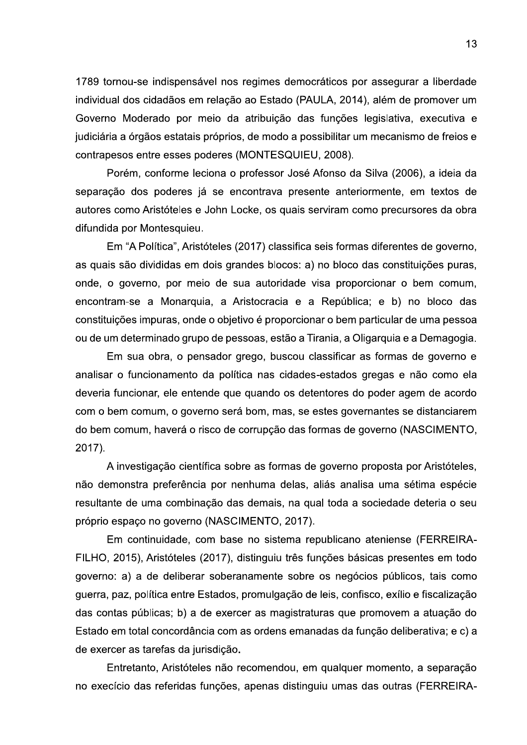1789 tornou-se indispensável nos regimes democráticos por assegurar a liberdade individual dos cidadãos em relação ao Estado (PAULA, 2014), além de promover um Governo Moderado por meio da atribuição das funções legislativa, executiva e judiciária a órgãos estatais próprios, de modo a possibilitar um mecanismo de freios e contrapesos entre esses poderes (MONTESQUIEU, 2008).

Porém, conforme leciona o professor José Afonso da Silva (2006), a ideia da separação dos poderes já se encontrava presente anteriormente, em textos de autores como Aristóteles e John Locke, os quais serviram como precursores da obra difundida por Montesquieu.

Em "A Política", Aristóteles (2017) classifica seis formas diferentes de governo, as quais são divididas em dois grandes blocos: a) no bloco das constituições puras, onde, o governo, por meio de sua autoridade visa proporcionar o bem comum, encontram-se a Monarquia, a Aristocracia e a República; e b) no bloco das constituições impuras, onde o objetivo é proporcionar o bem particular de uma pessoa ou de um determinado grupo de pessoas, estão a Tirania, a Oligarquia e a Demagogia.

Em sua obra, o pensador grego, buscou classificar as formas de governo e analisar o funcionamento da política nas cidades-estados gregas e não como ela deveria funcionar, ele entende que quando os detentores do poder agem de acordo com o bem comum, o governo será bom, mas, se estes governantes se distanciarem do bem comum, haverá o risco de corrupção das formas de governo (NASCIMENTO, 2017).

A investigação científica sobre as formas de governo proposta por Aristóteles, não demonstra preferência por nenhuma delas, aliás analisa uma sétima espécie resultante de uma combinação das demais, na qual toda a sociedade deteria o seu próprio espaço no governo (NASCIMENTO, 2017).

Em continuidade, com base no sistema republicano ateniense (FERREIRA-FILHO, 2015), Aristóteles (2017), distinguiu três funções básicas presentes em todo governo: a) a de deliberar soberanamente sobre os negócios públicos, tais como guerra, paz, política entre Estados, promulgação de leis, confisco, exílio e fiscalização das contas públicas; b) a de exercer as magistraturas que promovem a atuação do Estado em total concordância com as ordens emanadas da função deliberativa; e c) a de exercer as tarefas da jurisdição.

Entretanto, Aristóteles não recomendou, em qualquer momento, a separação no execício das referidas funções, apenas distinguiu umas das outras (FERREIRA-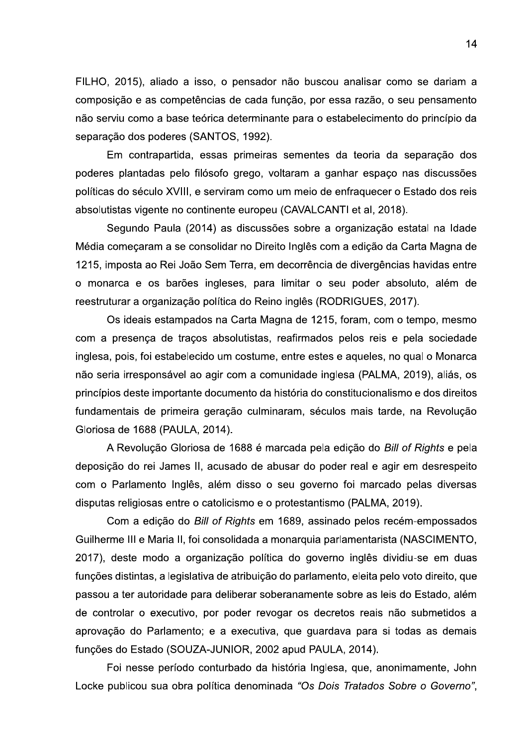FILHO, 2015), aliado a isso, o pensador não buscou analisar como se dariam a composição e as competências de cada função, por essa razão, o seu pensamento não serviu como a base teórica determinante para o estabelecimento do princípio da separação dos poderes (SANTOS, 1992).

Em contrapartida, essas primeiras sementes da teoria da separação dos poderes plantadas pelo filósofo grego, voltaram a ganhar espaço nas discussões políticas do século XVIII, e serviram como um meio de enfraquecer o Estado dos reis absolutistas vigente no continente europeu (CAVALCANTI et al. 2018).

Segundo Paula (2014) as discussões sobre a organização estatal na Idade Média começaram a se consolidar no Direito Inglês com a edição da Carta Magna de 1215, imposta ao Rei João Sem Terra, em decorrência de divergências havidas entre o monarca e os barões ingleses, para limitar o seu poder absoluto, além de reestruturar a organização política do Reino inglês (RODRIGUES, 2017).

Os ideais estampados na Carta Magna de 1215, foram, com o tempo, mesmo com a presença de traços absolutistas, reafirmados pelos reis e pela sociedade inglesa, pois, foi estabelecido um costume, entre estes e aqueles, no qual o Monarca não seria irresponsável ao agir com a comunidade inglesa (PALMA, 2019), aliás, os princípios deste importante documento da história do constitucionalismo e dos direitos fundamentais de primeira geração culminaram, séculos mais tarde, na Revolução Gloriosa de 1688 (PAULA, 2014).

A Revolução Gloriosa de 1688 é marcada pela edição do Bill of Rights e pela deposição do rei James II, acusado de abusar do poder real e agir em desrespeito com o Parlamento Inglês, além disso o seu governo foi marcado pelas diversas disputas religiosas entre o catolicismo e o protestantismo (PALMA, 2019).

Com a edição do Bill of Rights em 1689, assinado pelos recém-empossados Guilherme III e Maria II, foi consolidada a monarquia parlamentarista (NASCIMENTO, 2017), deste modo a organização política do governo inglês dividiu-se em duas funções distintas, a legislativa de atribuição do parlamento, eleita pelo voto direito, que passou a ter autoridade para deliberar soberanamente sobre as leis do Estado, além de controlar o executivo, por poder revogar os decretos reais não submetidos a aprovação do Parlamento; e a executiva, que guardava para si todas as demais funções do Estado (SOUZA-JUNIOR, 2002 apud PAULA, 2014).

Foi nesse período conturbado da história Inglesa, que, anonimamente, John Locke publicou sua obra política denominada "Os Dois Tratados Sobre o Governo",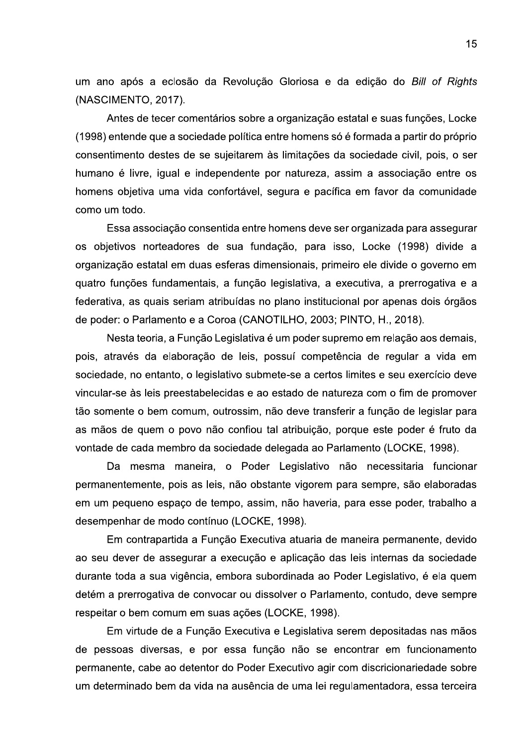um ano após a eclosão da Revolução Gloriosa e da edição do Bill of Rights (NASCIMENTO, 2017).

Antes de tecer comentários sobre a organização estatal e suas funções, Locke (1998) entende que a sociedade política entre homens só é formada a partir do próprio consentimento destes de se sujeitarem às limitações da sociedade civil, pois, o ser humano é livre, igual e independente por natureza, assim a associação entre os homens objetiva uma vida confortável, segura e pacífica em favor da comunidade como um todo.

Essa associação consentida entre homens deve ser organizada para assegurar os objetivos norteadores de sua fundação, para isso, Locke (1998) divide a organização estatal em duas esferas dimensionais, primeiro ele divide o governo em quatro funções fundamentais, a função legislativa, a executiva, a prerrogativa e a federativa, as quais seriam atribuídas no plano institucional por apenas dois órgãos de poder: o Parlamento e a Coroa (CANOTILHO, 2003; PINTO, H., 2018).

Nesta teoria, a Função Legislativa é um poder supremo em relação aos demais, pois, através da elaboração de leis, possuí competência de regular a vida em sociedade, no entanto, o legislativo submete-se a certos limites e seu exercício deve vincular-se às leis preestabelecidas e ao estado de natureza com o fim de promover tão somente o bem comum, outrossim, não deve transferir a função de legislar para as mãos de quem o povo não confiou tal atribuição, porque este poder é fruto da vontade de cada membro da sociedade delegada ao Parlamento (LOCKE, 1998).

Da mesma maneira, o Poder Legislativo não necessitaria funcionar permanentemente, pois as leis, não obstante vigorem para sempre, são elaboradas em um pequeno espaço de tempo, assim, não haveria, para esse poder, trabalho a desempenhar de modo contínuo (LOCKE, 1998).

Em contrapartida a Função Executiva atuaria de maneira permanente, devido ao seu dever de assegurar a execução e aplicação das leis internas da sociedade durante toda a sua vigência, embora subordinada ao Poder Legislativo, é ela quem detém a prerrogativa de convocar ou dissolver o Parlamento, contudo, deve sempre respeitar o bem comum em suas ações (LOCKE, 1998).

Em virtude de a Função Executiva e Legislativa serem depositadas nas mãos de pessoas diversas, e por essa função não se encontrar em funcionamento permanente, cabe ao detentor do Poder Executivo agir com discricionariedade sobre um determinado bem da vida na ausência de uma lei regulamentadora, essa terceira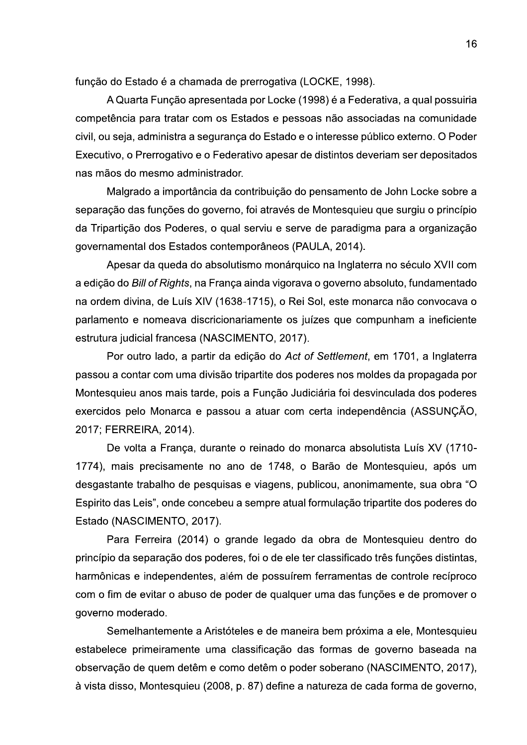função do Estado é a chamada de prerrogativa (LOCKE, 1998).

A Quarta Função apresentada por Locke (1998) é a Federativa, a qual possuiria competência para tratar com os Estados e pessoas não associadas na comunidade civil, ou seja, administra a segurança do Estado e o interesse público externo. O Poder Executivo, o Prerrogativo e o Federativo apesar de distintos deveriam ser depositados nas mãos do mesmo administrador.

Malgrado a importância da contribuição do pensamento de John Locke sobre a separação das funções do governo, foi através de Montesquieu que surgiu o princípio da Tripartição dos Poderes, o qual serviu e serve de paradigma para a organização governamental dos Estados contemporâneos (PAULA, 2014).

Apesar da queda do absolutismo monárquico na Inglaterra no século XVII com a edição do Bill of Rights, na França ainda vigorava o governo absoluto, fundamentado na ordem divina, de Luís XIV (1638-1715), o Rei Sol, este monarca não convocava o parlamento e nomeava discricionariamente os juízes que compunham a ineficiente estrutura judicial francesa (NASCIMENTO, 2017).

Por outro lado, a partir da edição do Act of Settlement, em 1701, a Inglaterra passou a contar com uma divisão tripartite dos poderes nos moldes da propagada por Montesquieu anos mais tarde, pois a Função Judiciária foi desvinculada dos poderes exercidos pelo Monarca e passou a atuar com certa independência (ASSUNCÃO, 2017; FERREIRA, 2014).

De volta a França, durante o reinado do monarca absolutista Luís XV (1710-1774), mais precisamente no ano de 1748, o Barão de Montesquieu, após um desgastante trabalho de pesquisas e viagens, publicou, anonimamente, sua obra "O Espirito das Leis", onde concebeu a sempre atual formulação tripartite dos poderes do Estado (NASCIMENTO, 2017).

Para Ferreira (2014) o grande legado da obra de Montesquieu dentro do princípio da separação dos poderes, foi o de ele ter classificado três funções distintas, harmônicas e independentes, além de possuírem ferramentas de controle recíproco com o fim de evitar o abuso de poder de qualquer uma das funções e de promover o governo moderado.

Semelhantemente a Aristóteles e de maneira bem próxima a ele, Montesquieu estabelece primeiramente uma classificação das formas de governo baseada na observação de quem detêm e como detêm o poder soberano (NASCIMENTO, 2017), à vista disso, Montesquieu (2008, p. 87) define a natureza de cada forma de governo,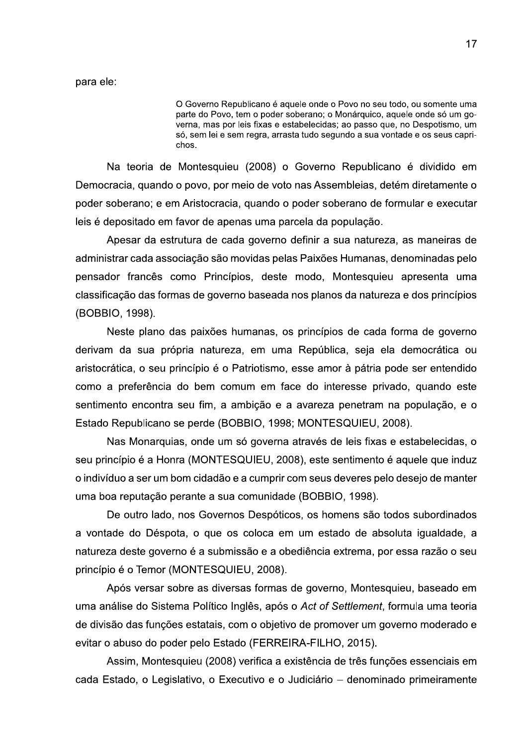para ele:

O Governo Republicano e aquele onde o Povo no seu todo, ou somente uma parte do Povo, tem o poder soberano; o Monarquico, aquele onde so um governa, mas por leis fixas e estabelecidas; ao passo que, no Despotismo, um so, sem lei e sem regra, arrasta tudo segundo a sua vontade e os seus caprichos.

O Governo Republicano é aquele onde o F<br>parte do Povo, tem o poder soberano; o M<br>verna, mas por leis fixas e estabelecidas;<br>só, sem lei e sem regra, arrasta tudo segui<br>chos.<br>Pe Montesquieu (2008) o Governo<br>lo o povo, por m Na teoria de Montesquieu (2008) o Governo Republicano é dividido em Democracia, quando o povo, por meio de voto nas Assembleias, detém diretamente o poder soberano; e em Aristocracia, quando o poder soberano de formular e executar leis é depositado em favor de apenas uma parcela da população.

Apesar da estrutura de cada governo definir a sua natureza, as maneiras de administrar cada associação são movidas pelas Paixões Humanas, denominadas pelo pensador francês como Princípios, deste modo, Montesquieu apresenta uma classificação das formas de governo baseada nos planos da natureza e dos princípios (BOBBIO, 1998).

Neste plano das paixões humanas, os princípios de cada forma de governo derivam da sua própria natureza, em uma República, seja ela democrática ou aristocrática, o seu princípio é o Patriotismo, esse amor à pátria pode ser entendido como a preferência do bem comum em face do interesse privado, quando este sentimento encontra seu fim, a ambição e a avareza penetram na população, e o Estado Republicano se perde (BOBBIO, 1998; MONTESQUIEU, 2008).

Nas Monarquias, onde um só governa através de leis fixas e estabelecidas, o seu princípio é a Honra (MONTESQUIEU, 2008), este sentimento é aquele que induz o indivíduo a ser um bom cidadão e a cumprir com seus deveres pelo desejo de manter uma boa reputação perante a sua comunidade (BOBBIO, 1998).

De outro lado, nos Governos Despóticos, os homens são todos subordinados a vontade do Déspota, o que os coloca em um estado de absoluta igualdade, a natureza deste governo é a submissão e a obediência extrema, por essa razão o seu princípio é o Temor (MONTESQUIEU, 2008).

Após versar sobre as diversas formas de governo, Montesquieu, baseado em uma análise do Sistema Político Inglês, após o Act of Settlement, formula uma teoria de divisão das funções estatais, com o objetivo de promover um governo moderado e evitar o abuso do poder pelo Estado (FERREIRA-FILHO, 2015).

Assim, Montesquieu (2008) verifica a existência de três funções essenciais em cada Estado, o Legislativo, o Executivo e o Judiciário - denominado primeiramente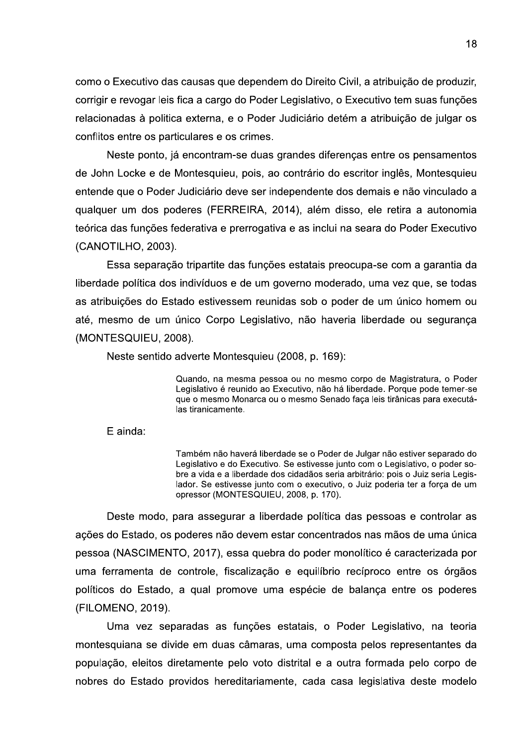como o Executivo das causas que dependem do Direito Civil, a atribuição de produzir, corrigir e revogar leis fica a cargo do Poder Legislativo, o Executivo tem suas funções relacionadas à politica externa, e o Poder Judiciário detém a atribuição de julgar os conflitos entre os particulares e os crimes.

Neste ponto, já encontram-se duas grandes diferenças entre os pensamentos de John Locke e de Montesquieu, pois, ao contrário do escritor inglês, Montesquieu entende que o Poder Judiciário deve ser independente dos demais e não vinculado a qualquer um dos poderes (FERREIRA, 2014), além disso, ele retira a autonomia teórica das funções federativa e prerrogativa e as inclui na seara do Poder Executivo (CANOTILHO, 2003).

Essa separação tripartite das funções estatais preocupa-se com a garantia da liberdade política dos indivíduos e de um governo moderado, uma vez que, se todas as atribuições do Estado estivessem reunidas sob o poder de um único homem ou até, mesmo de um único Corpo Legislativo, não haveria liberdade ou segurança (MONTESQUIEU, 2008).

Neste sentido adverte Montesquieu (2008, p. 169):

Quando, na mesma pessoa ou no mesmo corpo de Magistratura, o Poder Legislativo é reunido ao Executivo, não há liberdade. Porque pode temer-se que o mesmo Monarca ou o mesmo Senado faça leis tirânicas para executálas tiranicamente.

E ainda:

Também não haverá liberdade se o Poder de Julgar não estiver separado do Legislativo e do Executivo. Se estivesse junto com o Legislativo, o poder sobre a vida e a liberdade dos cidadãos seria arbitrário: pois o Juiz seria Legislador. Se estivesse junto com o executivo, o Juiz poderia ter a força de um opressor (MONTESQUIEU, 2008, p. 170).

Deste modo, para assegurar a liberdade política das pessoas e controlar as ações do Estado, os poderes não devem estar concentrados nas mãos de uma única pessoa (NASCIMENTO, 2017), essa quebra do poder monolítico é caracterizada por uma ferramenta de controle, fiscalização e equilíbrio recíproco entre os órgãos políticos do Estado, a qual promove uma espécie de balança entre os poderes (FILOMENO, 2019).

Uma vez separadas as funções estatais, o Poder Legislativo, na teoria montesquiana se divide em duas câmaras, uma composta pelos representantes da população, eleitos diretamente pelo voto distrital e a outra formada pelo corpo de nobres do Estado providos hereditariamente, cada casa legislativa deste modelo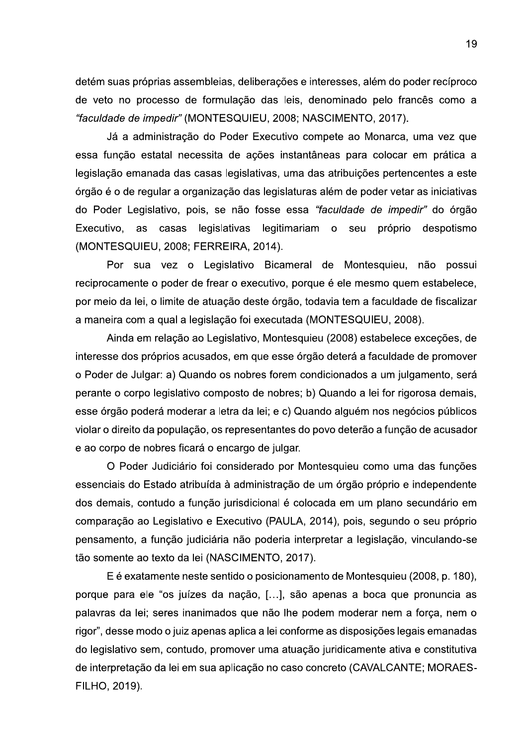detém suas próprias assembleias, deliberações e interesses, além do poder recíproco de veto no processo de formulação das leis, denominado pelo francês como a "faculdade de impedir" (MONTESQUIEU, 2008; NASCIMENTO, 2017).

Já a administração do Poder Executivo compete ao Monarca, uma vez que essa função estatal necessita de ações instantâneas para colocar em prática a legislação emanada das casas legislativas, uma das atribuições pertencentes a este órgão é o de regular a organização das legislaturas além de poder vetar as iniciativas do Poder Legislativo, pois, se não fosse essa "faculdade de impedir" do órgão Executivo, as casas legislativas legitimariam o seu próprio despotismo (MONTESQUIEU, 2008; FERREIRA, 2014).

Por sua vez o Legislativo Bicameral de Montesquieu, não possui reciprocamente o poder de frear o executivo, porque é ele mesmo quem estabelece, por meio da lei, o limite de atuação deste órgão, todavia tem a faculdade de fiscalizar a maneira com a qual a legislação foi executada (MONTESQUIEU, 2008).

Ainda em relação ao Legislativo, Montesquieu (2008) estabelece exceções, de interesse dos próprios acusados, em que esse órgão deterá a faculdade de promover o Poder de Julgar: a) Quando os nobres forem condicionados a um julgamento, será perante o corpo legislativo composto de nobres; b) Quando a lei for rigorosa demais, esse órgão poderá moderar a letra da lei; e c) Quando alguém nos negócios públicos violar o direito da população, os representantes do povo deterão a função de acusador e ao corpo de nobres ficará o encargo de julgar.

O Poder Judiciário foi considerado por Montesquieu como uma das funções essenciais do Estado atribuída à administração de um órgão próprio e independente dos demais, contudo a função jurisdicional é colocada em um plano secundário em comparação ao Legislativo e Executivo (PAULA, 2014), pois, segundo o seu próprio pensamento, a função judiciária não poderia interpretar a legislação, vinculando-se tão somente ao texto da lei (NASCIMENTO, 2017).

E é exatamente neste sentido o posicionamento de Montesquieu (2008, p. 180), porque para ele "os juízes da nação, [...], são apenas a boca que pronuncia as palavras da lei; seres inanimados que não lhe podem moderar nem a força, nem o rigor", desse modo o juiz apenas aplica a lei conforme as disposições legais emanadas do legislativo sem, contudo, promover uma atuação juridicamente ativa e constitutiva de interpretação da lei em sua aplicação no caso concreto (CAVALCANTE; MORAES-FILHO, 2019).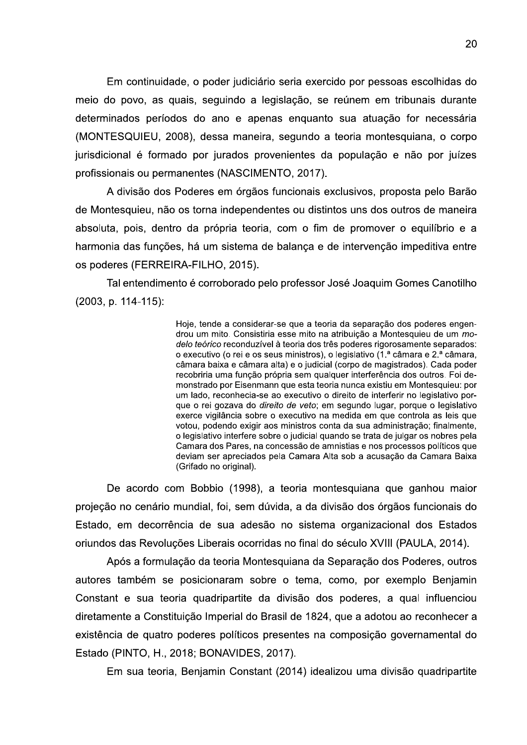Em continuidade, o poder judiciário seria exercido por pessoas escolhidas do meio do povo, as quais, seguindo a legislação, se reúnem em tribunais durante determinados períodos do ano e apenas enguanto sua atuação for necessária (MONTESQUIEU, 2008), dessa maneira, segundo a teoria montesquiana, o corpo jurisdicional é formado por jurados provenientes da população e não por juízes profissionais ou permanentes (NASCIMENTO, 2017).

A divisão dos Poderes em órgãos funcionais exclusivos, proposta pelo Barão de Montesquieu, não os torna independentes ou distintos uns dos outros de maneira absoluta, pois, dentro da própria teoria, com o fim de promover o equilíbrio e a harmonia das funções, há um sistema de balança e de intervenção impeditiva entre os poderes (FERREIRA-FILHO, 2015).

Tal entendimento é corroborado pelo professor José Joaquim Gomes Canotilho (2003, p. 114-115):

> Hoje, tende a considerar-se que a teoria da separação dos poderes engendrou um mito. Consistiria esse mito na atribuição a Montesquieu de um modelo teórico reconduzível à teoria dos três poderes rigorosamente separados: o executivo (o rei e os seus ministros), o legislativo (1.ª câmara e 2.ª câmara, câmara baixa e câmara alta) e o judicial (corpo de magistrados). Cada poder recobriria uma função própria sem qualquer interferência dos outros. Foi demonstrado por Eisenmann que esta teoria nunca existiu em Montesquieu: por um lado, reconhecia-se ao executivo o direito de interferir no legislativo porque o rei gozava do *direito de veto*; em segundo lugar, porque o legislativo exerce vigilância sobre o executivo na medida em que controla as leis que votou, podendo exigir aos ministros conta da sua administração; finalmente, o legislativo interfere sobre o judicial quando se trata de julgar os nobres pela Camara dos Pares, na concessão de amnistias e nos processos políticos que deviam ser apreciados pela Camara Alta sob a acusação da Camara Baixa (Grifado no original).

De acordo com Bobbio (1998), a teoria montesquiana que ganhou maior projeção no cenário mundial, foi, sem dúvida, a da divisão dos órgãos funcionais do Estado, em decorrência de sua adesão no sistema organizacional dos Estados oriundos das Revoluções Liberais ocorridas no final do século XVIII (PAULA, 2014).

Após a formulação da teoria Montesquiana da Separação dos Poderes, outros autores também se posicionaram sobre o tema, como, por exemplo Benjamin Constant e sua teoria quadripartite da divisão dos poderes, a qual influenciou diretamente a Constituição Imperial do Brasil de 1824, que a adotou ao reconhecer a existência de quatro poderes políticos presentes na composição governamental do Estado (PINTO, H., 2018; BONAVIDES, 2017).

Em sua teoria, Benjamin Constant (2014) idealizou uma divisão quadripartite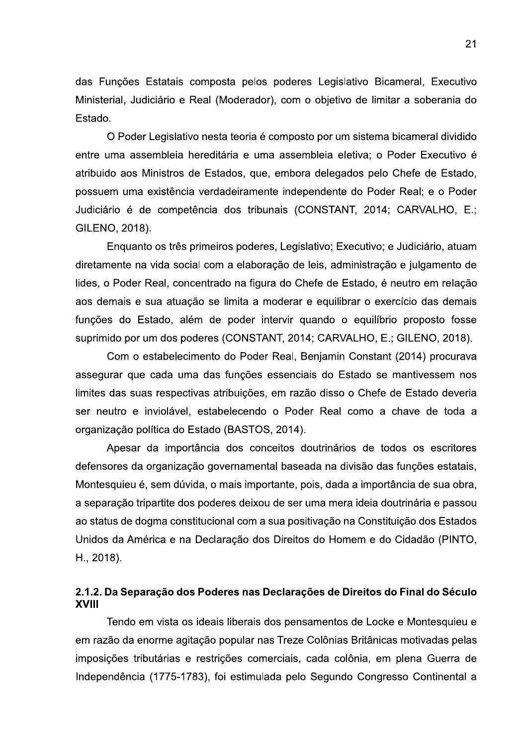das Funções Estatais composta pelos poderes Legislativo Bicameral, Executivo Ministerial, Judiciário e Real (Moderador), com o objetivo de limitar a soberania do Estado.

O Poder Legislativo nesta teoria é composto por um sistema bicameral dividido entre uma assembleia hereditária e uma assembleia eletiva; o Poder Executivo é atribuido aos Ministros de Estados, que, embora delegados pelo Chefe de Estado, possuem uma existência verdadeiramente independente do Poder Real; e o Poder Judiciário é de competência dos tribunais (CONSTANT, 2014; CARVALHO, E.; GILENO, 2018).

Enquanto os três primeiros poderes, Legislativo; Executivo; e Judiciário, atuam diretamente na vida social com a elaboração de leis, administração e julgamento de lides, o Poder Real, concentrado na figura do Chefe de Estado, é neutro em relação aos demais e sua atuação se limita a moderar e equilibrar o exercício das demais funções do Estado, além de poder intervir quando o equilíbrio proposto fosse suprimido por um dos poderes (CONSTANT, 2014; CARVALHO, E.; GILENO, 2018).

Com o estabelecimento do Poder Real, Benjamin Constant (2014) procurava assegurar que cada uma das funcões essenciais do Estado se mantivessem nos limites das suas respectivas atribuições, em razão disso o Chefe de Estado deveria ser neutro e inviolável, estabelecendo o Poder Real como a chave de toda a organização política do Estado (BASTOS, 2014).

Apesar da importância dos conceitos doutrinários de todos os escritores defensores da organização governamental baseada na divisão das funções estatais, Montesquieu é, sem dúvida, o mais importante, pois, dada a importância de sua obra, a separação tripartite dos poderes deixou de ser uma mera ideia doutrinária e passou ao status de dogma constitucional com a sua positivação na Constituição dos Estados Unidos da América e na Declaração dos Direitos do Homem e do Cidadão (PINTO, H., 2018).

## 2.1.2. Da Separação dos Poderes nas Declarações de Direitos do Final do Século **XVIII**

Tendo em vista os ideais liberais dos pensamentos de Locke e Montesquieu e em razão da enorme agitação popular nas Treze Colônias Britânicas motivadas pelas imposições tributárias e restrições comerciais, cada colônia, em plena Guerra de Independência (1775-1783), foi estimulada pelo Segundo Congresso Continental a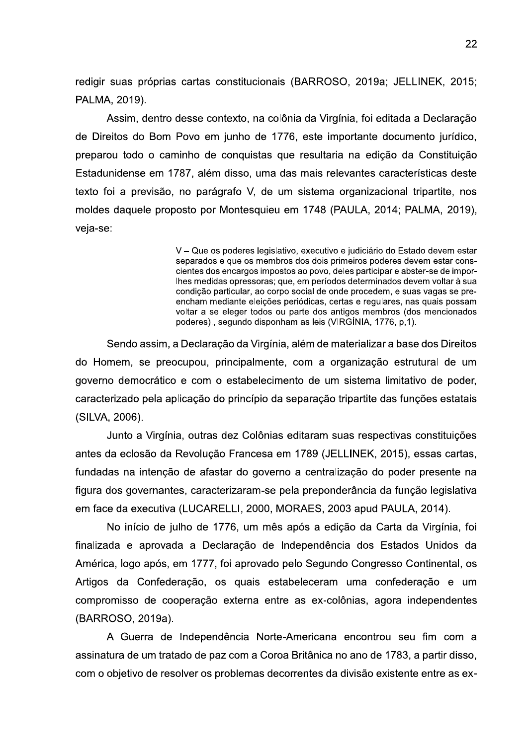redigir suas próprias cartas constitucionais (BARROSO, 2019a; JELLINEK, 2015; PALMA, 2019).

Assim, dentro desse contexto, na colônia da Virgínia, foi editada a Declaração de Direitos do Bom Povo em junho de 1776, este importante documento jurídico, preparou todo o caminho de conquistas que resultaria na edição da Constituição Estadunidense em 1787, além disso, uma das mais relevantes características deste texto foi a previsão, no parágrafo V, de um sistema organizacional tripartite, nos moldes daquele proposto por Montesquieu em 1748 (PAULA, 2014; PALMA, 2019), veia-se:

> V – Que os poderes legislativo, executivo e judiciário do Estado devem estar separados e que os membros dos dois primeiros poderes devem estar conscientes dos encargos impostos ao povo, deles participar e abster-se de imporlhes medidas opressoras; que, em períodos determinados devem voltar à sua condição particular, ao corpo social de onde procedem, e suas vagas se preencham mediante eleições periódicas, certas e regulares, nas quais possam voltar a se eleger todos ou parte dos antigos membros (dos mencionados poderes)., segundo disponham as leis (VIRGÍNIA, 1776, p.1).

Sendo assim, a Declaração da Virgínia, além de materializar a base dos Direitos do Homem, se preocupou, principalmente, com a organização estrutural de um governo democrático e com o estabelecimento de um sistema limitativo de poder, caracterizado pela aplicação do princípio da separação tripartite das funções estatais (SILVA, 2006).

Junto a Virgínia, outras dez Colônias editaram suas respectivas constituições antes da eclosão da Revolução Francesa em 1789 (JELLINEK, 2015), essas cartas, fundadas na intenção de afastar do governo a centralização do poder presente na figura dos governantes, caracterizaram-se pela preponderância da função legislativa em face da executiva (LUCARELLI, 2000, MORAES, 2003 apud PAULA, 2014).

No início de julho de 1776, um mês após a edição da Carta da Virgínia, foi finalizada e aprovada a Declaração de Independência dos Estados Unidos da América, logo após, em 1777, foi aprovado pelo Segundo Congresso Continental, os Artigos da Confederação, os quais estabeleceram uma confederação e um compromisso de cooperação externa entre as ex-colônias, agora independentes (BARROSO, 2019a).

A Guerra de Independência Norte-Americana encontrou seu fim com a assinatura de um tratado de paz com a Coroa Britânica no ano de 1783, a partir disso, com o objetivo de resolver os problemas decorrentes da divisão existente entre as ex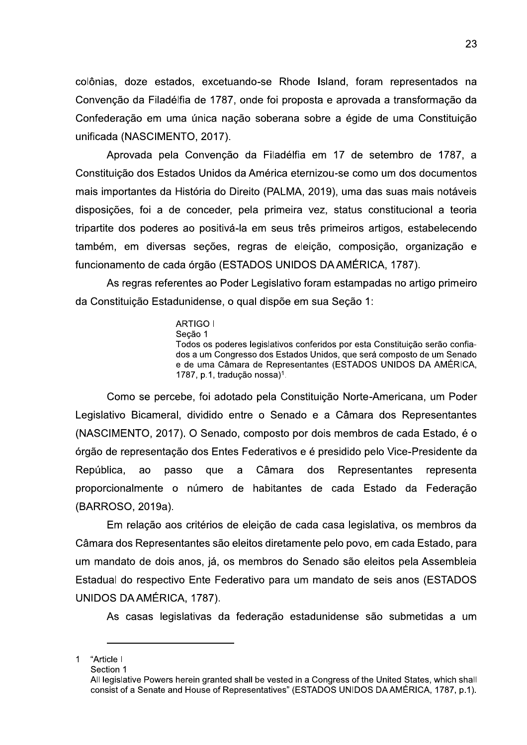colônias, doze estados, excetuando-se Rhode Island, foram representados na Convenção da Filadélfia de 1787, onde foi proposta e aprovada a transformação da Confederação em uma única nação soberana sobre a égide de uma Constituição unificada (NASCIMENTO, 2017).

Aprovada pela Convenção da Filadélfia em 17 de setembro de 1787, a Constituição dos Estados Unidos da América eternizou-se como um dos documentos mais importantes da História do Direito (PALMA, 2019), uma das suas mais notáveis disposições, foi a de conceder, pela primeira vez, status constitucional a teoria tripartite dos poderes ao positivá-la em seus três primeiros artigos, estabelecendo também, em diversas seções, regras de eleição, composição, organização e funcionamento de cada órgão (ESTADOS UNIDOS DA AMÉRICA, 1787).

As regras referentes ao Poder Legislativo foram estampadas no artigo primeiro da Constituição Estadunidense, o qual dispõe em sua Seção 1:

> **ARTIGO I** Secão 1 Todos os poderes legislativos conferidos por esta Constituição serão confiados a um Congresso dos Estados Unidos, que será composto de um Senado e de uma Câmara de Representantes (ESTADOS UNIDOS DA AMÉRICA, 1787, p.1, tradução nossa)<sup>1</sup>.

Como se percebe, foi adotado pela Constituição Norte-Americana, um Poder Legislativo Bicameral, dividido entre o Senado e a Câmara dos Representantes (NASCIMENTO, 2017). O Senado, composto por dois membros de cada Estado, é o órgão de representação dos Entes Federativos e é presidido pelo Vice-Presidente da República. ao passo que a Câmara dos **Representantes** representa proporcionalmente o número de habitantes de cada Estado da Federação (BARROSO, 2019a).

Em relação aos critérios de eleição de cada casa legislativa, os membros da Câmara dos Representantes são eleitos diretamente pelo povo, em cada Estado, para um mandato de dois anos, já, os membros do Senado são eleitos pela Assembleia Estadual do respectivo Ente Federativo para um mandato de seis anos (ESTADOS UNIDOS DA AMÉRICA, 1787).

As casas legislativas da federação estadunidense são submetidas a um

<sup>&</sup>quot;Article I  $\mathbf{1}$ 

Section 1

All legislative Powers herein granted shall be vested in a Congress of the United States, which shall consist of a Senate and House of Representatives" (ESTADOS UNIDOS DA AMÉRICA, 1787, p.1).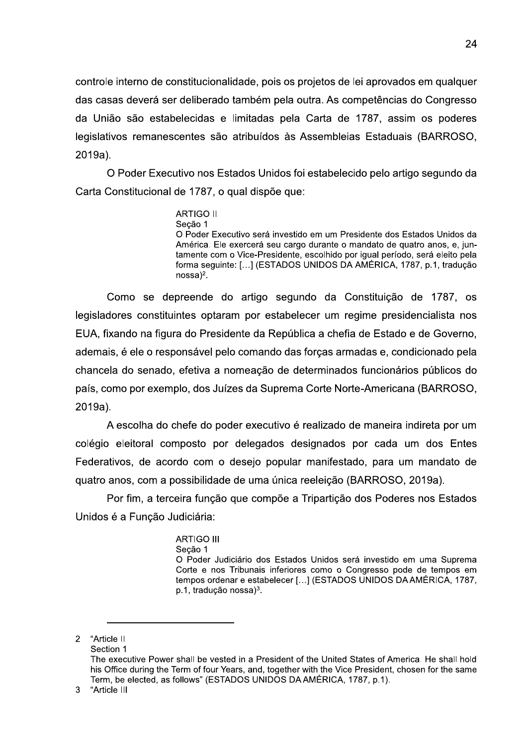controle interno de constitucionalidade, pois os projetos de lei aprovados em qualquer das casas deverá ser deliberado também pela outra. As competências do Congresso da União são estabelecidas e limitadas pela Carta de 1787, assim os poderes legislativos remanescentes são atribuídos às Assembleias Estaduais (BARROSO, 2019a).

O Poder Executivo nos Estados Unidos foi estabelecido pelo artigo segundo da Carta Constitucional de 1787, o qual dispõe que:

> **ARTIGO II** Secão 1 O Poder Executivo será investido em um Presidente dos Estados Unidos da América. Ele exercerá seu cargo durante o mandato de quatro anos, e, juntamente com o Vice-Presidente, escolhido por igual período, será eleito pela forma seguinte: [...] (ESTADOS UNIDOS DA AMÉRICA, 1787, p.1, tradução  $nossa)^2$ .

Como se depreende do artigo segundo da Constituição de 1787, os legisladores constituintes optaram por estabelecer um regime presidencialista nos EUA, fixando na figura do Presidente da República a chefia de Estado e de Governo, ademais, é ele o responsável pelo comando das forças armadas e, condicionado pela chancela do senado, efetiva a nomeação de determinados funcionários públicos do país, como por exemplo, dos Juízes da Suprema Corte Norte-Americana (BARROSO, 2019a).

A escolha do chefe do poder executivo é realizado de maneira indireta por um colégio eleitoral composto por delegados designados por cada um dos Entes Federativos, de acordo com o desejo popular manifestado, para um mandato de quatro anos, com a possibilidade de uma única reeleição (BARROSO, 2019a).

Por fim, a terceira função que compõe a Tripartição dos Poderes nos Estados Unidos é a Função Judiciária:

#### **ARTIGO III**

Secão 1

O Poder Judiciário dos Estados Unidos será investido em uma Suprema Corte e nos Tribunais inferiores como o Congresso pode de tempos em tempos ordenar e estabelecer [...] (ESTADOS UNIDOS DA AMÉRICA, 1787, p.1, tradução nossa)<sup>3</sup>.

<sup>&</sup>quot;Article II  $\overline{2}$ Section 1 The executive Power shall be vested in a President of the United States of America. He shall hold his Office during the Term of four Years, and, together with the Vice President, chosen for the same Term, be elected, as follows" (ESTADOS UNIDOS DA AMÉRICA, 1787, p.1).

<sup>3</sup> "Article III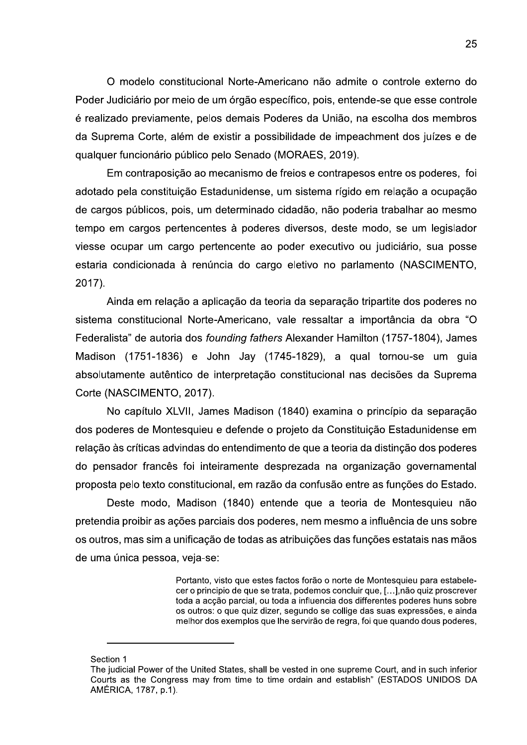O modelo constitucional Norte-Americano nao admite o controle externo do Poder Judiciario por meio de um orgão específico, pois, entende-se que esse controle é realizado previamente, pelos demais Poderes da União, na escolha dos membros 25<br>
O modelo constitucional Norte-Americano não admite o controle externo do<br>
Poder Judiciário por meio de um órgão específico, pois, entende-se que esse controle<br>
é realizado previamente, pelos demais Poderes da União, na da Suprema Corte, alem de existir a possibilidade de impeachment dos juizes e de<br>qualquer funcionário público pelo Senado (MORAES, 2019).

odelo constitucional Norte-Americano não admite o controle<br>
ciário por meio de um órgão específico, pois, entende-se que es<br>
previamente, pelos demais Poderes da União, na escolha do<br>
a Corte, além de existir a possibilida Em contraposição ao mecanismo de freios e contrapesos entre os poderes, Tol adotado pela constituição Estadunidense, um sistema rígido em relação a ocupação de cargos publicos, pois, um determinado cidadão, não poderia trabalhar ao mesmo tempo em cargos pertencentes a poderes diversos, deste modo, se um legislador viesse ocupar um cargo pertencente ao poder executivo ou judiciario, sua posse estaria condicionada a renuncia do ca Em contraposição ao mecanismo de freios e contrapesos entre os poderes, foi<br>adotado pela constituição Estadunidense, um sistema rígido em relação a ocupação<br>de cargos públicos, pois, um determinado cidadão, não poderia tra

Ainda em relação a aplicação da teoria da separação tripartite dos poderes no sistema constitucional Norte-Americano, vale ressaltar a importancia da obra "O Federalista" de autoria dos *founding fathers* Alexander Hamilton (1757-1804), James Madison (1751-1836) e John Jay (1745-1829), a qual tornou-se um guia absolutamente autentico de interpretação constitucional nas decis 2017).<br>
Ainda em relação a aplicação da teoria da separação tripartite dos poderes no<br>
sistema constitucional Norte-Americano, vale ressaltar a importância da obra "O<br>
Federalista" de autoria dos *founding fathers* Alexand

no capitulo XLVII, James Madison (1840) examina o principio da separação dos poderes de Montesquieu e defende o projeto da Constituição Estadunidense em relação as críticas advindas do entendimento de que a teoria da distinção dos poderes do pensador frances foi inteiramente desprezada na organização governamental proposta pelo texto constitucional, em razão da confusão entre as funções do Estado.

Deste modo, Madison (1840) entende que a teoria de Montesquieu não pretendia proibir as ações parciais dos poderes, nem mesmo a influencia de uns sobre os outros, mas sim a unificação de todas as atribuições das funções estatais has mãos de uma unica pessoa, veja-se:

> Portanto, visto que estes factos forao o norte de Montesquieu para estabelecer o principio de que se trata, podemos conciuir que, […],nao quiz proscrever  $\frac{1}{2}$ toda a acçao parcial, ou toda a influencia dos differentes poderes nuns sobre os outros: o que quiz dizer, segundo se collige das suas expressoes, e ainda meinor dos exemplos que ine servirao de regra, foi que quando dous poderes, cer o principio de que se trata, podemos concluir que, [...],não quiz pro<br>
> toda a acção parcial, ou toda a influencia dos differentes poderes hun<br>
> os outros: o que quiz dizer, segundo se collige das suas expressões,<br>
> melho

## -Section 1

------------------------------------------

F<br>
c<br>
c<br>
t<br>
c<br>
c<br>
Section 1<br>
The judicial Power of t<br>
Courts as the Congre<br>
AMÉRICA, 1787, p.1). The judicial Power of the United States, shall be vested in one supreme Court, and in such inferior Courts as the Congress may from time to time ordain and establish" (ESTADOS UNIDOS DA toda a acção parcial, ou toda a influencia dos differentes poderes huns sobre<br>os outros: o que quiz dizer, segundo se collige das suas expressões, e ainda<br>melhor dos exemplos que lhe servirão de regra, foi que quando dous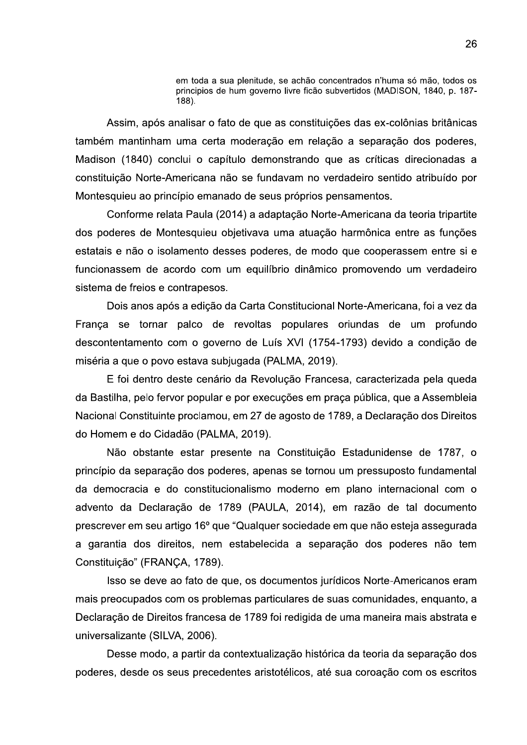em toda a sua plenitude, se achão concentrados n'huma só mão, todos os principios de hum governo livre ficão subvertidos (MADISON, 1840, p. 187-188).

Assim, após analisar o fato de que as constituições das ex-colônias britânicas também mantinham uma certa moderação em relação a separação dos poderes, Madison (1840) conclui o capítulo demonstrando que as críticas direcionadas a constituição Norte-Americana não se fundavam no verdadeiro sentido atribuído por Montesquieu ao princípio emanado de seus próprios pensamentos.

Conforme relata Paula (2014) a adaptação Norte-Americana da teoria tripartite dos poderes de Montesquieu objetivava uma atuação harmônica entre as funções estatais e não o isolamento desses poderes, de modo que cooperassem entre si e funcionassem de acordo com um equilíbrio dinâmico promovendo um verdadeiro sistema de freios e contrapesos.

Dois anos após a edição da Carta Constitucional Norte-Americana, foi a vez da Franca se tornar palco de revoltas populares oriundas de um profundo descontentamento com o governo de Luís XVI (1754-1793) devido a condição de miséria a que o povo estava subjugada (PALMA, 2019).

E foi dentro deste cenário da Revolução Francesa, caracterizada pela queda da Bastilha, pelo fervor popular e por execuções em praça pública, que a Assembleia Nacional Constituinte proclamou, em 27 de agosto de 1789, a Declaração dos Direitos do Homem e do Cidadão (PALMA, 2019).

Não obstante estar presente na Constituição Estadunidense de 1787, o princípio da separação dos poderes, apenas se tornou um pressuposto fundamental da democracia e do constitucionalismo moderno em plano internacional com o advento da Declaração de 1789 (PAULA, 2014), em razão de tal documento prescrever em seu artigo 16º que "Qualquer sociedade em que não esteja assegurada a garantia dos direitos, nem estabelecida a separação dos poderes não tem Constituição" (FRANÇA, 1789).

Isso se deve ao fato de que, os documentos jurídicos Norte-Americanos eram mais preocupados com os problemas particulares de suas comunidades, enquanto, a Declaração de Direitos francesa de 1789 foi redigida de uma maneira mais abstrata e universalizante (SILVA, 2006).

Desse modo, a partir da contextualização histórica da teoria da separação dos poderes, desde os seus precedentes aristotélicos, até sua coroação com os escritos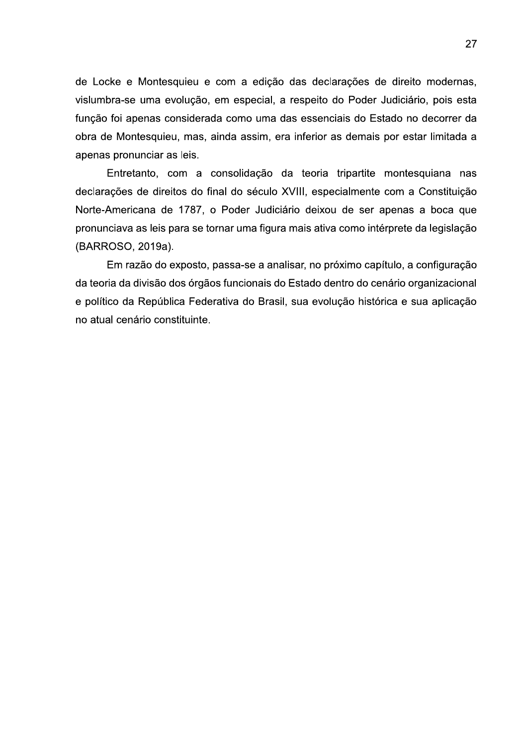de Locke e Montesquieu e com a edição das declarações de direito modernas, vislumbra-se uma evolução, em especial, a respeito do Poder Judiciário, pois esta função foi apenas considerada como uma das essenciais do Estado no decorrer da obra de Montesquieu, mas, ainda assim, era inferior as demais por estar limitada a apenas pronunciar as leis.

Entretanto, com a consolidação da teoria tripartite montesquiana nas declarações de direitos do final do século XVIII, especialmente com a Constituição Norte-Americana de 1787, o Poder Judiciário deixou de ser apenas a boca que pronunciava as leis para se tornar uma figura mais ativa como intérprete da legislação (BARROSO, 2019a).

Em razão do exposto, passa-se a analisar, no próximo capítulo, a configuração da teoria da divisão dos órgãos funcionais do Estado dentro do cenário organizacional e político da República Federativa do Brasil, sua evolução histórica e sua aplicação no atual cenário constituinte.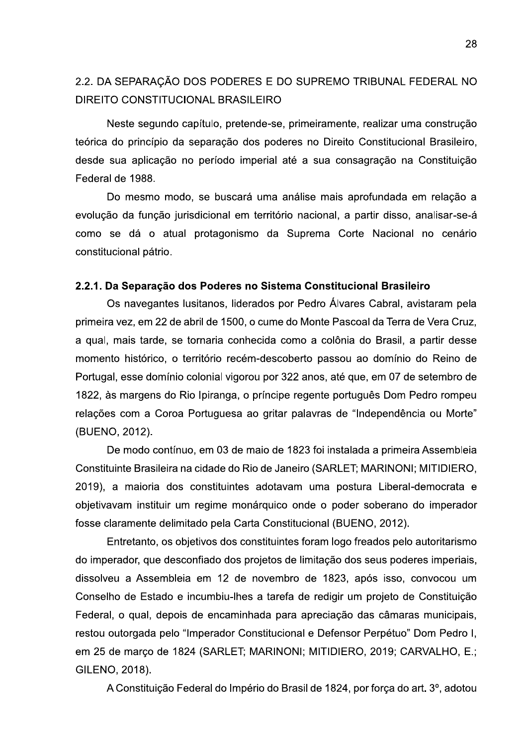# 2.2. DA SEPARAÇÃO DOS PODERES E DO SUPREMO TRIBUNAL FEDERAL NO DIREITO CONSTITUCIONAL BRASILEIRO

Neste segundo capítulo, pretende-se, primeiramente, realizar uma construção teórica do princípio da separação dos poderes no Direito Constitucional Brasileiro, desde sua aplicação no período imperial até a sua consagração na Constituição Federal de 1988.

Do mesmo modo, se buscará uma análise mais aprofundada em relação a evolução da função jurisdicional em território nacional, a partir disso, analisar-se-á como se dá o atual protagonismo da Suprema Corte Nacional no cenário constitucional pátrio.

#### 2.2.1. Da Separação dos Poderes no Sistema Constitucional Brasileiro

Os navegantes lusitanos, liderados por Pedro Álvares Cabral, avistaram pela primeira vez, em 22 de abril de 1500, o cume do Monte Pascoal da Terra de Vera Cruz, a qual, mais tarde, se tornaria conhecida como a colônia do Brasil, a partir desse momento histórico, o território recém-descoberto passou ao domínio do Reino de Portugal, esse domínio colonial vigorou por 322 anos, até que, em 07 de setembro de 1822, às margens do Rio Ipiranga, o príncipe regente português Dom Pedro rompeu relações com a Coroa Portuguesa ao gritar palavras de "Independência ou Morte" (BUENO, 2012).

De modo contínuo, em 03 de maio de 1823 foi instalada a primeira Assembleia Constituinte Brasileira na cidade do Rio de Janeiro (SARLET; MARINONI; MITIDIERO. 2019), a maioria dos constituintes adotavam uma postura Liberal-democrata e objetivavam instituir um regime monárquico onde o poder soberano do imperador fosse claramente delimitado pela Carta Constitucional (BUENO, 2012).

Entretanto, os objetivos dos constituintes foram logo freados pelo autoritarismo do imperador, que desconfiado dos projetos de limitação dos seus poderes imperiais, dissolveu a Assembleia em 12 de novembro de 1823, após isso, convocou um Conselho de Estado e incumbiu-lhes a tarefa de redigir um projeto de Constituição Federal, o qual, depois de encaminhada para apreciação das câmaras municipais, restou outorgada pelo "Imperador Constitucional e Defensor Perpétuo" Dom Pedro I, em 25 de março de 1824 (SARLET; MARINONI; MITIDIERO, 2019; CARVALHO, E.; GILENO, 2018).

A Constituição Federal do Império do Brasil de 1824, por força do art. 3º, adotou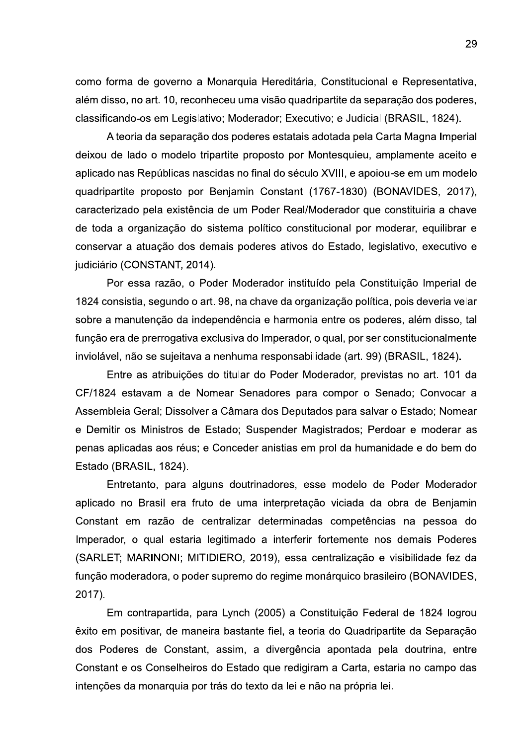como forma de governo a Monarquia Hereditária, Constitucional e Representativa, além disso, no art. 10, reconheceu uma visão quadripartite da separação dos poderes, classificando-os em Legislativo; Moderador; Executivo; e Judicial (BRASIL, 1824).

A teoria da separação dos poderes estatais adotada pela Carta Magna Imperial deixou de lado o modelo tripartite proposto por Montesquieu, amplamente aceito e aplicado nas Repúblicas nascidas no final do século XVIII, e apoiou-se em um modelo quadripartite proposto por Benjamin Constant (1767-1830) (BONAVIDES, 2017), caracterizado pela existência de um Poder Real/Moderador que constituiria a chave de toda a organização do sistema político constitucional por moderar, equilibrar e conservar a atuação dos demais poderes ativos do Estado, legislativo, executivo e judiciário (CONSTANT, 2014).

Por essa razão, o Poder Moderador instituído pela Constituição Imperial de 1824 consistia, segundo o art. 98, na chave da organização política, pois deveria velar sobre a manutenção da independência e harmonia entre os poderes, além disso, tal função era de prerrogativa exclusiva do Imperador, o qual, por ser constitucionalmente inviolável, não se sujeitava a nenhuma responsabilidade (art. 99) (BRASIL, 1824).

Entre as atribuições do titular do Poder Moderador, previstas no art. 101 da CF/1824 estavam a de Nomear Senadores para compor o Senado; Convocar a Assembleia Geral; Dissolver a Câmara dos Deputados para salvar o Estado; Nomear e Demitir os Ministros de Estado; Suspender Magistrados; Perdoar e moderar as penas aplicadas aos réus; e Conceder anistias em prol da humanidade e do bem do Estado (BRASIL, 1824).

Entretanto, para alguns doutrinadores, esse modelo de Poder Moderador aplicado no Brasil era fruto de uma interpretação viciada da obra de Benjamin Constant em razão de centralizar determinadas competências na pessoa do Imperador, o qual estaria legitimado a interferir fortemente nos demais Poderes (SARLET; MARINONI; MITIDIERO, 2019), essa centralização e visibilidade fez da função moderadora, o poder supremo do regime monárquico brasileiro (BONAVIDES, 2017).

Em contrapartida, para Lynch (2005) a Constituição Federal de 1824 logrou êxito em positivar, de maneira bastante fiel, a teoria do Quadripartite da Separação dos Poderes de Constant, assim, a divergência apontada pela doutrina, entre Constant e os Conselheiros do Estado que redigiram a Carta, estaria no campo das intenções da monarquia por trás do texto da lei e não na própria lei.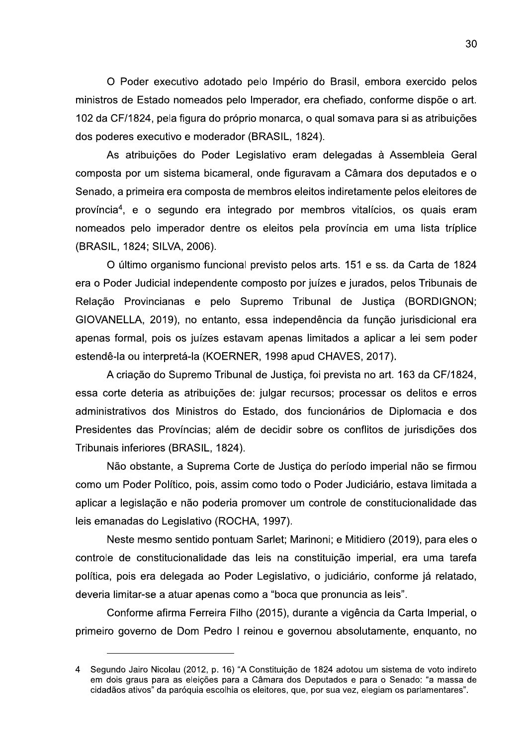O Poder executivo adotado pelo Império do Brasil, embora exercido pelos ministros de Estado nomeados pelo Imperador, era chefiado, conforme dispõe o art. 102 da CF/1824, pela figura do próprio monarca, o qual somava para si as atribuições dos poderes executivo e moderador (BRASIL, 1824).

As atribuições do Poder Legislativo eram delegadas à Assembleia Geral composta por um sistema bicameral, onde figuravam a Câmara dos deputados e o Senado, a primeira era composta de membros eleitos indiretamente pelos eleitores de província<sup>4</sup>, e o segundo era integrado por membros vitalícios, os quais eram nomeados pelo imperador dentre os eleitos pela província em uma lista tríplice (BRASIL, 1824; SILVA, 2006).

O último organismo funcional previsto pelos arts. 151 e ss. da Carta de 1824 era o Poder Judicial independente composto por juízes e jurados, pelos Tribunais de Relação Provincianas e pelo Supremo Tribunal de Justiça (BORDIGNON; GIOVANELLA, 2019), no entanto, essa independência da função jurisdicional era apenas formal, pois os juízes estavam apenas limitados a aplicar a lei sem poder estendê-la ou interpretá-la (KOERNER, 1998 apud CHAVES, 2017).

A criação do Supremo Tribunal de Justica, foi prevista no art. 163 da CF/1824, essa corte deteria as atribuições de: julgar recursos; processar os delitos e erros administrativos dos Ministros do Estado, dos funcionários de Diplomacia e dos Presidentes das Províncias; além de decidir sobre os conflitos de jurisdições dos Tribunais inferiores (BRASIL, 1824).

Não obstante, a Suprema Corte de Justiça do período imperial não se firmou como um Poder Político, pois, assim como todo o Poder Judiciário, estava limitada a aplicar a legislação e não poderia promover um controle de constitucionalidade das leis emanadas do Legislativo (ROCHA, 1997).

Neste mesmo sentido pontuam Sarlet; Marinoni; e Mitidiero (2019), para eles o controle de constitucionalidade das leis na constituição imperial, era uma tarefa política, pois era delegada ao Poder Legislativo, o judiciário, conforme já relatado, deveria limitar-se a atuar apenas como a "boca que pronuncia as leis".

Conforme afirma Ferreira Filho (2015), durante a vigência da Carta Imperial, o primeiro governo de Dom Pedro I reinou e governou absolutamente, enquanto, no

Segundo Jairo Nicolau (2012, p. 16) "A Constituição de 1824 adotou um sistema de voto indireto  $\overline{4}$ em dois graus para as eleições para a Câmara dos Deputados e para o Senado: "a massa de cidadãos ativos" da paróquia escolhia os eleitores, que, por sua vez, elegiam os parlamentares".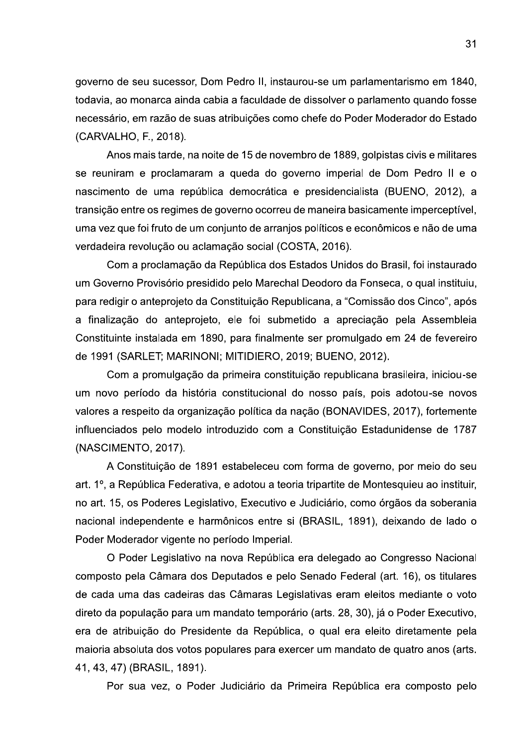governo de seu sucessor, Dom Pedro II, instaurou-se um parlamentarismo em 1840, todavia, ao monarca ainda cabia a faculdade de dissolver o parlamento quando fosse necessário, em razão de suas atribuições como chefe do Poder Moderador do Estado (CARVALHO, F., 2018).

Anos mais tarde, na noite de 15 de novembro de 1889, golpistas civis e militares se reuniram e proclamaram a queda do governo imperial de Dom Pedro II e o nascimento de uma república democrática e presidencialista (BUENO, 2012), a transição entre os regimes de governo ocorreu de maneira basicamente imperceptível, uma vez que foi fruto de um conjunto de arranios políticos e econômicos e não de uma verdadeira revolução ou aclamação social (COSTA, 2016).

Com a proclamação da República dos Estados Unidos do Brasil, foi instaurado um Governo Provisório presidido pelo Marechal Deodoro da Fonseca, o qual instituiu, para redigir o anteprojeto da Constituição Republicana, a "Comissão dos Cinco", após a finalização do anteprojeto, ele foi submetido a apreciação pela Assembleia Constituinte instalada em 1890, para finalmente ser promulgado em 24 de fevereiro de 1991 (SARLET; MARINONI; MITIDIERO, 2019; BUENO, 2012).

Com a promulgação da primeira constituição republicana brasileira, iniciou-se um novo período da história constitucional do nosso país, pois adotou-se novos valores a respeito da organização política da nação (BONAVIDES, 2017), fortemente influenciados pelo modelo introduzido com a Constituição Estadunidense de 1787 (NASCIMENTO, 2017).

A Constituição de 1891 estabeleceu com forma de governo, por meio do seu art. 1º, a República Federativa, e adotou a teoria tripartite de Montesquieu ao instituir, no art. 15, os Poderes Legislativo, Executivo e Judiciário, como órgãos da soberania nacional independente e harmônicos entre si (BRASIL, 1891), deixando de lado o Poder Moderador vigente no período Imperial.

O Poder Legislativo na nova República era delegado ao Congresso Nacional composto pela Câmara dos Deputados e pelo Senado Federal (art. 16), os titulares de cada uma das cadeiras das Câmaras Legislativas eram eleitos mediante o voto direto da população para um mandato temporário (arts. 28, 30), já o Poder Executivo, era de atribuição do Presidente da República, o qual era eleito diretamente pela maioria absoluta dos votos populares para exercer um mandato de quatro anos (arts. 41, 43, 47) (BRASIL, 1891).

Por sua vez, o Poder Judiciário da Primeira República era composto pelo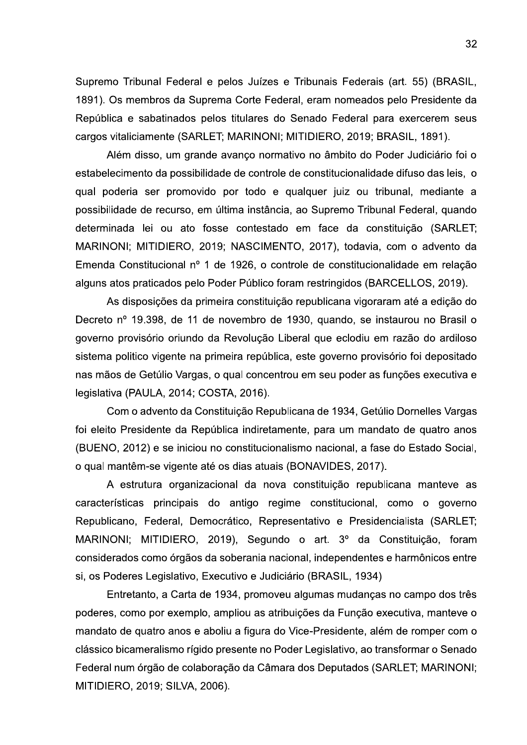Supremo Tribunal Federal e pelos Juízes e Tribunais Federais (art. 55) (BRASIL, 1891). Os membros da Suprema Corte Federal, eram nomeados pelo Presidente da República e sabatinados pelos titulares do Senado Federal para exercerem seus cargos vitaliciamente (SARLET; MARINONI; MITIDIERO, 2019; BRASIL, 1891).

Além disso, um grande avanço normativo no âmbito do Poder Judiciário foi o estabelecimento da possibilidade de controle de constitucionalidade difuso das leis, o qual poderia ser promovido por todo e qualquer juiz ou tribunal, mediante a possibilidade de recurso, em última instância, ao Supremo Tribunal Federal, quando determinada lei ou ato fosse contestado em face da constituição (SARLET; MARINONI; MITIDIERO, 2019; NASCIMENTO, 2017), todavia, com o advento da Emenda Constitucional nº 1 de 1926, o controle de constitucionalidade em relação alguns atos praticados pelo Poder Público foram restringidos (BARCELLOS, 2019).

As disposições da primeira constituição republicana vigoraram até a edição do Decreto nº 19.398, de 11 de novembro de 1930, quando, se instaurou no Brasil o governo provisório oriundo da Revolução Liberal que eclodiu em razão do ardiloso sistema politico vigente na primeira república, este governo provisório foi depositado nas mãos de Getúlio Vargas, o qual concentrou em seu poder as funções executiva e legislativa (PAULA, 2014; COSTA, 2016).

Com o advento da Constituição Republicana de 1934, Getúlio Dornelles Vargas foi eleito Presidente da República indiretamente, para um mandato de quatro anos (BUENO, 2012) e se iniciou no constitucionalismo nacional, a fase do Estado Social, o qual mantêm-se vigente até os dias atuais (BONAVIDES, 2017).

A estrutura organizacional da nova constituição republicana manteve as características principais do antigo regime constitucional, como o governo Republicano, Federal, Democrático, Representativo e Presidencialista (SARLET; MARINONI; MITIDIERO, 2019), Segundo o art. 3º da Constituição, foram considerados como órgãos da soberania nacional, independentes e harmônicos entre si, os Poderes Legislativo, Executivo e Judiciário (BRASIL, 1934)

Entretanto, a Carta de 1934, promoveu algumas mudanças no campo dos três poderes, como por exemplo, ampliou as atribuições da Função executiva, manteve o mandato de quatro anos e aboliu a figura do Vice-Presidente, além de romper com o clássico bicameralismo rígido presente no Poder Legislativo, ao transformar o Senado Federal num órgão de colaboração da Câmara dos Deputados (SARLET; MARINONI; MITIDIERO, 2019; SILVA, 2006).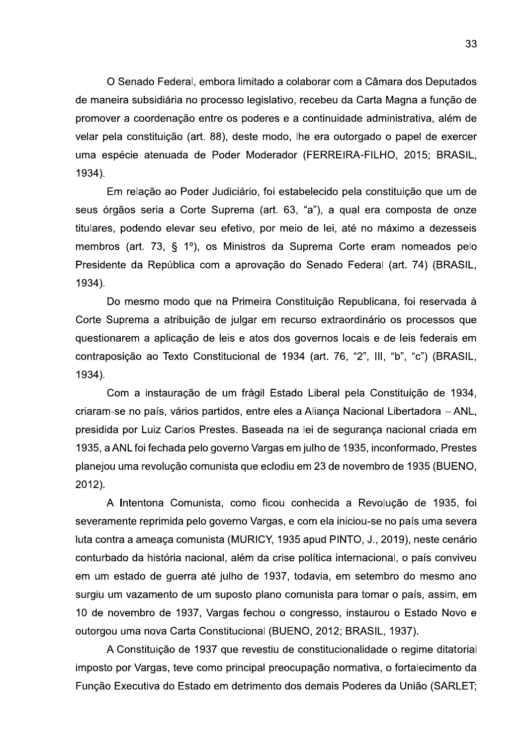O Senado Federal, embora limitado a colaborar com a Câmara dos Deputados de maneira subsidiária no processo legislativo, recebeu da Carta Magna a função de promover a coordenação entre os poderes e a continuidade administrativa, além de velar pela constituição (art. 88), deste modo, lhe era outorgado o papel de exercer uma espécie atenuada de Poder Moderador (FERREIRA-FILHO, 2015; BRASIL, 1934).

Em relação ao Poder Judiciário, foi estabelecido pela constituição que um de seus órgãos seria a Corte Suprema (art. 63, "a"), a qual era composta de onze titulares, podendo elevar seu efetivo, por meio de lei, até no máximo a dezesseis membros (art. 73, § 1º), os Ministros da Suprema Corte eram nomeados pelo Presidente da República com a aprovação do Senado Federal (art. 74) (BRASIL, 1934).

Do mesmo modo que na Primeira Constituição Republicana, foi reservada à Corte Suprema a atribuição de julgar em recurso extraordinário os processos que questionarem a aplicação de leis e atos dos governos locais e de leis federais em contraposição ao Texto Constitucional de 1934 (art. 76, "2", III, "b", "c") (BRASIL, 1934).

Com a instauração de um frágil Estado Liberal pela Constituição de 1934, criaram-se no país, vários partidos, entre eles a Aliança Nacional Libertadora - ANL, presidida por Luiz Carlos Prestes. Baseada na lei de segurança nacional criada em 1935, a ANL foi fechada pelo governo Vargas em julho de 1935, inconformado, Prestes planejou uma revolução comunista que eclodiu em 23 de novembro de 1935 (BUENO, 2012).

A Intentona Comunista, como ficou conhecida a Revolução de 1935, foi severamente reprimida pelo governo Vargas, e com ela iniciou-se no país uma severa luta contra a ameaça comunista (MURICY, 1935 apud PINTO, J., 2019), neste cenário conturbado da história nacional, além da crise política internacional, o país conviveu em um estado de querra até julho de 1937, todavia, em setembro do mesmo ano surgiu um vazamento de um suposto plano comunista para tomar o país, assim, em 10 de novembro de 1937, Vargas fechou o congresso, instaurou o Estado Novo e outorgou uma nova Carta Constitucional (BUENO, 2012; BRASIL, 1937).

A Constituição de 1937 que revestiu de constitucionalidade o regime ditatorial imposto por Vargas, teve como principal preocupação normativa, o fortalecimento da Função Executiva do Estado em detrimento dos demais Poderes da União (SARLET;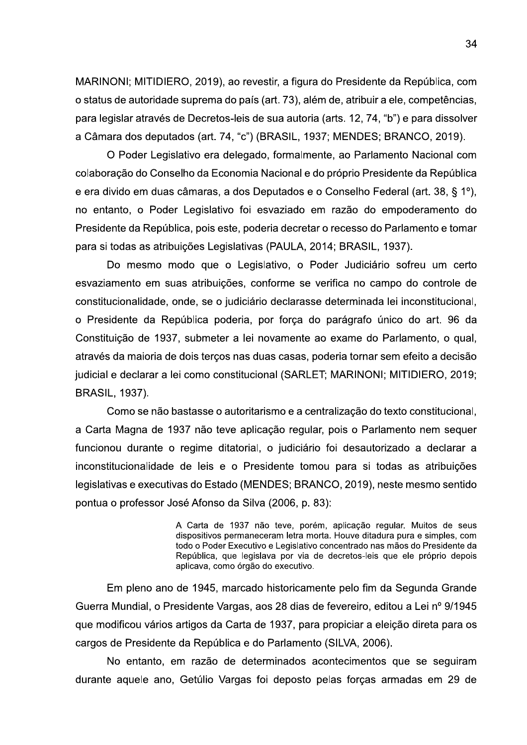MARINONI; MITIDIERO, 2019), ao revestir, a figura do Presidente da República, com o status de autoridade suprema do país (art. 73), além de, atribuir a ele, competências, para legislar através de Decretos-leis de sua autoria (arts. 12, 74, "b") e para dissolver a Câmara dos deputados (art. 74, "c") (BRASIL, 1937; MENDES; BRANCO, 2019).

O Poder Legislativo era delegado, formalmente, ao Parlamento Nacional com colaboração do Conselho da Economia Nacional e do próprio Presidente da República e era divido em duas câmaras, a dos Deputados e o Conselho Federal (art. 38, § 1°), no entanto, o Poder Legislativo foi esvaziado em razão do empoderamento do Presidente da República, pois este, poderia decretar o recesso do Parlamento e tomar para si todas as atribuições Legislativas (PAULA, 2014; BRASIL, 1937).

Do mesmo modo que o Legislativo, o Poder Judiciário sofreu um certo esvaziamento em suas atribuições, conforme se verifica no campo do controle de constitucionalidade, onde, se o judiciário declarasse determinada lei inconstitucional, o Presidente da República poderia, por força do parágrafo único do art. 96 da Constituição de 1937, submeter a lei novamente ao exame do Parlamento, o qual, através da maioria de dois terços nas duas casas, poderia tornar sem efeito a decisão judicial e declarar a lei como constitucional (SARLET; MARINONI; MITIDIERO, 2019; **BRASIL, 1937).** 

Como se não bastasse o autoritarismo e a centralização do texto constitucional, a Carta Magna de 1937 não teve aplicação regular, pois o Parlamento nem sequer funcionou durante o regime ditatorial, o judiciário foi desautorizado a declarar a inconstitucionalidade de leis e o Presidente tomou para si todas as atribuições legislativas e executivas do Estado (MENDES; BRANCO, 2019), neste mesmo sentido pontua o professor José Afonso da Silva (2006, p. 83):

> A Carta de 1937 não teve, porém, aplicação regular. Muitos de seus dispositivos permaneceram letra morta. Houve ditadura pura e simples, com todo o Poder Executivo e Legislativo concentrado nas mãos do Presidente da República, que legislava por via de decretos-leis que ele próprio depois aplicava, como órgão do executivo.

Em pleno ano de 1945, marcado historicamente pelo fim da Segunda Grande Guerra Mundial, o Presidente Vargas, aos 28 dias de fevereiro, editou a Lei nº 9/1945 que modificou vários artigos da Carta de 1937, para propiciar a eleição direta para os cargos de Presidente da República e do Parlamento (SILVA, 2006).

No entanto, em razão de determinados acontecimentos que se seguiram durante aquele ano, Getúlio Vargas foi deposto pelas forças armadas em 29 de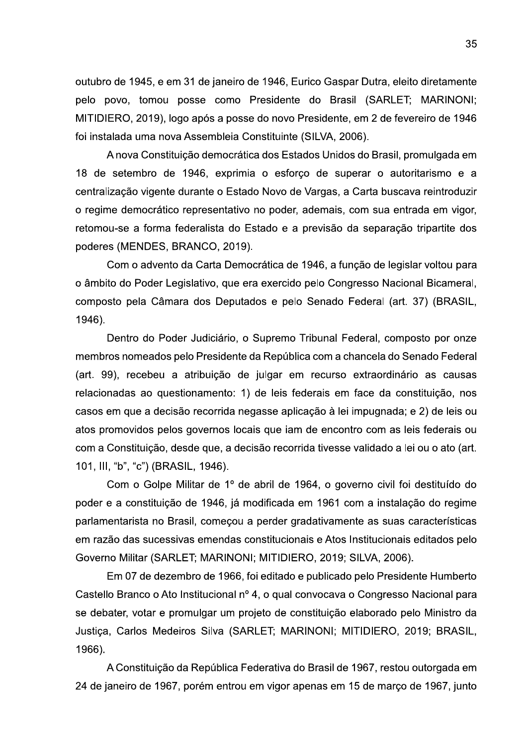outubro de 1945, e em 31 de janeiro de 1946, Eurico Gaspar Dutra, eleito diretamente pelo povo, tomou posse como Presidente do Brasil (SARLET; MARINONI; MITIDIERO, 2019), logo após a posse do novo Presidente, em 2 de fevereiro de 1946 foi instalada uma nova Assembleia Constituinte (SILVA, 2006).

A nova Constituição democrática dos Estados Unidos do Brasil, promulgada em 18 de setembro de 1946, exprimia o esforço de superar o autoritarismo e a centralização vigente durante o Estado Novo de Vargas, a Carta buscava reintroduzir o regime democrático representativo no poder, ademais, com sua entrada em vigor, retomou-se a forma federalista do Estado e a previsão da separação tripartite dos poderes (MENDES, BRANCO, 2019).

Com o advento da Carta Democrática de 1946, a função de legislar voltou para o âmbito do Poder Legislativo, que era exercido pelo Congresso Nacional Bicameral, composto pela Câmara dos Deputados e pelo Senado Federal (art. 37) (BRASIL, 1946).

Dentro do Poder Judiciário, o Supremo Tribunal Federal, composto por onze membros nomeados pelo Presidente da República com a chancela do Senado Federal (art. 99), recebeu a atribuicão de julgar em recurso extraordinário as causas relacionadas ao questionamento: 1) de leis federais em face da constituição, nos casos em que a decisão recorrida negasse aplicação à lei impugnada; e 2) de leis ou atos promovidos pelos governos locais que iam de encontro com as leis federais ou com a Constituição, desde que, a decisão recorrida tivesse validado a lei ou o ato (art. 101, III, "b", "c") (BRASIL, 1946).

Com o Golpe Militar de 1º de abril de 1964, o governo civil foi destituído do poder e a constituição de 1946, já modificada em 1961 com a instalação do regime parlamentarista no Brasil, comecou a perder gradativamente as suas características em razão das sucessivas emendas constitucionais e Atos Institucionais editados pelo Governo Militar (SARLET; MARINONI; MITIDIERO, 2019; SILVA, 2006).

Em 07 de dezembro de 1966, foi editado e publicado pelo Presidente Humberto Castello Branco o Ato Institucional nº 4, o qual convocava o Congresso Nacional para se debater, votar e promulgar um projeto de constituição elaborado pelo Ministro da Justiça, Carlos Medeiros Silva (SARLET; MARINONI; MITIDIERO, 2019; BRASIL, 1966).

A Constituição da República Federativa do Brasil de 1967, restou outorgada em 24 de janeiro de 1967, porém entrou em vigor apenas em 15 de março de 1967, junto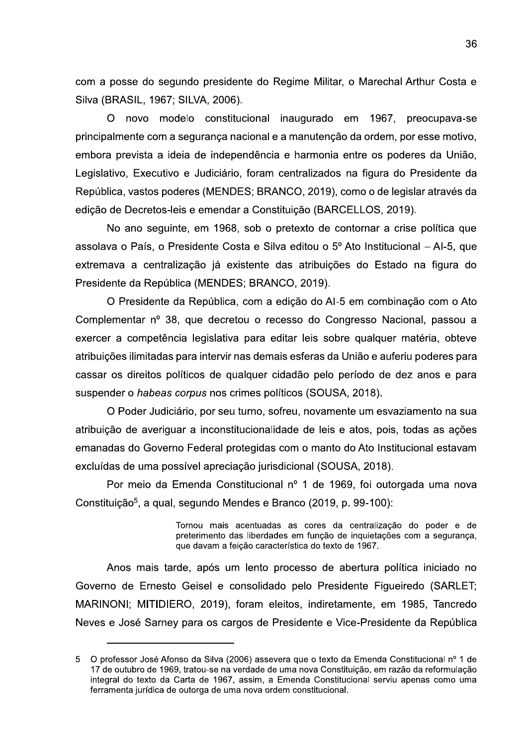com a posse do segundo presidente do Regime Militar, o Marechal Arthur Costa e Silva (BRASIL, 1967; SILVA, 2006).

O novo modelo constitucional inaugurado em 1967, preocupava-se principalmente com a segurança nacional e a manutenção da ordem, por esse motivo, embora prevista a ideia de independência e harmonia entre os poderes da União, Legislativo, Executivo e Judiciário, foram centralizados na figura do Presidente da República, vastos poderes (MENDES; BRANCO, 2019), como o de legislar através da edição de Decretos-leis e emendar a Constituição (BARCELLOS, 2019).

No ano sequinte, em 1968, sob o pretexto de contornar a crise política que assolava o País, o Presidente Costa e Silva editou o 5º Ato Institucional - Al-5, que extremava a centralização já existente das atribuições do Estado na figura do Presidente da República (MENDES; BRANCO, 2019).

O Presidente da República, com a edição do AI-5 em combinação com o Ato Complementar nº 38, que decretou o recesso do Congresso Nacional, passou a exercer a competência legislativa para editar leis sobre qualquer matéria, obteve atribuições ilimitadas para intervir nas demais esferas da União e auferiu poderes para cassar os direitos políticos de qualquer cidadão pelo período de dez anos e para suspender o habeas corpus nos crimes políticos (SOUSA, 2018).

O Poder Judiciário, por seu turno, sofreu, novamente um esvaziamento na sua atribuição de averiguar a inconstitucionalidade de leis e atos, pois, todas as ações emanadas do Governo Federal protegidas com o manto do Ato Institucional estavam excluídas de uma possível apreciação jurisdicional (SOUSA, 2018).

Por meio da Emenda Constitucional nº 1 de 1969, foi outorgada uma nova Constituição<sup>5</sup>, a qual, segundo Mendes e Branco (2019, p. 99-100):

> Tornou mais acentuadas as cores da centralização do poder e de preterimento das liberdades em função de inquietações com a segurança, que davam a feição característica do texto de 1967.

Anos mais tarde, após um lento processo de abertura política iniciado no Governo de Ernesto Geisel e consolidado pelo Presidente Figueiredo (SARLET; MARINONI; MITIDIERO, 2019), foram eleitos, indiretamente, em 1985, Tancredo Neves e José Sarney para os cargos de Presidente e Vice-Presidente da República

O professor José Afonso da Silva (2006) assevera que o texto da Emenda Constitucional nº 1 de  $5<sup>5</sup>$ 17 de outubro de 1969, tratou-se na verdade de uma nova Constituição, em razão da reformulação integral do texto da Carta de 1967, assim, a Emenda Constitucional serviu apenas como uma ferramenta jurídica de outorga de uma nova ordem constitucional.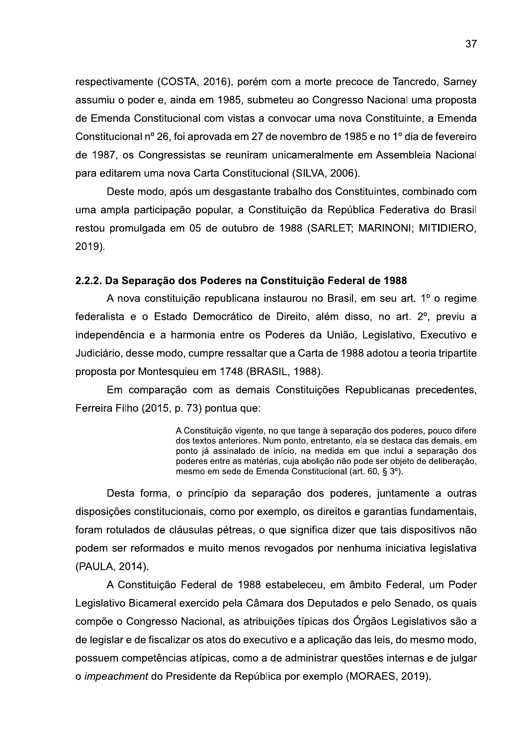respectivamente (COSTA, 2016), porém com a morte precoce de Tancredo, Sarney assumiu o poder e, ainda em 1985, submeteu ao Congresso Nacional uma proposta de Emenda Constitucional com vistas a convocar uma nova Constituinte, a Emenda Constitucional nº 26, foi aprovada em 27 de novembro de 1985 e no 1º dia de fevereiro de 1987, os Congressistas se reuniram unicameralmente em Assembleia Nacional para editarem uma nova Carta Constitucional (SILVA, 2006).

Deste modo, após um desgastante trabalho dos Constituintes, combinado com uma ampla participação popular, a Constituição da República Federativa do Brasil restou promulgada em 05 de outubro de 1988 (SARLET: MARINONI: MITIDIERO. 2019).

## 2.2.2. Da Separação dos Poderes na Constituição Federal de 1988

A nova constituição republicana instaurou no Brasil, em seu art. 1º o regime federalista e o Estado Democrático de Direito, além disso, no art. 2<sup>°</sup>, previu a independência e a harmonia entre os Poderes da União, Legislativo, Executivo e Judiciário, desse modo, cumpre ressaltar que a Carta de 1988 adotou a teoria tripartite proposta por Montesquieu em 1748 (BRASIL, 1988).

Em comparação com as demais Constituições Republicanas precedentes, Ferreira Filho (2015, p. 73) pontua que:

> A Constituição vigente, no que tange à separação dos poderes, pouco difere dos textos anteriores. Num ponto, entretanto, ela se destaca das demais, em ponto já assinalado de início, na medida em que inclui a separação dos poderes entre as matérias, cuja abolição não pode ser objeto de deliberação, mesmo em sede de Emenda Constitucional (art. 60, § 3°).

Desta forma, o princípio da separação dos poderes, juntamente a outras disposições constitucionais, como por exemplo, os direitos e garantias fundamentais, foram rotulados de cláusulas pétreas, o que significa dizer que tais dispositivos não podem ser reformados e muito menos revogados por nenhuma iniciativa legislativa (PAULA, 2014).

A Constituição Federal de 1988 estabeleceu, em âmbito Federal, um Poder Legislativo Bicameral exercido pela Câmara dos Deputados e pelo Senado, os quais compõe o Congresso Nacional, as atribuições típicas dos Órgãos Legislativos são a de legislar e de fiscalizar os atos do executivo e a aplicação das leis, do mesmo modo, possuem competências atípicas, como a de administrar questões internas e de julgar o impeachment do Presidente da República por exemplo (MORAES, 2019).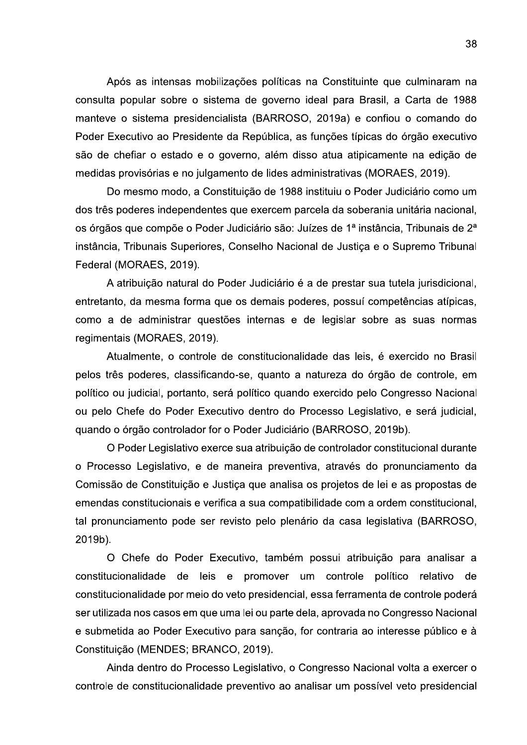Após as intensas mobilizações políticas na Constituinte que culminaram na consulta popular sobre o sistema de governo ideal para Brasil, a Carta de 1988 manteve o sistema presidencialista (BARROSO, 2019a) e confiou o comando do Poder Executivo ao Presidente da República, as funções típicas do órgão executivo são de chefiar o estado e o governo, além disso atua atipicamente na edição de medidas provisórias e no julgamento de lides administrativas (MORAES, 2019).

Do mesmo modo, a Constituição de 1988 instituiu o Poder Judiciário como um dos três poderes independentes que exercem parcela da soberania unitária nacional, os órgãos que compõe o Poder Judiciário são: Juízes de 1ª instância. Tribunais de 2ª instância, Tribunais Superiores, Conselho Nacional de Justiça e o Supremo Tribunal Federal (MORAES, 2019).

A atribuição natural do Poder Judiciário é a de prestar sua tutela jurisdicional, entretanto, da mesma forma que os demais poderes, possuí competências atípicas, como a de administrar questões internas e de legislar sobre as suas normas regimentais (MORAES, 2019).

Atualmente, o controle de constitucionalidade das leis, é exercido no Brasil pelos três poderes, classificando-se, quanto a natureza do órgão de controle, em político ou judicial, portanto, será político quando exercido pelo Congresso Nacional ou pelo Chefe do Poder Executivo dentro do Processo Legislativo, e será judicial, quando o órgão controlador for o Poder Judiciário (BARROSO, 2019b).

O Poder Legislativo exerce sua atribuição de controlador constitucional durante o Processo Legislativo, e de maneira preventiva, através do pronunciamento da Comissão de Constituição e Justiça que analisa os projetos de lei e as propostas de emendas constitucionais e verifica a sua compatibilidade com a ordem constitucional, tal pronunciamento pode ser revisto pelo plenário da casa legislativa (BARROSO, 2019b).

O Chefe do Poder Executivo, também possui atribuição para analisar a constitucionalidade de leis e promover um controle político relativo de constitucionalidade por meio do veto presidencial, essa ferramenta de controle poderá ser utilizada nos casos em que uma lei ou parte dela, aprovada no Congresso Nacional e submetida ao Poder Executivo para sanção, for contraria ao interesse público e à Constituição (MENDES; BRANCO, 2019).

Ainda dentro do Processo Legislativo, o Congresso Nacional volta a exercer o controle de constitucionalidade preventivo ao analisar um possível veto presidencial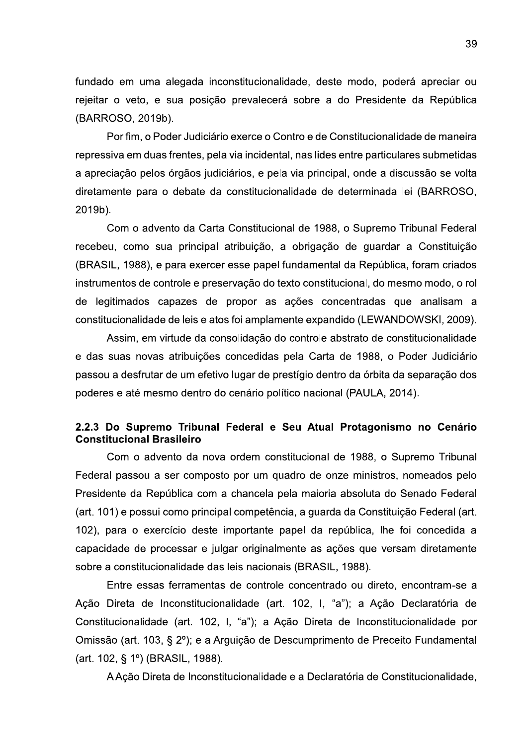fundado em uma alegada inconstitucionalidade, deste modo, poderá apreciar ou rejeitar o veto, e sua posição prevalecerá sobre a do Presidente da República (BARROSO, 2019b).

Por fim, o Poder Judiciário exerce o Controle de Constitucionalidade de maneira repressiva em duas frentes, pela via incidental, nas lides entre particulares submetidas a apreciação pelos órgãos judiciários, e pela via principal, onde a discussão se volta diretamente para o debate da constitucionalidade de determinada lei (BARROSO, 2019b).

Com o advento da Carta Constitucional de 1988, o Supremo Tribunal Federal recebeu, como sua principal atribuição, a obrigação de guardar a Constituição (BRASIL, 1988), e para exercer esse papel fundamental da República, foram criados instrumentos de controle e preservação do texto constitucional, do mesmo modo, o rol de legitimados capazes de propor as ações concentradas que analisam a constitucionalidade de leis e atos foi amplamente expandido (LEWANDOWSKI, 2009).

Assim, em virtude da consolidação do controle abstrato de constitucionalidade e das suas novas atribuições concedidas pela Carta de 1988, o Poder Judiciário passou a desfrutar de um efetivo lugar de prestígio dentro da órbita da separação dos poderes e até mesmo dentro do cenário político nacional (PAULA, 2014).

## 2.2.3 Do Supremo Tribunal Federal e Seu Atual Protagonismo no Cenário **Constitucional Brasileiro**

Com o advento da nova ordem constitucional de 1988, o Supremo Tribunal Federal passou a ser composto por um quadro de onze ministros, nomeados pelo Presidente da República com a chancela pela maioria absoluta do Senado Federal (art. 101) e possui como principal competência, a guarda da Constituição Federal (art. 102), para o exercício deste importante papel da república, lhe foi concedida a capacidade de processar e julgar originalmente as ações que versam diretamente sobre a constitucionalidade das leis nacionais (BRASIL, 1988).

Entre essas ferramentas de controle concentrado ou direto, encontram-se a Ação Direta de Inconstitucionalidade (art. 102, I, "a"); a Ação Declaratória de Constitucionalidade (art. 102, I, "a"); a Ação Direta de Inconstitucionalidade por Omissão (art. 103, § 2º); e a Arguição de Descumprimento de Preceito Fundamental (art. 102, § 1°) (BRASIL, 1988).

A Ação Direta de Inconstitucionalidade e a Declaratória de Constitucionalidade,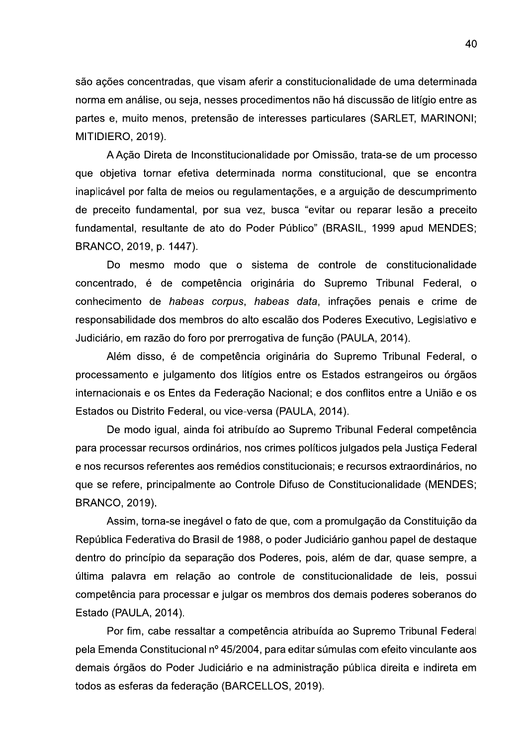são ações concentradas, que visam aferir a constitucionalidade de uma determinada norma em análise, ou seja, nesses procedimentos não há discussão de litígio entre as partes e, muito menos, pretensão de interesses particulares (SARLET, MARINONI; MITIDIERO, 2019).

A Ação Direta de Inconstitucionalidade por Omissão, trata-se de um processo que objetiva tornar efetiva determinada norma constitucional, que se encontra inaplicável por falta de meios ou regulamentações, e a arguição de descumprimento de preceito fundamental, por sua vez, busca "evitar ou reparar lesão a preceito fundamental, resultante de ato do Poder Público" (BRASIL, 1999 apud MENDES; BRANCO, 2019, p. 1447).

Do mesmo modo que o sistema de controle de constitucionalidade concentrado, é de competência originária do Supremo Tribunal Federal, o conhecimento de habeas corpus, habeas data, infrações penais e crime de responsabilidade dos membros do alto escalão dos Poderes Executivo, Legislativo e Judiciário, em razão do foro por prerrogativa de função (PAULA, 2014).

Além disso, é de competência originária do Supremo Tribunal Federal, o processamento e julgamento dos litígios entre os Estados estrangeiros ou órgãos internacionais e os Entes da Federação Nacional; e dos conflitos entre a União e os Estados ou Distrito Federal, ou vice-versa (PAULA, 2014).

De modo igual, ainda foi atribuído ao Supremo Tribunal Federal competência para processar recursos ordinários, nos crimes políticos julgados pela Justiça Federal e nos recursos referentes aos remédios constitucionais; e recursos extraordinários, no que se refere, principalmente ao Controle Difuso de Constitucionalidade (MENDES; **BRANCO, 2019).** 

Assim, torna-se inegável o fato de que, com a promulgação da Constituição da República Federativa do Brasil de 1988, o poder Judiciário ganhou papel de destaque dentro do princípio da separação dos Poderes, pois, além de dar, quase sempre, a última palavra em relação ao controle de constitucionalidade de leis, possui competência para processar e julgar os membros dos demais poderes soberanos do Estado (PAULA, 2014).

Por fim, cabe ressaltar a competência atribuída ao Supremo Tribunal Federal pela Emenda Constitucional nº 45/2004, para editar súmulas com efeito vinculante aos demais órgãos do Poder Judiciário e na administração pública direita e indireta em todos as esferas da federação (BARCELLOS, 2019).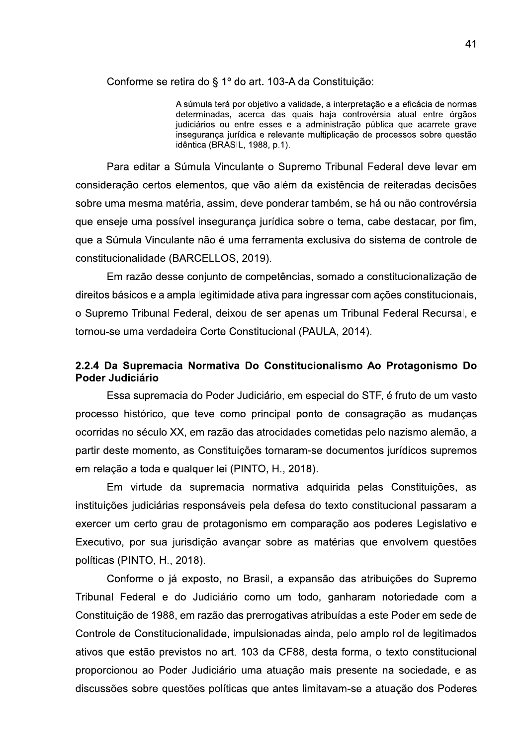Conforme se retira do § 1º do art. 103-A da Constituição:

A súmula terá por obietivo a validade, a interpretação e a eficácia de normas determinadas, acerca das quais haja controvérsia atual entre órgãos judiciários ou entre esses e a administração pública que acarrete grave inseguranca jurídica e relevante multiplicação de processos sobre questão idêntica (BRASIL, 1988, p.1).

Para editar a Súmula Vinculante o Supremo Tribunal Federal deve levar em consideração certos elementos, que vão além da existência de reiteradas decisões sobre uma mesma matéria, assim, deve ponderar também, se há ou não controvérsia que enseje uma possível insegurança jurídica sobre o tema, cabe destacar, por fim, que a Súmula Vinculante não é uma ferramenta exclusiva do sistema de controle de constitucionalidade (BARCELLOS, 2019).

Em razão desse conjunto de competências, somado a constitucionalização de direitos básicos e a ampla legitimidade ativa para ingressar com ações constitucionais, o Supremo Tribunal Federal, deixou de ser apenas um Tribunal Federal Recursal, e tornou-se uma verdadeira Corte Constitucional (PAULA, 2014).

# 2.2.4 Da Supremacia Normativa Do Constitucionalismo Ao Protagonismo Do Poder Judiciário

Essa supremacia do Poder Judiciário, em especial do STF, é fruto de um vasto processo histórico, que teve como principal ponto de consagração as mudanças ocorridas no século XX, em razão das atrocidades cometidas pelo nazismo alemão, a partir deste momento, as Constituições tornaram-se documentos jurídicos supremos em relação a toda e qualquer lei (PINTO, H., 2018).

Em virtude da supremacia normativa adquirida pelas Constituições, as instituições judiciárias responsáveis pela defesa do texto constitucional passaram a exercer um certo grau de protagonismo em comparação aos poderes Legislativo e Executivo, por sua jurisdição avançar sobre as matérias que envolvem questões políticas (PINTO, H., 2018).

Conforme o já exposto, no Brasil, a expansão das atribuições do Supremo Tribunal Federal e do Judiciário como um todo, ganharam notoriedade com a Constituição de 1988, em razão das prerrogativas atribuídas a este Poder em sede de Controle de Constitucionalidade, impulsionadas ainda, pelo amplo rol de legitimados ativos que estão previstos no art. 103 da CF88, desta forma, o texto constitucional proporcionou ao Poder Judiciário uma atuação mais presente na sociedade, e as discussões sobre questões políticas que antes limitavam-se a atuação dos Poderes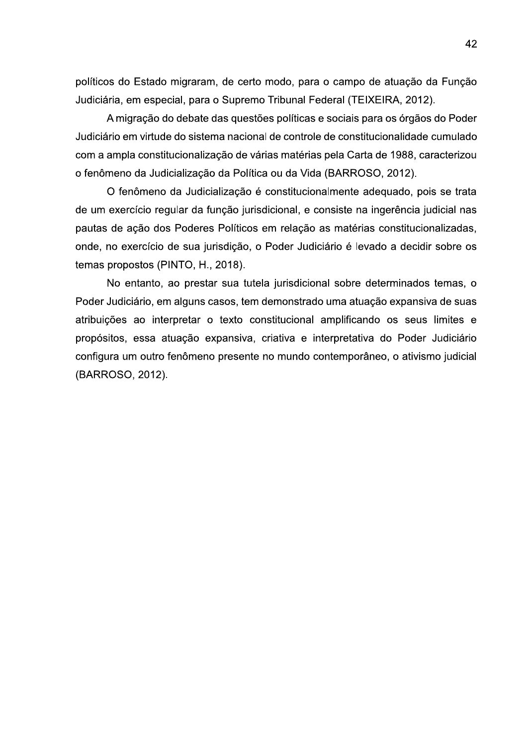políticos do Estado migraram, de certo modo, para o campo de atuação da Função Judiciária, em especial, para o Supremo Tribunal Federal (TEIXEIRA, 2012).

A migração do debate das questões políticas e sociais para os órgãos do Poder Judiciário em virtude do sistema nacional de controle de constitucionalidade cumulado com a ampla constitucionalização de várias matérias pela Carta de 1988, caracterizou o fenômeno da Judicialização da Política ou da Vida (BARROSO, 2012).

O fenômeno da Judicialização é constitucionalmente adequado, pois se trata de um exercício regular da função jurisdicional, e consiste na ingerência judicial nas pautas de ação dos Poderes Políticos em relação as matérias constitucionalizadas. onde, no exercício de sua jurisdição, o Poder Judiciário é levado a decidir sobre os temas propostos (PINTO, H., 2018).

No entanto, ao prestar sua tutela jurisdicional sobre determinados temas, o Poder Judiciário, em alguns casos, tem demonstrado uma atuação expansiva de suas atribuições ao interpretar o texto constitucional amplificando os seus limites e propósitos, essa atuação expansiva, criativa e interpretativa do Poder Judiciário configura um outro fenômeno presente no mundo contemporâneo, o ativismo judicial (BARROSO, 2012).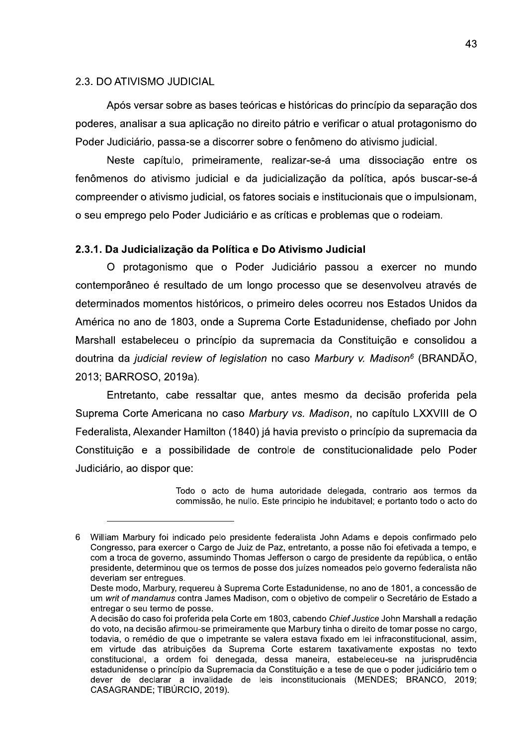#### 2.3. DO ATIVISMO JUDICIAL

Após versar sobre as bases teóricas e históricas do princípio da separação dos poderes, analisar a sua aplicação no direito pátrio e verificar o atual protagonismo do Poder Judiciário, passa-se a discorrer sobre o fenômeno do ativismo judicial.

Neste capítulo, primeiramente, realizar-se-á uma dissociação entre os fenômenos do ativismo judicial e da judicialização da política, após buscar-se-á compreender o ativismo judicial, os fatores sociais e institucionais que o impulsionam, o seu emprego pelo Poder Judiciário e as críticas e problemas que o rodeiam.

## 2.3.1. Da Judicialização da Política e Do Ativismo Judicial

O protagonismo que o Poder Judiciário passou a exercer no mundo contemporâneo é resultado de um longo processo que se desenvolveu através de determinados momentos históricos, o primeiro deles ocorreu nos Estados Unidos da América no ano de 1803, onde a Suprema Corte Estadunidense, chefiado por John Marshall estabeleceu o princípio da supremacia da Constituição e consolidou a doutrina da judicial review of legislation no caso Marbury v. Madison<sup>6</sup> (BRANDÃO, 2013; BARROSO, 2019a).

Entretanto, cabe ressaltar que, antes mesmo da decisão proferida pela Suprema Corte Americana no caso Marbury vs. Madison, no capítulo LXXVIII de O Federalista, Alexander Hamilton (1840) já havia previsto o princípio da supremacia da Constituição e a possibilidade de controle de constitucionalidade pelo Poder Judiciário, ao dispor que:

> Todo o acto de huma autoridade delegada, contrario aos termos da commissão, he nullo. Este principio he indubitavel; e portanto todo o acto do

<sup>6</sup> William Marbury foi indicado pelo presidente federalista John Adams e depois confirmado pelo Congresso, para exercer o Cargo de Juiz de Paz, entretanto, a posse não foi efetivada a tempo, e com a troca de governo, assumindo Thomas Jefferson o cargo de presidente da república, o então presidente, determinou que os termos de posse dos juízes nomeados pelo governo federalista não deveriam ser entreques.

Deste modo, Marbury, requereu à Suprema Corte Estadunidense, no ano de 1801, a concessão de um writ of mandamus contra James Madison, com o objetivo de compelir o Secretário de Estado a entregar o seu termo de posse.

A decisão do caso foi proferida pela Corte em 1803, cabendo Chief Justice John Marshall a redação do voto, na decisão afirmou-se primeiramente que Marbury tinha o direito de tomar posse no cargo. todavia, o remédio de que o impetrante se valera estava fixado em lei infraconstitucional, assim, em virtude das atribuições da Suprema Corte estarem taxativamente expostas no texto constitucional, a ordem foi denegada, dessa maneira, estabeleceu-se na jurisprudência estadunidense o princípio da Supremacia da Constituição e a tese de que o poder judiciário tem o dever de declarar a invalidade de leis inconstitucionais (MENDES; BRANCO, 2019; CASAGRANDE; TIBÚRCIO, 2019).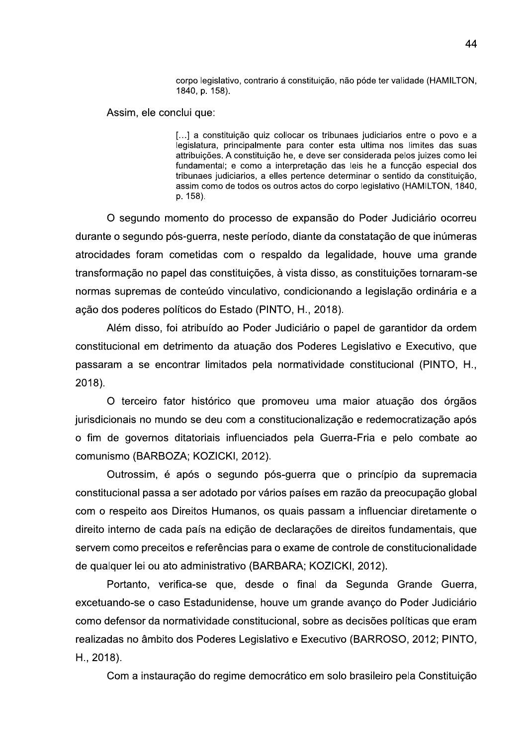corpo legislativo, contrario á constituição, não póde ter validade (HAMILTON, 1840, p. 158).

Assim, ele conclui que:

[...] a constituição quiz collocar os tribunaes judiciarios entre o povo e a legislatura, principalmente para conter esta ultima nos limites das suas attribuições. A constituição he, e deve ser considerada pelos juizes como lei fundamental; e como a interpretação das leis he a funcção especial dos tribunaes judiciarios, a elles pertence determinar o sentido da constituição, assim como de todos os outros actos do corpo legislativo (HAMILTON, 1840, p. 158).

O segundo momento do processo de expansão do Poder Judiciário ocorreu durante o segundo pós-guerra, neste período, diante da constatação de que inúmeras atrocidades foram cometidas com o respaldo da legalidade, houve uma grande transformação no papel das constituições, à vista disso, as constituições tornaram-se normas supremas de conteúdo vinculativo, condicionando a legislação ordinária e a ação dos poderes políticos do Estado (PINTO, H., 2018).

Além disso, foi atribuído ao Poder Judiciário o papel de garantidor da ordem constitucional em detrimento da atuação dos Poderes Legislativo e Executivo, que passaram a se encontrar limitados pela normatividade constitucional (PINTO, H.,  $2018$ ).

O terceiro fator histórico que promoveu uma maior atuação dos órgãos jurisdicionais no mundo se deu com a constitucionalização e redemocratização após o fim de governos ditatoriais influenciados pela Guerra-Fria e pelo combate ao comunismo (BARBOZA; KOZICKI, 2012).

Outrossim, é após o segundo pós-guerra que o princípio da supremacia constitucional passa a ser adotado por vários países em razão da preocupação global com o respeito aos Direitos Humanos, os quais passam a influenciar diretamente o direito interno de cada país na edição de declarações de direitos fundamentais, que servem como preceitos e referências para o exame de controle de constitucionalidade de qualquer lei ou ato administrativo (BARBARA; KOZICKI, 2012).

Portanto, verifica-se que, desde o final da Segunda Grande Guerra, excetuando-se o caso Estadunidense, houve um grande avanço do Poder Judiciário como defensor da normatividade constitucional, sobre as decisões políticas que eram realizadas no âmbito dos Poderes Legislativo e Executivo (BARROSO, 2012; PINTO, H., 2018).

Com a instauração do regime democrático em solo brasileiro pela Constituição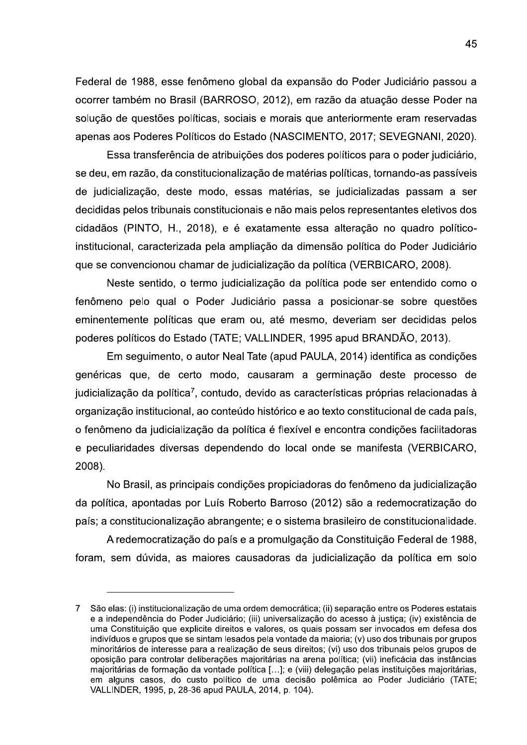Federal de 1988, esse fenômeno global da expansão do Poder Judiciário passou a ocorrer também no Brasil (BARROSO, 2012), em razão da atuação desse Poder na solução de questões políticas, sociais e morais que anteriormente eram reservadas apenas aos Poderes Políticos do Estado (NASCIMENTO, 2017; SEVEGNANI, 2020).

Essa transferência de atribuições dos poderes políticos para o poder judiciário, se deu, em razão, da constitucionalização de matérias políticas, tornando-as passíveis de judicialização, deste modo, essas matérias, se judicializadas passam a ser decididas pelos tribunais constitucionais e não mais pelos representantes eletivos dos cidadãos (PINTO, H., 2018), e é exatamente essa alteração no quadro políticoinstitucional, caracterizada pela ampliação da dimensão política do Poder Judiciário que se convencionou chamar de judicialização da política (VERBICARO, 2008).

Neste sentido, o termo judicialização da política pode ser entendido como o fenômeno pelo qual o Poder Judiciário passa a posicionar-se sobre questões eminentemente políticas que eram ou, até mesmo, deveriam ser decididas pelos poderes políticos do Estado (TATE; VALLINDER, 1995 apud BRANDÃO, 2013).

Em seguimento, o autor Neal Tate (apud PAULA, 2014) identifica as condições genéricas que, de certo modo, causaram a germinação deste processo de judicialização da política<sup>7</sup>, contudo, devido as características próprias relacionadas à organização institucional, ao conteúdo histórico e ao texto constitucional de cada país, o fenômeno da judicialização da política é flexível e encontra condições facilitadoras e peculiaridades diversas dependendo do local onde se manifesta (VERBICARO, 2008).

No Brasil, as principais condições propiciadoras do fenômeno da judicialização da política, apontadas por Luís Roberto Barroso (2012) são a redemocratização do país; a constitucionalização abrangente; e o sistema brasileiro de constitucionalidade.

A redemocratização do país e a promulgação da Constituição Federal de 1988, foram, sem dúvida, as maiores causadoras da judicialização da política em solo

São elas: (i) institucionalização de uma ordem democrática; (ii) separação entre os Poderes estatais  $\overline{7}$ e a independência do Poder Judiciário; (iii) universalização do acesso à justica; (iv) existência de uma Constituição que explicite direitos e valores, os quais possam ser invocados em defesa dos indivíduos e grupos que se sintam lesados pela vontade da maioria; (v) uso dos tribunais por grupos minoritários de interesse para a realização de seus direitos; (vi) uso dos tribunais pelos grupos de oposição para controlar deliberações majoritárias na arena política; (vii) ineficácia das instâncias majoritárias de formação da vontade política [...]; e (viii) delegação pelas instituições majoritárias, em alguns casos, do custo político de uma decisão polêmica ao Poder Judiciário (TATE; VALLINDER, 1995, p, 28-36 apud PAULA, 2014, p. 104).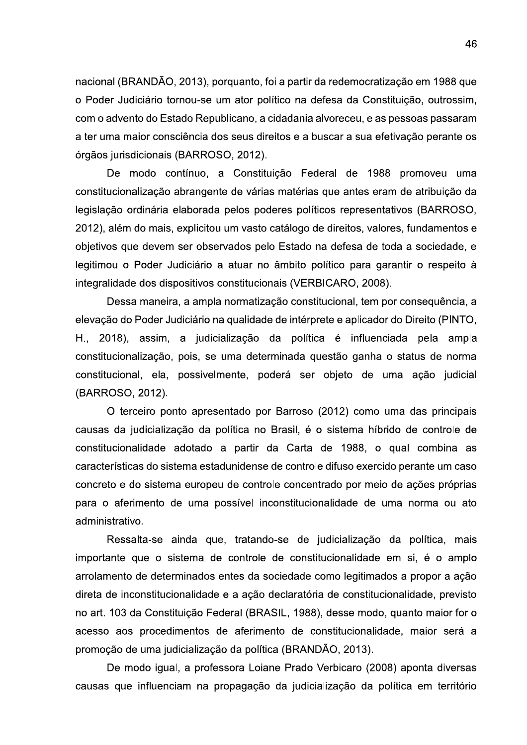nacional (BRANDÃO, 2013), porquanto, foi a partir da redemocratização em 1988 que o Poder Judiciário tornou-se um ator político na defesa da Constituição, outrossim, com o advento do Estado Republicano, a cidadania alvoreceu, e as pessoas passaram a ter uma maior consciência dos seus direitos e a buscar a sua efetivação perante os órgãos jurisdicionais (BARROSO, 2012).

De modo contínuo, a Constituição Federal de 1988 promoveu uma constitucionalização abrangente de várias matérias que antes eram de atribuição da legislação ordinária elaborada pelos poderes políticos representativos (BARROSO, 2012), além do mais, explicitou um vasto catálogo de direitos, valores, fundamentos e objetivos que devem ser observados pelo Estado na defesa de toda a sociedade, e legitimou o Poder Judiciário a atuar no âmbito político para garantir o respeito à integralidade dos dispositivos constitucionais (VERBICARO, 2008).

Dessa maneira, a ampla normatização constitucional, tem por consequência, a elevação do Poder Judiciário na qualidade de intérprete e aplicador do Direito (PINTO, H., 2018), assim, a judicialização da política é influenciada pela ampla constitucionalização, pois, se uma determinada questão ganha o status de norma constitucional, ela, possivelmente, poderá ser objeto de uma ação judicial (BARROSO, 2012).

O terceiro ponto apresentado por Barroso (2012) como uma das principais causas da judicialização da política no Brasil, é o sistema híbrido de controle de constitucionalidade adotado a partir da Carta de 1988, o qual combina as características do sistema estadunidense de controle difuso exercido perante um caso concreto e do sistema europeu de controle concentrado por meio de ações próprias para o aferimento de uma possível inconstitucionalidade de uma norma ou ato administrativo.

Ressalta-se ainda que, tratando-se de judicialização da política, mais importante que o sistema de controle de constitucionalidade em si, é o amplo arrolamento de determinados entes da sociedade como legitimados a propor a ação direta de inconstitucionalidade e a ação declaratória de constitucionalidade, previsto no art. 103 da Constituição Federal (BRASIL, 1988), desse modo, quanto maior for o acesso aos procedimentos de aferimento de constitucionalidade, maior será a promoção de uma judicialização da política (BRANDÃO, 2013).

De modo igual, a professora Loiane Prado Verbicaro (2008) aponta diversas causas que influenciam na propagação da judicialização da política em território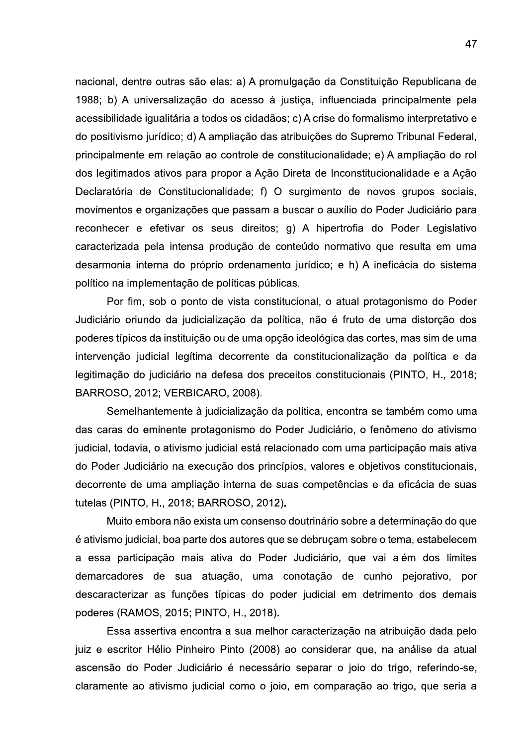nacional, dentre outras são elas: a) A promulgação da Constituição Republicana de 1988; b) A universalização do acesso à justiça, influenciada principalmente pela acessibilidade igualitária a todos os cidadãos; c) A crise do formalismo interpretativo e do positivismo jurídico; d) A ampliação das atribuições do Supremo Tribunal Federal, principalmente em relação ao controle de constitucionalidade; e) A ampliação do rol dos legitimados ativos para propor a Ação Direta de Inconstitucionalidade e a Ação Declaratória de Constitucionalidade; f) O surgimento de novos grupos sociais, movimentos e organizações que passam a buscar o auxílio do Poder Judiciário para reconhecer e efetivar os seus direitos; g) A hipertrofia do Poder Legislativo caracterizada pela intensa produção de conteúdo normativo que resulta em uma desarmonia interna do próprio ordenamento jurídico; e h) A ineficácia do sistema político na implementação de políticas públicas.

Por fim, sob o ponto de vista constitucional, o atual protagonismo do Poder Judiciário oriundo da judicialização da política, não é fruto de uma distorção dos poderes típicos da instituição ou de uma opção ideológica das cortes, mas sim de uma intervenção judicial legítima decorrente da constitucionalização da política e da legitimação do judiciário na defesa dos preceitos constitucionais (PINTO, H., 2018; BARROSO, 2012; VERBICARO, 2008).

Semelhantemente à judicialização da política, encontra-se também como uma das caras do eminente protagonismo do Poder Judiciário, o fenômeno do ativismo judicial, todavia, o ativismo judicial está relacionado com uma participação mais ativa do Poder Judiciário na execução dos princípios, valores e objetivos constitucionais, decorrente de uma ampliação interna de suas competências e da eficácia de suas tutelas (PINTO, H., 2018; BARROSO, 2012).

Muito embora não exista um consenso doutrinário sobre a determinação do que é ativismo judicial, boa parte dos autores que se debruçam sobre o tema, estabelecem a essa participação mais ativa do Poder Judiciário, que vai além dos limites demarcadores de sua atuação, uma conotação de cunho pejorativo, por descaracterizar as funções típicas do poder judicial em detrimento dos demais poderes (RAMOS, 2015; PINTO, H., 2018).

Essa assertiva encontra a sua melhor caracterização na atribuição dada pelo juiz e escritor Hélio Pinheiro Pinto (2008) ao considerar que, na análise da atual ascensão do Poder Judiciário é necessário separar o joio do trigo, referindo-se, claramente ao ativismo judicial como o joio, em comparação ao trigo, que seria a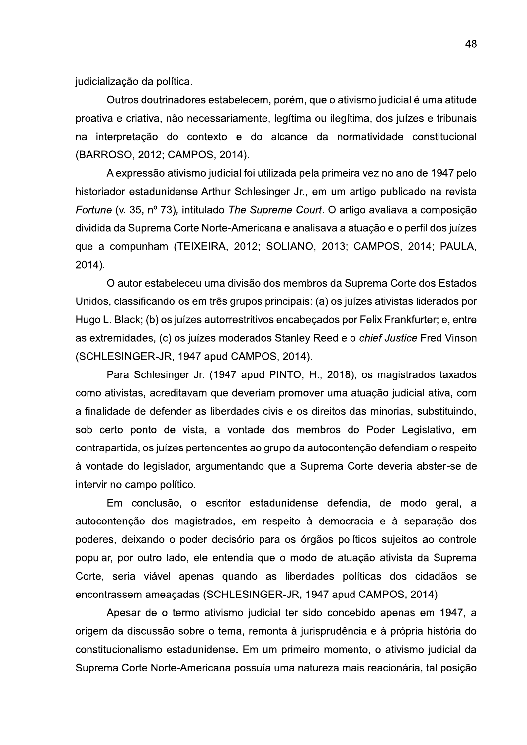judicialização da política.

Outros doutrinadores estabelecem, porém, que o ativismo judicial é uma atitude proativa e criativa, não necessariamente, legítima ou ilegítima, dos juízes e tribunais na interpretação do contexto e do alcance da normatividade constitucional (BARROSO, 2012; CAMPOS, 2014).

A expressão ativismo judicial foi utilizada pela primeira vez no ano de 1947 pelo historiador estadunidense Arthur Schlesinger Jr., em um artigo publicado na revista Fortune (v. 35, nº 73), intitulado The Supreme Court. O artigo avaliava a composição dividida da Suprema Corte Norte-Americana e analisava a atuação e o perfil dos juízes que a compunham (TEIXEIRA, 2012; SOLIANO, 2013; CAMPOS, 2014; PAULA, 2014).

O autor estabeleceu uma divisão dos membros da Suprema Corte dos Estados Unidos, classificando-os em três grupos principais: (a) os juízes ativistas liderados por Hugo L. Black; (b) os juízes autorrestritivos encabeçados por Felix Frankfurter; e, entre as extremidades, (c) os juízes moderados Stanley Reed e o *chief Justice* Fred Vinson (SCHLESINGER-JR, 1947 apud CAMPOS, 2014).

Para Schlesinger Jr. (1947 apud PINTO, H., 2018), os magistrados taxados como ativistas, acreditavam que deveriam promover uma atuação judicial ativa, com a finalidade de defender as liberdades civis e os direitos das minorias, substituindo, sob certo ponto de vista, a vontade dos membros do Poder Legislativo, em contrapartida, os juízes pertencentes ao grupo da autocontenção defendiam o respeito à vontade do legislador, argumentando que a Suprema Corte deveria abster-se de intervir no campo político.

Em conclusão, o escritor estadunidense defendia, de modo geral, a autocontenção dos magistrados, em respeito à democracia e à separação dos poderes, deixando o poder decisório para os órgãos políticos sujeitos ao controle popular, por outro lado, ele entendia que o modo de atuação ativista da Suprema Corte, seria viável apenas quando as liberdades políticas dos cidadãos se encontrassem ameaçadas (SCHLESINGER-JR, 1947 apud CAMPOS, 2014).

Apesar de o termo ativismo judicial ter sido concebido apenas em 1947, a origem da discussão sobre o tema, remonta à jurisprudência e à própria história do constitucionalismo estadunidense. Em um primeiro momento, o ativismo judicial da Suprema Corte Norte-Americana possuía uma natureza mais reacionária, tal posição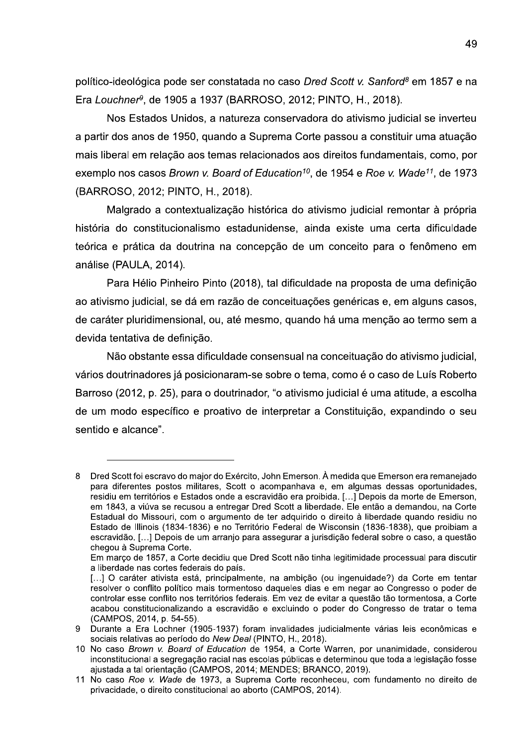político-ideológica pode ser constatada no caso Dred Scott v. Sanford<sup>8</sup> em 1857 e na Era Louchner<sup>9</sup>, de 1905 a 1937 (BARROSO, 2012; PINTO, H., 2018).

Nos Estados Unidos, a natureza conservadora do ativismo judicial se inverteu a partir dos anos de 1950, quando a Suprema Corte passou a constituir uma atuação mais liberal em relação aos temas relacionados aos direitos fundamentais, como, por exemplo nos casos Brown v. Board of Education<sup>10</sup>, de 1954 e Roe v. Wade<sup>11</sup>, de 1973 (BARROSO, 2012; PINTO, H., 2018).

Malgrado a contextualização histórica do ativismo judicial remontar à própria história do constitucionalismo estadunidense, ainda existe uma certa dificuldade teórica e prática da doutrina na concepção de um conceito para o fenômeno em análise (PAULA, 2014).

Para Hélio Pinheiro Pinto (2018), tal dificuldade na proposta de uma definição ao ativismo judicial, se dá em razão de conceituações genéricas e, em alguns casos, de caráter pluridimensional, ou, até mesmo, quando há uma menção ao termo sem a devida tentativa de definição.

Não obstante essa dificuldade consensual na conceituação do ativismo judicial, vários doutrinadores já posicionaram-se sobre o tema, como é o caso de Luís Roberto Barroso (2012, p. 25), para o doutrinador, "o ativismo judicial é uma atitude, a escolha de um modo específico e proativo de interpretar a Constituição, expandindo o seu sentido e alcance".

Dred Scott foi escravo do major do Exército, John Emerson. À medida que Emerson era remanejado 8 para diferentes postos militares, Scott o acompanhava e, em algumas dessas oportunidades, residiu em territórios e Estados onde a escravidão era proibida. [...] Depois da morte de Emerson, em 1843, a viúva se recusou a entregar Dred Scott a liberdade. Ele então a demandou, na Corte Estadual do Missouri, com o argumento de ter adquirido o direito à liberdade quando residiu no Estado de Illinois (1834-1836) e no Território Federal de Wisconsin (1836-1838), que proibiam a escravidão. [...] Depois de um arranjo para assegurar a jurisdição federal sobre o caso, a questão chegou à Suprema Corte.

Em marco de 1857, a Corte decidiu que Dred Scott não tinha legitimidade processual para discutir a liberdade nas cortes federais do país.

<sup>[...]</sup> O caráter ativista está, principalmente, na ambição (ou ingenuidade?) da Corte em tentar resolver o conflito político mais tormentoso daqueles dias e em negar ao Congresso o poder de controlar esse conflito nos territórios federais. Em vez de evitar a questão tão tormentosa, a Corte acabou constitucionalizando a escravidão e excluindo o poder do Congresso de tratar o tema (CAMPOS, 2014, p. 54-55).

Durante a Era Lochner (1905-1937) foram invalidades judicialmente várias leis econômicas e 9 sociais relativas ao período do New Deal (PINTO, H., 2018).

<sup>10</sup> No caso Brown v. Board of Education de 1954, a Corte Warren, por unanimidade, considerou inconstitucional a segregação racial nas escolas públicas e determinou que toda a legislação fosse ajustada a tal orientação (CAMPOS, 2014; MENDES; BRANCO, 2019).

<sup>11</sup> No caso Roe v. Wade de 1973, a Suprema Corte reconheceu, com fundamento no direito de privacidade, o direito constitucional ao aborto (CAMPOS, 2014).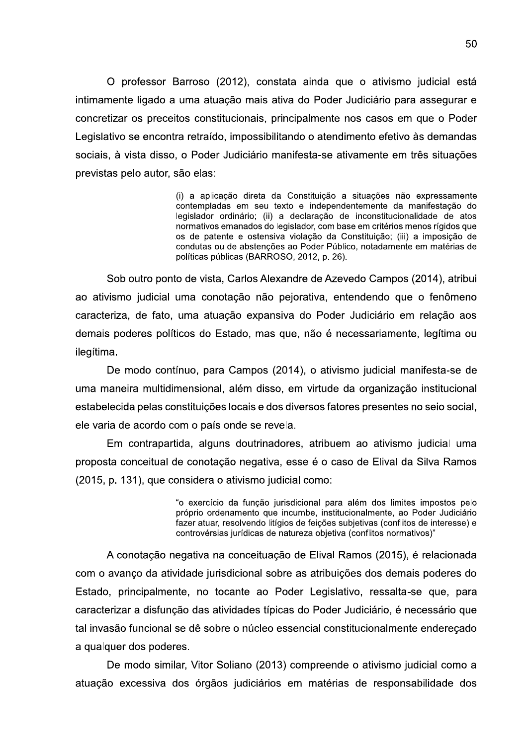O professor Barroso (2012), constata ainda que o ativismo judicial está intimamente ligado a uma atuação mais ativa do Poder Judiciário para assegurar e concretizar os preceitos constitucionais, principalmente nos casos em que o Poder Legislativo se encontra retraído, impossibilitando o atendimento efetivo às demandas sociais, à vista disso, o Poder Judiciário manifesta-se ativamente em três situações previstas pelo autor, são elas:

> (i) a aplicação direta da Constituição a situações não expressamente contempladas em seu texto e independentemente da manifestação do legislador ordinário; (ii) a declaração de inconstitucionalidade de atos normativos emanados do legislador, com base em critérios menos rígidos que os de patente e ostensiva violação da Constituição; (iii) a imposição de condutas ou de abstenções ao Poder Público, notadamente em matérias de políticas públicas (BARROSO, 2012, p. 26).

Sob outro ponto de vista, Carlos Alexandre de Azevedo Campos (2014), atribui ao ativismo judicial uma conotação não pejorativa, entendendo que o fenômeno caracteriza, de fato, uma atuação expansiva do Poder Judiciário em relação aos demais poderes políticos do Estado, mas que, não é necessariamente, legítima ou ilegítima.

De modo contínuo, para Campos (2014), o ativismo judicial manifesta-se de uma maneira multidimensional, além disso, em virtude da organização institucional estabelecida pelas constituições locais e dos diversos fatores presentes no seio social, ele varia de acordo com o país onde se revela.

Em contrapartida, alguns doutrinadores, atribuem ao ativismo judicial uma proposta conceitual de conotação negativa, esse é o caso de Elival da Silva Ramos (2015, p. 131), que considera o ativismo judicial como:

> "o exercício da função jurisdicional para além dos limites impostos pelo próprio ordenamento que incumbe, institucionalmente, ao Poder Judiciário fazer atuar, resolvendo litígios de feições subjetivas (conflitos de interesse) e controvérsias jurídicas de natureza objetiva (conflitos normativos)"

A conotação negativa na conceituação de Elival Ramos (2015), é relacionada com o avanço da atividade jurisdicional sobre as atribuições dos demais poderes do Estado, principalmente, no tocante ao Poder Legislativo, ressalta-se que, para caracterizar a disfunção das atividades típicas do Poder Judiciário, é necessário que tal invasão funcional se dê sobre o núcleo essencial constitucionalmente endereçado a qualquer dos poderes.

De modo similar, Vitor Soliano (2013) compreende o ativismo judicial como a atuação excessiva dos órgãos judiciários em matérias de responsabilidade dos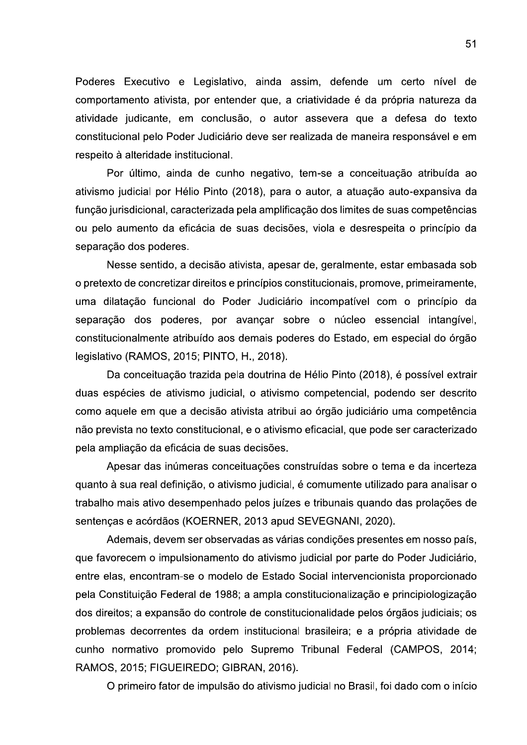Poderes Executivo e Legislativo, ainda assim, defende um certo nível de comportamento ativista, por entender que, a criatividade é da própria natureza da atividade judicante, em conclusão, o autor assevera que a defesa do texto constitucional pelo Poder Judiciário deve ser realizada de maneira responsável e em respeito à alteridade institucional.

Por último, ainda de cunho negativo, tem-se a conceituação atribuída ao ativismo judicial por Hélio Pinto (2018), para o autor, a atuação auto-expansiva da função jurisdicional, caracterizada pela amplificação dos limites de suas competências ou pelo aumento da eficácia de suas decisões, viola e desrespeita o princípio da separação dos poderes.

Nesse sentido, a decisão ativista, apesar de, geralmente, estar embasada sob o pretexto de concretizar direitos e princípios constitucionais, promove, primeiramente, uma dilatação funcional do Poder Judiciário incompatível com o princípio da separação dos poderes, por avançar sobre o núcleo essencial intangível, constitucionalmente atribuído aos demais poderes do Estado, em especial do órgão legislativo (RAMOS, 2015; PINTO, H., 2018).

Da conceituação trazida pela doutrina de Hélio Pinto (2018), é possível extrair duas espécies de ativismo judicial, o ativismo competencial, podendo ser descrito como aquele em que a decisão ativista atribui ao órgão judiciário uma competência não prevista no texto constitucional, e o ativismo eficacial, que pode ser caracterizado pela ampliação da eficácia de suas decisões.

Apesar das inúmeras conceituações construídas sobre o tema e da incerteza quanto à sua real definição, o ativismo judicial, é comumente utilizado para analisar o trabalho mais ativo desempenhado pelos juízes e tribunais quando das prolações de sentenças e acórdãos (KOERNER, 2013 apud SEVEGNANI, 2020).

Ademais, devem ser observadas as várias condições presentes em nosso país, que favorecem o impulsionamento do ativismo judicial por parte do Poder Judiciário, entre elas, encontram-se o modelo de Estado Social intervencionista proporcionado pela Constituição Federal de 1988; a ampla constitucionalização e principiologização dos direitos; a expansão do controle de constitucionalidade pelos órgãos judiciais; os problemas decorrentes da ordem institucional brasileira; e a própria atividade de cunho normativo promovido pelo Supremo Tribunal Federal (CAMPOS, 2014; RAMOS, 2015; FIGUEIREDO; GIBRAN, 2016).

O primeiro fator de impulsão do ativismo judicial no Brasil, foi dado com o início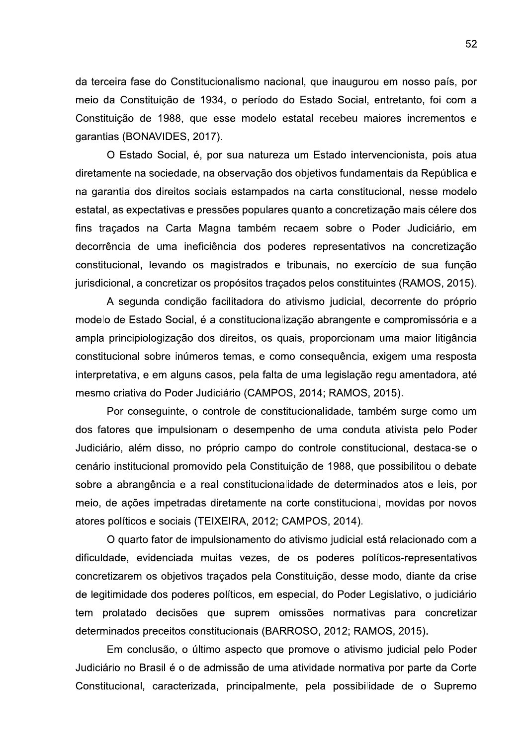da terceira fase do Constitucionalismo nacional, que inaugurou em nosso país, por meio da Constituição de 1934, o período do Estado Social, entretanto, foi com a Constituição de 1988, que esse modelo estatal recebeu maiores incrementos e garantias (BONAVIDES, 2017).

O Estado Social, é, por sua natureza um Estado intervencionista, pois atua diretamente na sociedade, na observação dos objetivos fundamentais da República e na garantia dos direitos sociais estampados na carta constitucional, nesse modelo estatal, as expectativas e pressões populares quanto a concretização mais célere dos fins traçados na Carta Magna também recaem sobre o Poder Judiciário, em decorrência de uma ineficiência dos poderes representativos na concretização constitucional, levando os magistrados e tribunais, no exercício de sua função jurisdicional, a concretizar os propósitos traçados pelos constituintes (RAMOS, 2015).

A segunda condição facilitadora do ativismo judicial, decorrente do próprio modelo de Estado Social, é a constitucionalização abrangente e compromissória e a ampla principiologização dos direitos, os quais, proporcionam uma maior litigância constitucional sobre inúmeros temas, e como conseguência, exigem uma resposta interpretativa, e em alguns casos, pela falta de uma legislação regulamentadora, até mesmo criativa do Poder Judiciário (CAMPOS, 2014; RAMOS, 2015).

Por conseguinte, o controle de constitucionalidade, também surge como um dos fatores que impulsionam o desempenho de uma conduta ativista pelo Poder Judiciário, além disso, no próprio campo do controle constitucional, destaca-se o cenário institucional promovido pela Constituição de 1988, que possibilitou o debate sobre a abrangência e a real constitucionalidade de determinados atos e leis, por meio, de ações impetradas diretamente na corte constitucional, movidas por novos atores políticos e sociais (TEIXEIRA, 2012; CAMPOS, 2014).

O quarto fator de impulsionamento do ativismo judicial está relacionado com a dificuldade, evidenciada muitas vezes, de os poderes políticos-representativos concretizarem os objetivos tracados pela Constituição, desse modo, diante da crise de legitimidade dos poderes políticos, em especial, do Poder Legislativo, o judiciário tem prolatado decisões que suprem omissões normativas para concretizar determinados preceitos constitucionais (BARROSO, 2012; RAMOS, 2015).

Em conclusão, o último aspecto que promove o ativismo judicial pelo Poder Judiciário no Brasil é o de admissão de uma atividade normativa por parte da Corte Constitucional, caracterizada, principalmente, pela possibilidade de o Supremo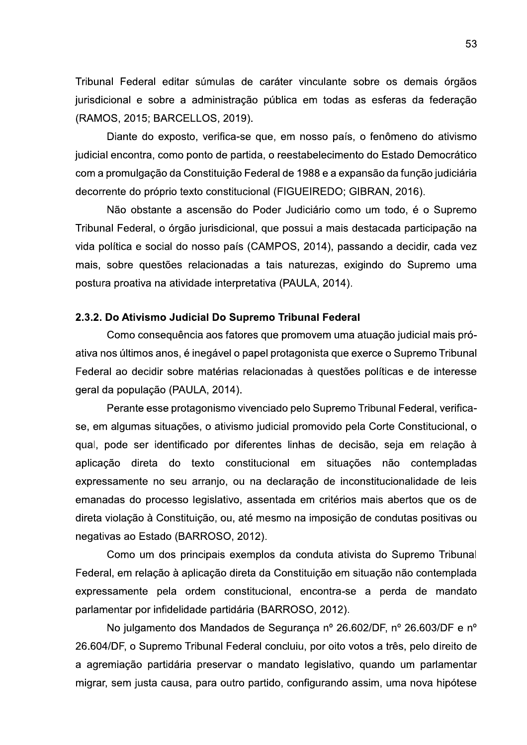Tribunal Federal editar súmulas de caráter vinculante sobre os demais órgãos jurisdicional e sobre a administração pública em todas as esferas da federação (RAMOS, 2015; BARCELLOS, 2019).

Diante do exposto, verifica-se que, em nosso país, o fenômeno do ativismo judicial encontra, como ponto de partida, o reestabelecimento do Estado Democrático com a promulgação da Constituição Federal de 1988 e a expansão da função judiciária decorrente do próprio texto constitucional (FIGUEIREDO; GIBRAN, 2016).

Não obstante a ascensão do Poder Judiciário como um todo, é o Supremo Tribunal Federal, o órgão jurisdicional, que possui a mais destacada participação na vida política e social do nosso país (CAMPOS, 2014), passando a decidir, cada vez mais, sobre questões relacionadas a tais naturezas, exigindo do Supremo uma postura proativa na atividade interpretativa (PAULA, 2014).

#### 2.3.2. Do Ativismo Judicial Do Supremo Tribunal Federal

Como consequência aos fatores que promovem uma atuação judicial mais próativa nos últimos anos, é inegável o papel protagonista que exerce o Supremo Tribunal Federal ao decidir sobre matérias relacionadas à questões políticas e de interesse geral da população (PAULA, 2014).

Perante esse protagonismo vivenciado pelo Supremo Tribunal Federal, verificase, em algumas situações, o ativismo judicial promovido pela Corte Constitucional, o qual, pode ser identificado por diferentes linhas de decisão, seja em relação à aplicação direta do texto constitucional em situações não contempladas expressamente no seu arranjo, ou na declaração de inconstitucionalidade de leis emanadas do processo legislativo, assentada em critérios mais abertos que os de direta violação à Constituição, ou, até mesmo na imposição de condutas positivas ou negativas ao Estado (BARROSO, 2012).

Como um dos principais exemplos da conduta ativista do Supremo Tribunal Federal, em relação à aplicação direta da Constituição em situação não contemplada expressamente pela ordem constitucional, encontra-se a perda de mandato parlamentar por infidelidade partidária (BARROSO, 2012).

No julgamento dos Mandados de Segurança nº 26.602/DF, nº 26.603/DF e nº 26.604/DF, o Supremo Tribunal Federal concluiu, por oito votos a três, pelo direito de a agremiação partidária preservar o mandato legislativo, quando um parlamentar migrar, sem justa causa, para outro partido, configurando assim, uma nova hipótese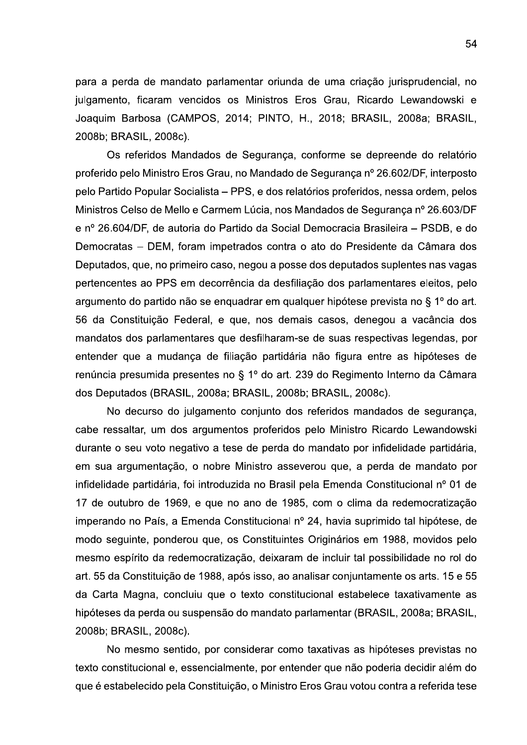para a perda de mandato parlamentar oriunda de uma criação jurisprudencial, no julgamento, ficaram vencidos os Ministros Eros Grau, Ricardo Lewandowski e Joaquim Barbosa (CAMPOS, 2014; PINTO, H., 2018; BRASIL, 2008a; BRASIL, 2008b; BRASIL, 2008c).

Os referidos Mandados de Segurança, conforme se depreende do relatório proferido pelo Ministro Eros Grau, no Mandado de Segurança nº 26.602/DF, interposto pelo Partido Popular Socialista – PPS, e dos relatórios proferidos, nessa ordem, pelos Ministros Celso de Mello e Carmem Lúcia, nos Mandados de Segurança nº 26.603/DF e nº 26.604/DF, de autoria do Partido da Social Democracia Brasileira – PSDB, e do Democratas - DEM, foram impetrados contra o ato do Presidente da Câmara dos Deputados, que, no primeiro caso, negou a posse dos deputados suplentes nas vagas pertencentes ao PPS em decorrência da desfiliação dos parlamentares eleitos, pelo argumento do partido não se enquadrar em qualquer hipótese prevista no § 1º do art. 56 da Constituição Federal, e que, nos demais casos, denegou a vacância dos mandatos dos parlamentares que desfilharam-se de suas respectivas legendas, por entender que a mudança de filiação partidária não figura entre as hipóteses de renúncia presumida presentes no § 1º do art. 239 do Regimento Interno da Câmara dos Deputados (BRASIL, 2008a; BRASIL, 2008b; BRASIL, 2008c).

No decurso do julgamento conjunto dos referidos mandados de segurança, cabe ressaltar, um dos argumentos proferidos pelo Ministro Ricardo Lewandowski durante o seu voto negativo a tese de perda do mandato por infidelidade partidária, em sua argumentação, o nobre Ministro asseverou que, a perda de mandato por infidelidade partidária, foi introduzida no Brasil pela Emenda Constitucional nº 01 de 17 de outubro de 1969, e que no ano de 1985, com o clima da redemocratização imperando no País, a Emenda Constitucional nº 24, havia suprimido tal hipótese, de modo seguinte, ponderou que, os Constituintes Originários em 1988, movidos pelo mesmo espírito da redemocratização, deixaram de incluir tal possibilidade no rol do art. 55 da Constituição de 1988, após isso, ao analisar conjuntamente os arts. 15 e 55 da Carta Magna, concluiu que o texto constitucional estabelece taxativamente as hipóteses da perda ou suspensão do mandato parlamentar (BRASIL, 2008a; BRASIL, 2008b; BRASIL, 2008c).

No mesmo sentido, por considerar como taxativas as hipóteses previstas no texto constitucional e, essencialmente, por entender que não poderia decidir além do que é estabelecido pela Constituição, o Ministro Eros Grau votou contra a referida tese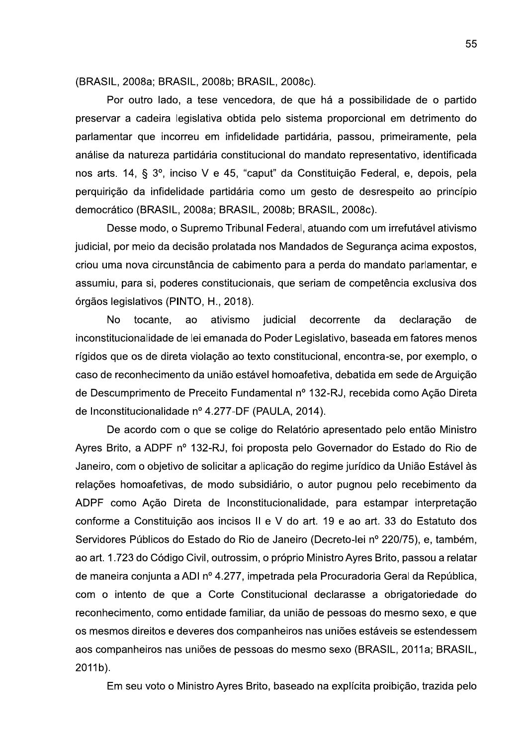(BRASIL, 2008a; BRASIL, 2008b; BRASIL, 2008c).

Por outro lado, a tese vencedora, de que há a possibilidade de o partido preservar a cadeira legislativa obtida pelo sistema proporcional em detrimento do parlamentar que incorreu em infidelidade partidária, passou, primeiramente, pela análise da natureza partidária constitucional do mandato representativo, identificada nos arts. 14, § 3º, inciso V e 45, "caput" da Constituição Federal, e, depois, pela perquirição da infidelidade partidária como um gesto de desrespeito ao princípio democrático (BRASIL, 2008a; BRASIL, 2008b; BRASIL, 2008c).

Desse modo, o Supremo Tribunal Federal, atuando com um irrefutável ativismo judicial, por meio da decisão prolatada nos Mandados de Segurança acima expostos, criou uma nova circunstância de cabimento para a perda do mandato parlamentar, e assumiu, para si, poderes constitucionais, que seriam de competência exclusiva dos órgãos legislativos (PINTO, H., 2018).

**No** tocante, ao ativismo judicial decorrente da declaração de inconstitucionalidade de lei emanada do Poder Legislativo, baseada em fatores menos rígidos que os de direta violação ao texto constitucional, encontra-se, por exemplo, o caso de reconhecimento da união estável homoafetiva, debatida em sede de Arguição de Descumprimento de Preceito Fundamental nº 132-RJ, recebida como Ação Direta de Inconstitucionalidade nº 4.277-DF (PAULA, 2014).

De acordo com o que se colige do Relatório apresentado pelo então Ministro Ayres Brito, a ADPF nº 132-RJ, foi proposta pelo Governador do Estado do Rio de Janeiro, com o objetivo de solicitar a aplicação do regime jurídico da União Estável às relações homoafetivas, de modo subsidiário, o autor pugnou pelo recebimento da ADPF como Ação Direta de Inconstitucionalidade, para estampar interpretação conforme a Constituição aos incisos II e V do art. 19 e ao art. 33 do Estatuto dos Servidores Públicos do Estado do Rio de Janeiro (Decreto-lei nº 220/75), e, também, ao art. 1.723 do Código Civil, outrossim, o próprio Ministro Ayres Brito, passou a relatar de maneira conjunta a ADI nº 4.277, impetrada pela Procuradoria Geral da República, com o intento de que a Corte Constitucional declarasse a obrigatoriedade do reconhecimento, como entidade familiar, da união de pessoas do mesmo sexo, e que os mesmos direitos e deveres dos companheiros nas uniões estáveis se estendessem aos companheiros nas uniões de pessoas do mesmo sexo (BRASIL, 2011a; BRASIL, 2011b).

Em seu voto o Ministro Ayres Brito, baseado na explícita proibição, trazida pelo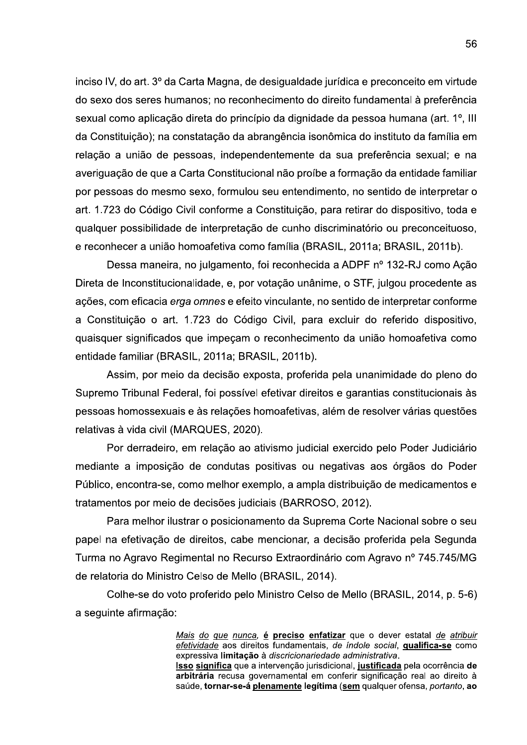inciso IV, do art. 3º da Carta Magna, de desigualdade jurídica e preconceito em virtude do sexo dos seres humanos; no reconhecimento do direito fundamental à preferência sexual como aplicação direta do princípio da dignidade da pessoa humana (art. 1<sup>o</sup>, III da Constituição); na constatação da abrangência isonômica do instituto da família em relação a união de pessoas, independentemente da sua preferência sexual; e na averiguação de que a Carta Constitucional não proíbe a formação da entidade familiar por pessoas do mesmo sexo, formulou seu entendimento, no sentido de interpretar o art. 1.723 do Código Civil conforme a Constituição, para retirar do dispositivo, toda e qualquer possibilidade de interpretação de cunho discriminatório ou preconceituoso. e reconhecer a união homoafetiva como família (BRASIL, 2011a; BRASIL, 2011b).

Dessa maneira, no julgamento, foi reconhecida a ADPF nº 132-RJ como Ação Direta de Inconstitucionalidade, e, por votação unânime, o STF, julgou procedente as ações, com eficacia erga omnes e efeito vinculante, no sentido de interpretar conforme a Constituição o art. 1.723 do Código Civil, para excluir do referido dispositivo, quaisquer significados que impecam o reconhecimento da união homoafetiva como entidade familiar (BRASIL, 2011a; BRASIL, 2011b).

Assim, por meio da decisão exposta, proferida pela unanimidade do pleno do Supremo Tribunal Federal, foi possível efetivar direitos e garantias constitucionais às pessoas homossexuais e às relações homoafetivas, além de resolver várias questões relativas à vida civil (MARQUES, 2020).

Por derradeiro, em relação ao ativismo judicial exercido pelo Poder Judiciário mediante a imposição de condutas positivas ou negativas aos órgãos do Poder Público, encontra-se, como melhor exemplo, a ampla distribuição de medicamentos e tratamentos por meio de decisões judiciais (BARROSO, 2012).

Para melhor ilustrar o posicionamento da Suprema Corte Nacional sobre o seu papel na efetivação de direitos, cabe mencionar, a decisão proferida pela Segunda Turma no Agravo Regimental no Recurso Extraordinário com Agravo nº 745.745/MG de relatoria do Ministro Celso de Mello (BRASIL, 2014).

Colhe-se do voto proferido pelo Ministro Celso de Mello (BRASIL, 2014, p. 5-6) a seguinte afirmação:

> Mais do que nunca, é preciso enfatizar que o dever estatal de atribuir efetividade aos direitos fundamentais, de índole social, qualifica-se como expressiva limitação à discricionariedade administrativa.

> Isso significa que a intervenção jurisdicional, justificada pela ocorrência de arbitrária recusa governamental em conferir significação real ao direito à saúde, tornar-se-á plenamente legítima (sem qualquer ofensa, portanto, ao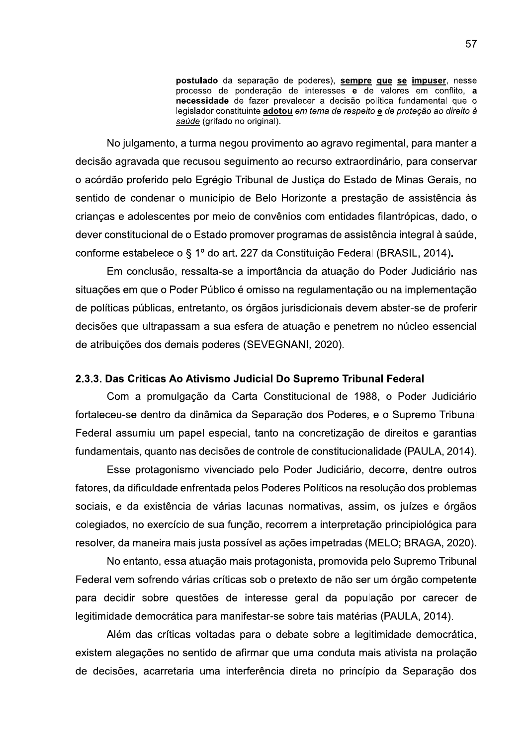postulado da separação de poderes), sempre que se impuser, nesse processo de ponderação de interesses e de valores em conflito, a necessidade de fazer prevalecer a decisão política fundamental que o legislador constituinte adotou em tema de respeito e de proteção ao direito à saúde (grifado no original).

No julgamento, a turma negou provimento ao agravo regimental, para manter a decisão agravada que recusou seguimento ao recurso extraordinário, para conservar o acórdão proferido pelo Egrégio Tribunal de Justiça do Estado de Minas Gerais, no sentido de condenar o município de Belo Horizonte a prestação de assistência às crianças e adolescentes por meio de convênios com entidades filantrópicas, dado, o dever constitucional de o Estado promover programas de assistência integral à saúde, conforme estabelece o § 1º do art. 227 da Constituição Federal (BRASIL, 2014).

Em conclusão, ressalta-se a importância da atuação do Poder Judiciário nas situações em que o Poder Público é omisso na regulamentação ou na implementação de políticas públicas, entretanto, os órgãos jurisdicionais devem abster-se de proferir decisões que ultrapassam a sua esfera de atuação e penetrem no núcleo essencial de atribuições dos demais poderes (SEVEGNANI, 2020).

## 2.3.3. Das Criticas Ao Ativismo Judicial Do Supremo Tribunal Federal

Com a promulgação da Carta Constitucional de 1988, o Poder Judiciário fortaleceu-se dentro da dinâmica da Separação dos Poderes, e o Supremo Tribunal Federal assumiu um papel especial, tanto na concretização de direitos e garantias fundamentais, quanto nas decisões de controle de constitucionalidade (PAULA, 2014).

Esse protagonismo vivenciado pelo Poder Judiciário, decorre, dentre outros fatores, da dificuldade enfrentada pelos Poderes Políticos na resolução dos problemas sociais, e da existência de várias lacunas normativas, assim, os juízes e órgãos colegiados, no exercício de sua função, recorrem a interpretação principiológica para resolver, da maneira mais justa possível as ações impetradas (MELO; BRAGA, 2020).

No entanto, essa atuação mais protagonista, promovida pelo Supremo Tribunal Federal vem sofrendo várias críticas sob o pretexto de não ser um órgão competente para decidir sobre questões de interesse geral da população por carecer de legitimidade democrática para manifestar-se sobre tais matérias (PAULA, 2014).

Além das críticas voltadas para o debate sobre a legitimidade democrática, existem alegações no sentido de afirmar que uma conduta mais ativista na prolação de decisões, acarretaria uma interferência direta no princípio da Separação dos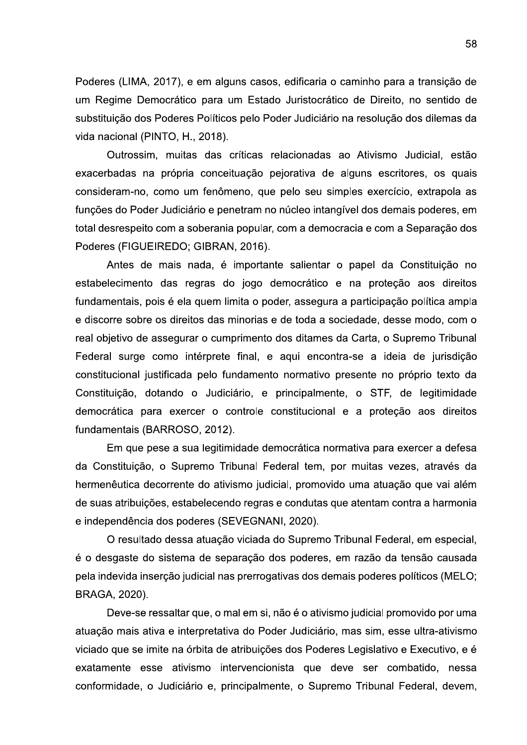Poderes (LIMA, 2017), e em alguns casos, edificaria o caminho para a transição de um Regime Democrático para um Estado Juristocrático de Direito, no sentido de substituição dos Poderes Políticos pelo Poder Judiciário na resolução dos dilemas da vida nacional (PINTO, H., 2018).

Outrossim, muitas das críticas relacionadas ao Ativismo Judicial, estão exacerbadas na própria conceituação pejorativa de alguns escritores, os quais consideram-no, como um fenômeno, que pelo seu simples exercício, extrapola as funções do Poder Judiciário e penetram no núcleo intangível dos demais poderes, em total desrespeito com a soberania popular, com a democracia e com a Separação dos Poderes (FIGUEIREDO; GIBRAN, 2016).

Antes de mais nada, é importante salientar o papel da Constituição no estabelecimento das regras do jogo democrático e na proteção aos direitos fundamentais, pois é ela quem limita o poder, assegura a participação política ampla e discorre sobre os direitos das minorias e de toda a sociedade, desse modo, com o real objetivo de assegurar o cumprimento dos ditames da Carta, o Supremo Tribunal Federal surge como intérprete final, e aqui encontra-se a ideia de jurisdição constitucional justificada pelo fundamento normativo presente no próprio texto da Constituição, dotando o Judiciário, e principalmente, o STF, de legitimidade democrática para exercer o controle constitucional e a proteção aos direitos fundamentais (BARROSO, 2012).

Em que pese a sua legitimidade democrática normativa para exercer a defesa da Constituição, o Supremo Tribunal Federal tem, por muitas vezes, através da hermenêutica decorrente do ativismo judicial, promovido uma atuação que vai além de suas atribuições, estabelecendo regras e condutas que atentam contra a harmonia e independência dos poderes (SEVEGNANI, 2020).

O resultado dessa atuação viciada do Supremo Tribunal Federal, em especial, é o desgaste do sistema de separação dos poderes, em razão da tensão causada pela indevida inserção judicial nas prerrogativas dos demais poderes políticos (MELO; BRAGA, 2020).

Deve-se ressaltar que, o mal em si, não é o ativismo judicial promovido por uma atuação mais ativa e interpretativa do Poder Judiciário, mas sim, esse ultra-ativismo viciado que se imite na órbita de atribuições dos Poderes Legislativo e Executivo, e é exatamente esse ativismo intervencionista que deve ser combatido, nessa conformidade, o Judiciário e, principalmente, o Supremo Tribunal Federal, devem,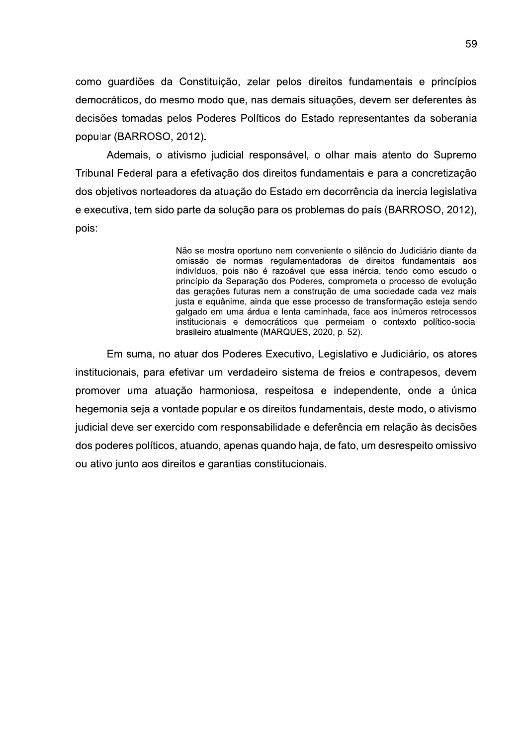como guardiões da Constituição, zelar pelos direitos fundamentais e princípios democráticos, do mesmo modo que, nas demais situações, devem ser deferentes às decisões tomadas pelos Poderes Políticos do Estado representantes da soberania popular (BARROSO, 2012).

Ademais, o ativismo judicial responsável, o olhar mais atento do Supremo Tribunal Federal para a efetivação dos direitos fundamentais e para a concretização dos objetivos norteadores da atuação do Estado em decorrência da inercia legislativa e executiva, tem sido parte da solução para os problemas do país (BARROSO, 2012), pois:

> Não se mostra oportuno nem conveniente o silêncio do Judiciário diante da omissão de normas regulamentadoras de direitos fundamentais aos indivíduos, pois não é razoável que essa inércia, tendo como escudo o princípio da Separação dos Poderes, comprometa o processo de evolução das gerações futuras nem a construção de uma sociedade cada vez mais justa e equânime, ainda que esse processo de transformação esteja sendo galgado em uma árdua e lenta caminhada, face aos inúmeros retrocessos institucionais e democráticos que permeiam o contexto político-social brasileiro atualmente (MARQUES, 2020, p. 52).

Em suma, no atuar dos Poderes Executivo, Legislativo e Judiciário, os atores institucionais, para efetivar um verdadeiro sistema de freios e contrapesos, devem promover uma atuação harmoniosa, respeitosa e independente, onde a única hegemonia seja a vontade popular e os direitos fundamentais, deste modo, o ativismo judicial deve ser exercido com responsabilidade e deferência em relação às decisões dos poderes políticos, atuando, apenas quando haja, de fato, um desrespeito omissivo ou ativo junto aos direitos e garantias constitucionais.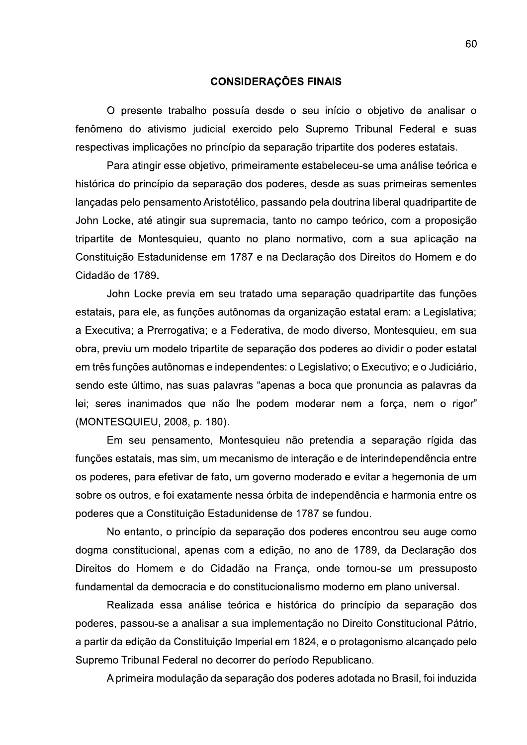#### **CONSIDERAÇÕES FINAIS**

O presente trabalho possuía desde o seu início o objetivo de analisar o fenômeno do ativismo judicial exercido pelo Supremo Tribunal Federal e suas respectivas implicações no princípio da separação tripartite dos poderes estatais.

Para atingir esse objetivo, primeiramente estabeleceu-se uma análise teórica e histórica do princípio da separação dos poderes, desde as suas primeiras sementes lançadas pelo pensamento Aristotélico, passando pela doutrina liberal quadripartite de John Locke, até atingir sua supremacia, tanto no campo teórico, com a proposição tripartite de Montesquieu, quanto no plano normativo, com a sua aplicação na Constituição Estadunidense em 1787 e na Declaração dos Direitos do Homem e do Cidadão de 1789.

John Locke previa em seu tratado uma separação quadripartite das funções estatais, para ele, as funções autônomas da organização estatal eram: a Legislativa; a Executiva; a Prerrogativa; e a Federativa, de modo diverso, Montesquieu, em sua obra, previu um modelo tripartite de separação dos poderes ao dividir o poder estatal em três funções autônomas e independentes: o Legislativo; o Executivo; e o Judiciário, sendo este último, nas suas palavras "apenas a boca que pronuncia as palavras da lei; seres inanimados que não lhe podem moderar nem a força, nem o rigor" (MONTESQUIEU, 2008, p. 180).

Em seu pensamento, Montesquieu não pretendia a separação rígida das funções estatais, mas sim, um mecanismo de interação e de interindependência entre os poderes, para efetivar de fato, um governo moderado e evitar a hegemonia de um sobre os outros, e foi exatamente nessa órbita de independência e harmonia entre os poderes que a Constituição Estadunidense de 1787 se fundou.

No entanto, o princípio da separação dos poderes encontrou seu auge como dogma constitucional, apenas com a edição, no ano de 1789, da Declaração dos Direitos do Homem e do Cidadão na França, onde tornou-se um pressuposto fundamental da democracia e do constitucionalismo moderno em plano universal.

Realizada essa análise teórica e histórica do princípio da separação dos poderes, passou-se a analisar a sua implementação no Direito Constitucional Pátrio, a partir da edição da Constituição Imperial em 1824, e o protagonismo alcançado pelo Supremo Tribunal Federal no decorrer do período Republicano.

A primeira modulação da separação dos poderes adotada no Brasil, foi induzida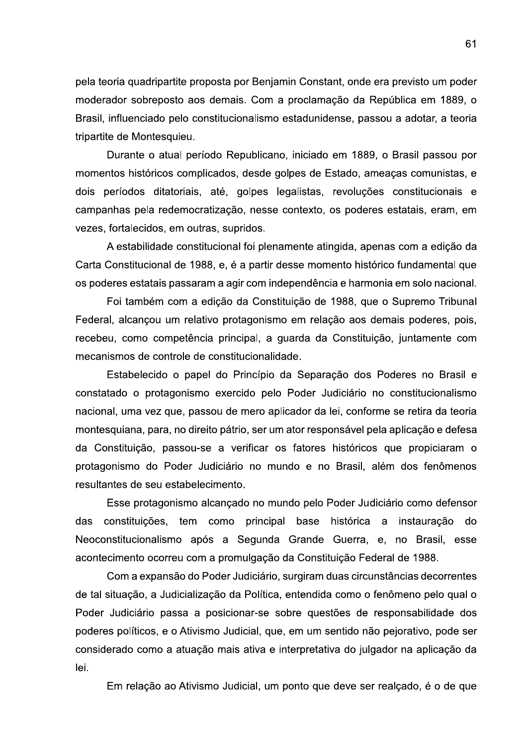pela teoria quadripartite proposta por Benjamin Constant, onde era previsto um poder moderador sobreposto aos demais. Com a proclamação da República em 1889, o Brasil, influenciado pelo constitucionalismo estadunidense, passou a adotar, a teoria tripartite de Montesquieu.

Durante o atual período Republicano, iniciado em 1889, o Brasil passou por momentos históricos complicados, desde golpes de Estado, ameaças comunistas, e dois períodos ditatoriais, até, golpes legalistas, revoluções constitucionais e campanhas pela redemocratização, nesse contexto, os poderes estatais, eram, em vezes, fortalecidos, em outras, supridos.

A estabilidade constitucional foi plenamente atingida, apenas com a edição da Carta Constitucional de 1988, e, é a partir desse momento histórico fundamental que os poderes estatais passaram a agir com independência e harmonia em solo nacional.

Foi também com a edição da Constituição de 1988, que o Supremo Tribunal Federal, alcançou um relativo protagonismo em relação aos demais poderes, pois, recebeu, como competência principal, a guarda da Constituição, juntamente com mecanismos de controle de constitucionalidade.

Estabelecido o papel do Princípio da Separação dos Poderes no Brasil e constatado o protagonismo exercido pelo Poder Judiciário no constitucionalismo nacional, uma vez que, passou de mero aplicador da lei, conforme se retira da teoria montesquiana, para, no direito pátrio, ser um ator responsável pela aplicação e defesa da Constituição, passou-se a verificar os fatores históricos que propiciaram o protagonismo do Poder Judiciário no mundo e no Brasil, além dos fenômenos resultantes de seu estabelecimento.

Esse protagonismo alcançado no mundo pelo Poder Judiciário como defensor das constituições, tem como principal base histórica a instauração do Neoconstitucionalismo após a Segunda Grande Guerra, e, no Brasil, esse acontecimento ocorreu com a promulgação da Constituição Federal de 1988.

Com a expansão do Poder Judiciário, surgiram duas circunstâncias decorrentes de tal situação, a Judicialização da Política, entendida como o fenômeno pelo qual o Poder Judiciário passa a posicionar-se sobre questões de responsabilidade dos poderes políticos, e o Ativismo Judicial, que, em um sentido não pejorativo, pode ser considerado como a atuação mais ativa e interpretativa do julgador na aplicação da lei.

Em relação ao Ativismo Judicial, um ponto que deve ser realçado, é o de que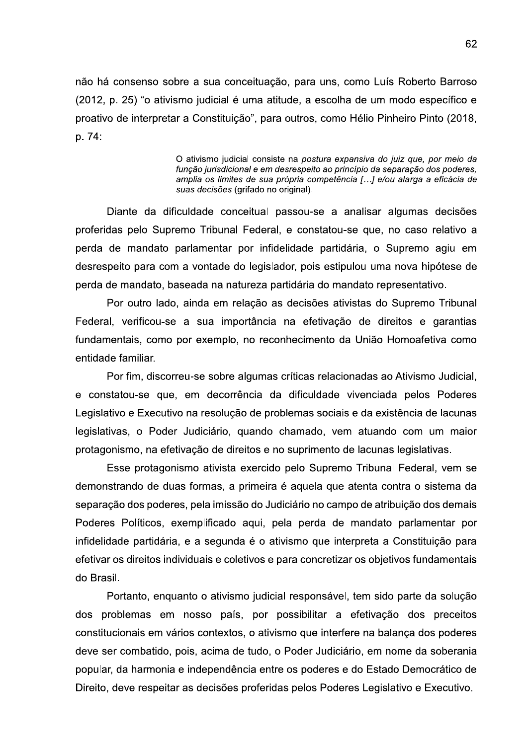não há consenso sobre a sua conceituação, para uns, como Luís Roberto Barroso (2012, p. 25) "o ativismo judicial é uma atitude, a escolha de um modo específico e proativo de interpretar a Constituição", para outros, como Hélio Pinheiro Pinto (2018, p. 74:

> O ativismo judicial consiste na postura expansiva do juiz que, por meio da função jurisdicional e em desrespeito ao princípio da separação dos poderes, amplia os limites de sua própria competência [...] e/ou alarga a eficácia de suas decisões (grifado no original).

Diante da dificuldade conceitual passou-se a analisar algumas decisões proferidas pelo Supremo Tribunal Federal, e constatou-se que, no caso relativo a perda de mandato parlamentar por infidelidade partidária, o Supremo agiu em desrespeito para com a vontade do legislador, pois estipulou uma nova hipótese de perda de mandato, baseada na natureza partidária do mandato representativo.

Por outro lado, ainda em relação as decisões ativistas do Supremo Tribunal Federal, verificou-se a sua importância na efetivação de direitos e garantias fundamentais, como por exemplo, no reconhecimento da União Homoafetiva como entidade familiar.

Por fim, discorreu-se sobre algumas críticas relacionadas ao Ativismo Judicial, e constatou-se que, em decorrência da dificuldade vivenciada pelos Poderes Legislativo e Executivo na resolução de problemas sociais e da existência de lacunas legislativas, o Poder Judiciário, quando chamado, vem atuando com um maior protagonismo, na efetivação de direitos e no suprimento de lacunas legislativas.

Esse protagonismo ativista exercido pelo Supremo Tribunal Federal, vem se demonstrando de duas formas, a primeira é aquela que atenta contra o sistema da separação dos poderes, pela imissão do Judiciário no campo de atribuição dos demais Poderes Políticos, exemplificado aqui, pela perda de mandato parlamentar por infidelidade partidária, e a segunda é o ativismo que interpreta a Constituição para efetivar os direitos individuais e coletivos e para concretizar os objetivos fundamentais do Brasil.

Portanto, enquanto o ativismo judicial responsável, tem sido parte da solução dos problemas em nosso país, por possibilitar a efetivação dos preceitos constitucionais em vários contextos, o ativismo que interfere na balança dos poderes deve ser combatido, pois, acima de tudo, o Poder Judiciário, em nome da soberania popular, da harmonia e independência entre os poderes e do Estado Democrático de Direito, deve respeitar as decisões proferidas pelos Poderes Legislativo e Executivo.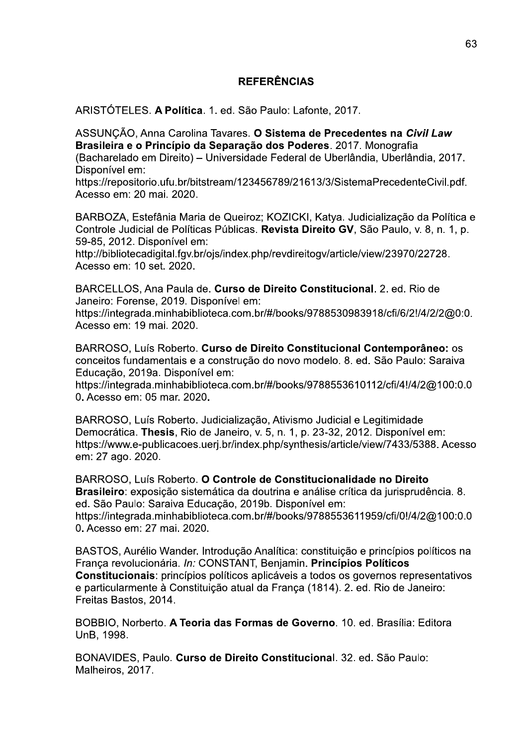# **REFERÊNCIAS**

ARISTÓTELES. A Política. 1. ed. São Paulo: Lafonte, 2017.

ASSUNCÃO, Anna Carolina Tavares. O Sistema de Precedentes na Civil Law Brasileira e o Princípio da Separação dos Poderes. 2017. Monografia (Bacharelado em Direito) - Universidade Federal de Uberlândia, Uberlândia, 2017. Disponível em:

https://repositorio.ufu.br/bitstream/123456789/21613/3/SistemaPrecedenteCivil.pdf. Acesso em: 20 mai, 2020.

BARBOZA, Estefânia Maria de Queiroz; KOZICKI, Katya. Judicialização da Política e Controle Judicial de Políticas Públicas. Revista Direito GV, São Paulo, v. 8, n. 1, p. 59-85, 2012. Disponível em:

http://bibliotecadigital.fgv.br/ojs/index.php/revdireitogv/article/view/23970/22728. Acesso em: 10 set. 2020.

BARCELLOS, Ana Paula de, Curso de Direito Constitucional, 2, ed. Rio de Janeiro: Forense, 2019. Disponível em:

https://integrada.minhabiblioteca.com.br/#/books/9788530983918/cfi/6/2!/4/2/2@0:0. Acesso em: 19 mai. 2020.

BARROSO, Luís Roberto. Curso de Direito Constitucional Contemporâneo: os conceitos fundamentais e a construção do novo modelo. 8. ed. São Paulo: Saraiva Educação, 2019a. Disponível em:

https://integrada.minhabiblioteca.com.br/#/books/9788553610112/cfi/4!/4/2@100:0.0 0. Acesso em: 05 mar. 2020.

BARROSO, Luís Roberto. Judicialização, Ativismo Judicial e Legitimidade Democrática. Thesis, Rio de Janeiro, v. 5, n. 1, p. 23-32, 2012. Disponível em: https://www.e-publicacoes.ueri.br/index.php/synthesis/article/view/7433/5388. Acesso em: 27 ago. 2020.

BARROSO, Luís Roberto. O Controle de Constitucionalidade no Direito Brasileiro: exposição sistemática da doutrina e análise crítica da jurisprudência. 8. ed. São Paulo: Saraiva Educação, 2019b. Disponível em: https://integrada.minhabiblioteca.com.br/#/books/9788553611959/cfi/0!/4/2@100:0.0 0. Acesso em: 27 mai. 2020.

BASTOS, Aurélio Wander. Introdução Analítica: constituição e princípios políticos na França revolucionária. In: CONSTANT, Benjamin. Princípios Políticos Constitucionais: princípios políticos aplicáveis a todos os governos representativos e particularmente à Constituicão atual da Franca (1814). 2. ed. Rio de Janeiro: Freitas Bastos, 2014.

BOBBIO, Norberto. A Teoria das Formas de Governo. 10. ed. Brasília: Editora UnB. 1998.

BONAVIDES, Paulo, Curso de Direito Constitucional, 32, ed. São Paulo: Malheiros, 2017.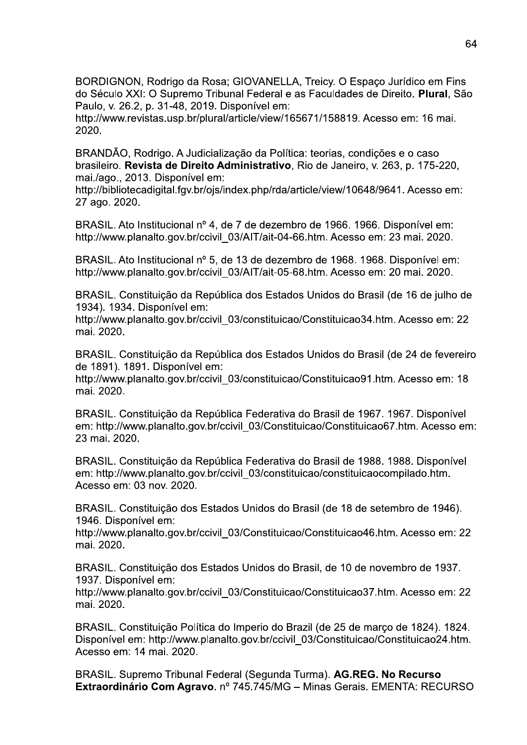BORDIGNON, Rodrigo da Rosa; GIOVANELLA, Treicy. O Espaço Jurídico em Fins do Século XXI: O Supremo Tribunal Federal e as Faculdades de Direito. Plural. São Paulo, v. 26.2, p. 31-48, 2019. Disponível em:

http://www.revistas.usp.br/plural/article/view/165671/158819. Acesso em: 16 mai. 2020.

BRANDÃO, Rodrigo, A Judicialização da Política: teorias, condições e o caso brasileiro. Revista de Direito Administrativo, Rio de Janeiro, v. 263, p. 175-220, mai./ago., 2013. Disponível em:

http://bibliotecadigital.fgv.br/ois/index.php/rda/article/view/10648/9641. Acesso em: 27 ago. 2020.

BRASIL. Ato Institucional nº 4, de 7 de dezembro de 1966. 1966. Disponível em: http://www.planalto.gov.br/ccivil 03/AIT/ait-04-66.htm. Acesso em: 23 mai. 2020.

BRASIL. Ato Institucional nº 5, de 13 de dezembro de 1968. 1968. Disponível em: http://www.planalto.gov.br/ccivil 03/AIT/ait-05-68.htm. Acesso em: 20 mai. 2020.

BRASIL. Constituição da República dos Estados Unidos do Brasil (de 16 de julho de 1934). 1934. Disponível em:

http://www.planalto.gov.br/ccivil 03/constituicao/Constituicao34.htm. Acesso em: 22 mai. 2020.

BRASIL. Constituição da República dos Estados Unidos do Brasil (de 24 de fevereiro de 1891). 1891. Disponível em:

http://www.planalto.gov.br/ccivil 03/constituicao/Constituicao91.htm. Acesso em: 18 mai. 2020.

BRASIL, Constituição da República Federativa do Brasil de 1967, 1967, Disponível em: http://www.planalto.gov.br/ccivil 03/Constituicao/Constituicao67.htm. Acesso em: 23 mai. 2020.

BRASIL. Constituição da República Federativa do Brasil de 1988. 1988. Disponível em: http://www.planalto.gov.br/ccivil 03/constituicao/constituicaocompilado.htm. Acesso em: 03 nov. 2020.

BRASIL. Constituição dos Estados Unidos do Brasil (de 18 de setembro de 1946). 1946. Disponível em:

http://www.planalto.gov.br/ccivil 03/Constituicao/Constituicao46.htm. Acesso em: 22 mai. 2020.

BRASIL. Constituição dos Estados Unidos do Brasil, de 10 de novembro de 1937. 1937. Disponível em:

http://www.planalto.gov.br/ccivil 03/Constituicao/Constituicao37.htm. Acesso em: 22 mai. 2020.

BRASIL. Constituição Política do Imperio do Brazil (de 25 de março de 1824). 1824. Disponível em: http://www.planalto.gov.br/ccivil 03/Constituicao/Constituicao24.htm. Acesso em: 14 mai. 2020.

BRASIL. Supremo Tribunal Federal (Segunda Turma). AG.REG. No Recurso Extraordinário Com Agravo. nº 745.745/MG - Minas Gerais. EMENTA: RECURSO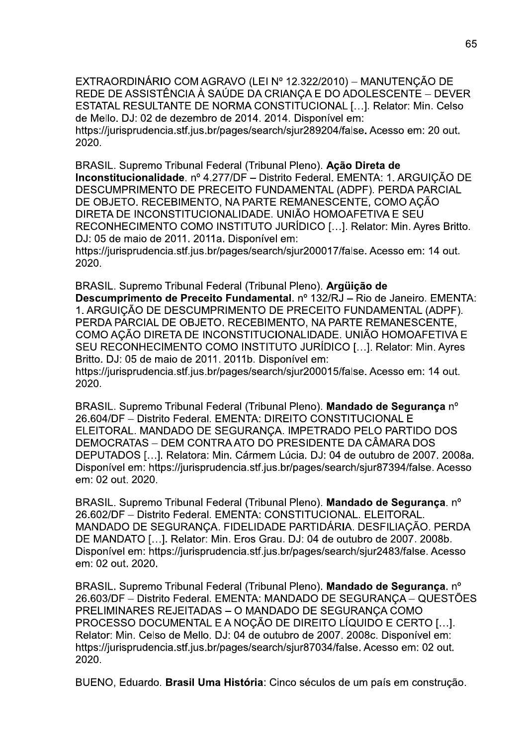EXTRAORDINÁRIO COM AGRAVO (LEI Nº 12.322/2010) – MANUTENCÃO DE REDE DE ASSISTÊNCIA À SAÚDE DA CRIANCA E DO ADOLESCENTE – DEVER ESTATAL RESULTANTE DE NORMA CONSTITUCIONAL [...]. Relator: Min. Celso de Mello. DJ: 02 de dezembro de 2014. 2014. Disponível em: https://jurisprudencia.stf.jus.br/pages/search/sjur289204/false. Acesso em: 20 out. 2020.

BRASIL. Supremo Tribunal Federal (Tribunal Pleno). Ação Direta de Inconstitucionalidade. nº 4.277/DF - Distrito Federal. EMENTA: 1. ARGUIÇÃO DE DESCUMPRIMENTO DE PRECEITO FUNDAMENTAL (ADPF). PERDA PARCIAL DE OBJETO. RECEBIMENTO, NA PARTE REMANESCENTE, COMO AÇÃO DIRETA DE INCONSTITUCIONALIDADE. UNIÃO HOMOAFETIVA E SEU RECONHECIMENTO COMO INSTITUTO JURIDICO [...]. Relator: Min. Ayres Britto. DJ: 05 de maio de 2011. 2011a. Disponível em: https://jurisprudencia.stf.jus.br/pages/search/sjur200017/false. Acesso em: 14 out. 2020.

BRASIL. Supremo Tribunal Federal (Tribunal Pleno). Arquicão de Descumprimento de Preceito Fundamental. nº 132/RJ - Rio de Janeiro. EMENTA: 1. ARGUICÃO DE DESCUMPRIMENTO DE PRECEITO FUNDAMENTAL (ADPF). PERDA PARCIAL DE OBJETO. RECEBIMENTO. NA PARTE REMANESCENTE. COMO ACÃO DIRETA DE INCONSTITUCIONALIDADE. UNIÃO HOMOAFETIVA E SEU RECONHECIMENTO COMO INSTITUTO JURÍDICO [...]. Relator: Min. Avres Britto. DJ: 05 de maio de 2011. 2011b. Disponível em: https://jurisprudencia.stf.jus.br/pages/search/sjur200015/false. Acesso em: 14 out. 2020.

BRASIL. Supremo Tribunal Federal (Tribunal Pleno). Mandado de Segurança nº 26.604/DF - Distrito Federal, EMENTA: DIREITO CONSTITUCIONAL E ELEITORAL. MANDADO DE SEGURANÇA. IMPETRADO PELO PARTIDO DOS DEMOCRATAS - DEM CONTRA ATO DO PRESIDENTE DA CÂMARA DOS DEPUTADOS [...]. Relatora: Min. Cármem Lúcia. DJ: 04 de outubro de 2007. 2008a. Disponível em: https://jurisprudencia.stf.jus.br/pages/search/sjur87394/false. Acesso em: 02 out. 2020.

BRASIL. Supremo Tribunal Federal (Tribunal Pleno). Mandado de Segurança. nº 26.602/DF - Distrito Federal. EMENTA: CONSTITUCIONAL. ELEITORAL. MANDADO DE SEGURANÇA. FIDELIDADE PARTIDÁRIA. DESFILIAÇÃO. PERDA DE MANDATO [...]. Relator: Min. Eros Grau. DJ: 04 de outubro de 2007. 2008b. Disponível em: https://jurisprudencia.stf.jus.br/pages/search/sjur2483/false. Acesso em: 02 out. 2020.

BRASIL. Supremo Tribunal Federal (Tribunal Pleno). Mandado de Seguranca. nº 26.603/DF – Distrito Federal. EMENTA: MANDADO DE SEGURANCA – QUESTÕES PRELIMINARES REJEITADAS - O MANDADO DE SEGURANÇA COMO PROCESSO DOCUMENTAL E A NOÇÃO DE DIREITO LÍQUIDO E CERTO [...]. Relator: Min. Celso de Mello. DJ: 04 de outubro de 2007. 2008c. Disponível em: https://jurisprudencia.stf.jus.br/pages/search/sjur87034/false. Acesso em: 02 out. 2020.

BUENO, Eduardo. Brasil Uma História: Cinco séculos de um país em construção.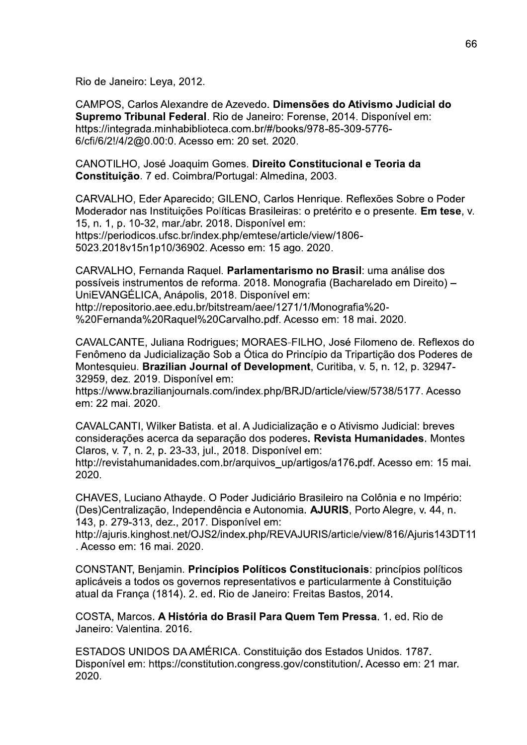Rio de Janeiro: Leya, 2012.

CAMPOS. Carlos Alexandre de Azevedo. Dimensões do Ativismo Judicial do Supremo Tribunal Federal. Rio de Janeiro: Forense, 2014. Disponível em: https://integrada.minhabiblioteca.com.br/#/books/978-85-309-5776-6/cfi/6/2!/4/2@0.00:0. Acesso em: 20 set. 2020.

CANOTILHO, José Joaquim Gomes. Direito Constitucional e Teoria da Constituição. 7 ed. Coimbra/Portugal: Almedina, 2003.

CARVALHO, Eder Aparecido; GILENO, Carlos Henrique, Reflexões Sobre o Poder Moderador nas Instituições Políticas Brasileiras: o pretérito e o presente. Em tese. v. 15, n. 1, p. 10-32, mar./abr. 2018. Disponível em: https://periodicos.ufsc.br/index.php/emtese/article/view/1806-5023.2018v15n1p10/36902. Acesso em: 15 ago. 2020.

CARVALHO, Fernanda Raquel. Parlamentarismo no Brasil: uma análise dos possíveis instrumentos de reforma. 2018. Monografia (Bacharelado em Direito) -UniEVANGÉLICA, Anápolis, 2018. Disponível em: http://repositorio.aee.edu.br/bitstream/aee/1271/1/Monografia%20-%20Fernanda%20Raquel%20Carvalho.pdf. Acesso em: 18 mai. 2020.

CAVALCANTE, Juliana Rodrigues; MORAES-FILHO, José Filomeno de. Reflexos do Fenômeno da Judicialização Sob a Ótica do Princípio da Triparticão dos Poderes de Montesquieu. Brazilian Journal of Development, Curitiba, v. 5, n. 12, p. 32947-32959, dez. 2019. Disponível em:

https://www.brazilianjournals.com/index.php/BRJD/article/view/5738/5177. Acesso em: 22 mai. 2020.

CAVALCANTI, Wilker Batista. et al. A Judicialização e o Ativismo Judicial: breves considerações acerca da separação dos poderes. Revista Humanidades. Montes Claros, v. 7, n. 2, p. 23-33, jul., 2018. Disponível em:

http://revistahumanidades.com.br/arquivos up/artigos/a176.pdf. Acesso em: 15 mai. 2020.

CHAVES, Luciano Athayde. O Poder Judiciário Brasileiro na Colônia e no Império: (Des)Centralização, Independência e Autonomia. AJURIS, Porto Alegre, v. 44, n. 143. p. 279-313, dez., 2017. Disponível em:

http://ajuris.kinghost.net/OJS2/index.php/REVAJURIS/article/view/816/Ajuris143DT11 . Acesso em: 16 mai. 2020.

CONSTANT, Benjamin. Princípios Políticos Constitucionais: princípios políticos aplicáveis a todos os governos representativos e particularmente à Constituição atual da França (1814). 2. ed. Rio de Janeiro: Freitas Bastos, 2014.

COSTA, Marcos. A História do Brasil Para Quem Tem Pressa. 1. ed. Rio de Janeiro: Valentina, 2016.

ESTADOS UNIDOS DA AMÉRICA. Constituição dos Estados Unidos. 1787. Disponível em: https://constitution.congress.gov/constitution/. Acesso em: 21 mar. 2020.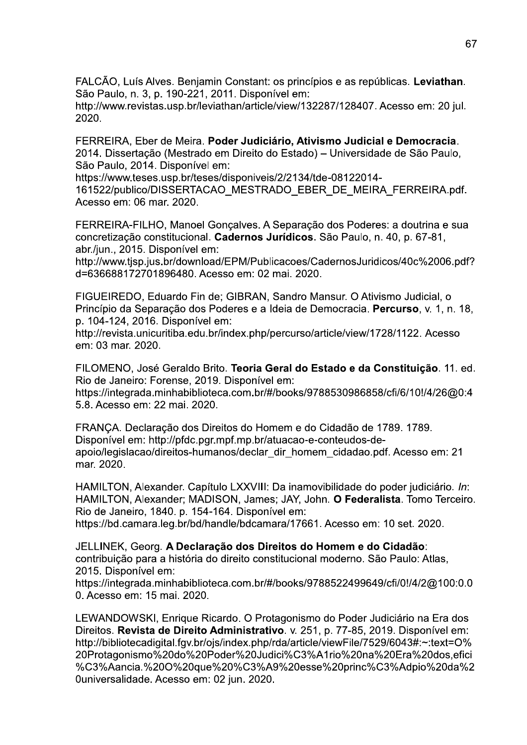FALCÃO, Luís Alves. Benjamin Constant: os princípios e as repúblicas. Leviathan. São Paulo, n. 3, p. 190-221, 2011, Disponível em:

http://www.revistas.usp.br/leviathan/article/view/132287/128407. Acesso em: 20 jul. 2020.

FERREIRA. Eber de Meira. Poder Judiciário. Ativismo Judicial e Democracia. 2014. Dissertação (Mestrado em Direito do Estado) - Universidade de São Paulo, São Paulo, 2014. Disponível em:

https://www.teses.usp.br/teses/disponiveis/2/2134/tde-08122014-

161522/publico/DISSERTACAO MESTRADO EBER DE MEIRA FERREIRA.pdf. Acesso em: 06 mar. 2020.

FERREIRA-FILHO, Manoel Gonçalves. A Separação dos Poderes: a doutrina e sua concretização constitucional. Cadernos Jurídicos. São Paulo, n. 40, p. 67-81, abr./jun., 2015. Disponível em:

http://www.tjsp.jus.br/download/EPM/Publicacoes/CadernosJuridicos/40c%2006.pdf? d=636688172701896480. Acesso em: 02 mai. 2020.

FIGUEIREDO, Eduardo Fin de: GIBRAN, Sandro Mansur, O Ativismo Judicial, o Princípio da Separação dos Poderes e a Ideia de Democracia. Percurso, v. 1, n. 18, p. 104-124, 2016. Disponível em:

http://revista.unicuritiba.edu.br/index.php/percurso/article/view/1728/1122. Acesso em: 03 mar. 2020.

FILOMENO, José Geraldo Brito. Teoria Geral do Estado e da Constituição. 11. ed. Rio de Janeiro: Forense, 2019. Disponível em:

https://integrada.minhabiblioteca.com.br/#/books/9788530986858/cfi/6/10!/4/26@0:4 5.8. Acesso em: 22 mai, 2020.

FRANÇA. Declaração dos Direitos do Homem e do Cidadão de 1789. 1789. Disponível em: http://pfdc.pgr.mpf.mp.br/atuacao-e-conteudos-deapoio/legislacao/direitos-humanos/declar dir homem cidadao.pdf. Acesso em: 21 mar. 2020.

HAMILTON, Alexander. Capítulo LXXVIII: Da inamovibilidade do poder judiciário. In: HAMILTON, Alexander; MADISON, James; JAY, John. O Federalista. Tomo Terceiro. Rio de Janeiro, 1840. p. 154-164. Disponível em:

https://bd.camara.leg.br/bd/handle/bdcamara/17661. Acesso em: 10 set. 2020.

JELLINEK, Georg. A Declaração dos Direitos do Homem e do Cidadão: contribuição para a história do direito constitucional moderno. São Paulo: Atlas, 2015. Disponível em:

https://integrada.minhabiblioteca.com.br/#/books/9788522499649/cfi/0!/4/2@100:0.0 0. Acesso em: 15 mai. 2020.

LEWANDOWSKI, Enrique Ricardo. O Protagonismo do Poder Judiciário na Era dos Direitos. Revista de Direito Administrativo. v. 251, p. 77-85, 2019. Disponível em: http://bibliotecadigital.fgv.br/ojs/index.php/rda/article/viewFile/7529/6043#:~:text=O% 20Protagonismo%20do%20Poder%20Judici%C3%A1rio%20na%20Era%20dos.efici %C3%Aancia.%20O%20que%20%C3%A9%20esse%20princ%C3%Adpio%20da%2 0universalidade. Acesso em: 02 jun. 2020.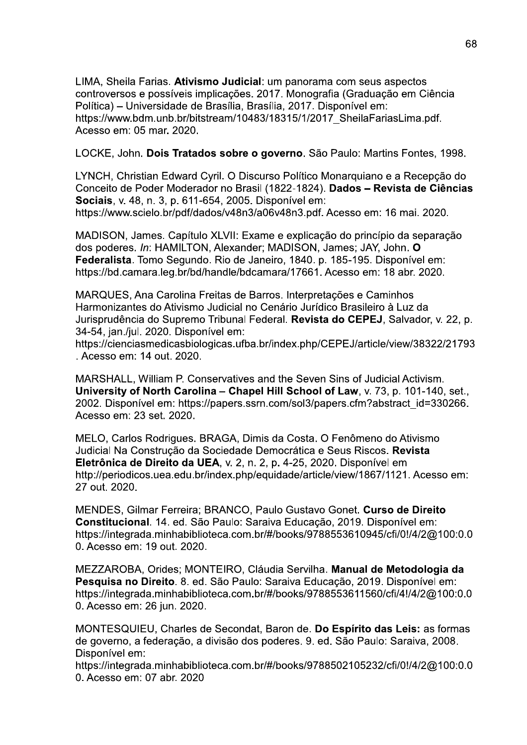LIMA, Sheila Farias. Ativismo Judicial: um panorama com seus aspectos controversos e possíveis implicações, 2017, Monografia (Graduação em Ciência Política) – Universidade de Brasília, Brasília, 2017. Disponível em: https://www.bdm.unb.br/bitstream/10483/18315/1/2017 SheilaFariasLima.pdf. Acesso em: 05 mar. 2020.

LOCKE, John. Dois Tratados sobre o governo. São Paulo: Martins Fontes, 1998.

LYNCH, Christian Edward Cyril. O Discurso Político Monarquiano e a Recepção do Conceito de Poder Moderador no Brasil (1822-1824). Dados - Revista de Ciências Sociais, v. 48, n. 3, p. 611-654, 2005. Disponível em: https://www.scielo.br/pdf/dados/v48n3/a06v48n3.pdf. Acesso em: 16 mai. 2020.

MADISON, James. Capítulo XLVII: Exame e explicação do princípio da separação dos poderes. In: HAMILTON. Alexander: MADISON. James: JAY. John. O Federalista. Tomo Segundo. Rio de Janeiro, 1840. p. 185-195. Disponível em: https://bd.camara.leg.br/bd/handle/bdcamara/17661. Acesso em: 18 abr. 2020.

MARQUES, Ana Carolina Freitas de Barros. Interpretações e Caminhos Harmonizantes do Ativismo Judicial no Cenário Jurídico Brasileiro à Luz da Jurisprudência do Supremo Tribunal Federal. Revista do CEPEJ, Salvador, v. 22, p. 34-54, jan./jul. 2020. Disponível em:

https://cienciasmedicasbiologicas.ufba.br/index.php/CEPEJ/article/view/38322/21793 . Acesso em: 14 out. 2020.

MARSHALL, William P. Conservatives and the Seven Sins of Judicial Activism. University of North Carolina – Chapel Hill School of Law, v. 73, p. 101-140, set., 2002. Disponível em: https://papers.ssrn.com/sol3/papers.cfm?abstract\_id=330266. Acesso em: 23 set. 2020.

MELO, Carlos Rodrigues. BRAGA, Dimis da Costa. O Fenômeno do Ativismo Judicial Na Construção da Sociedade Democrática e Seus Riscos. Revista Eletrônica de Direito da UEA, v. 2, n. 2, p. 4-25, 2020. Disponível em http://periodicos.uea.edu.br/index.php/equidade/article/view/1867/1121. Acesso em: 27 out. 2020.

MENDES, Gilmar Ferreira; BRANCO, Paulo Gustavo Gonet. Curso de Direito Constitucional. 14. ed. São Paulo: Saraiva Educação, 2019. Disponível em: https://integrada.minhabiblioteca.com.br/#/books/9788553610945/cfi/0!/4/2@100:0.0 0. Acesso em: 19 out. 2020.

MEZZAROBA, Orides; MONTEIRO, Cláudia Servilha. Manual de Metodologia da Pesquisa no Direito. 8. ed. São Paulo: Saraiva Educação, 2019. Disponível em: https://integrada.minhabiblioteca.com.br/#/books/9788553611560/cfi/4!/4/2@100:0.0 0. Acesso em: 26 jun. 2020.

MONTESQUIEU, Charles de Secondat, Baron de. Do Espírito das Leis: as formas de governo, a federação, a divisão dos poderes. 9. ed. São Paulo: Saraiva, 2008. Disponível em:

https://integrada.minhabiblioteca.com.br/#/books/9788502105232/cfi/0!/4/2@100:0.0 0. Acesso em: 07 abr. 2020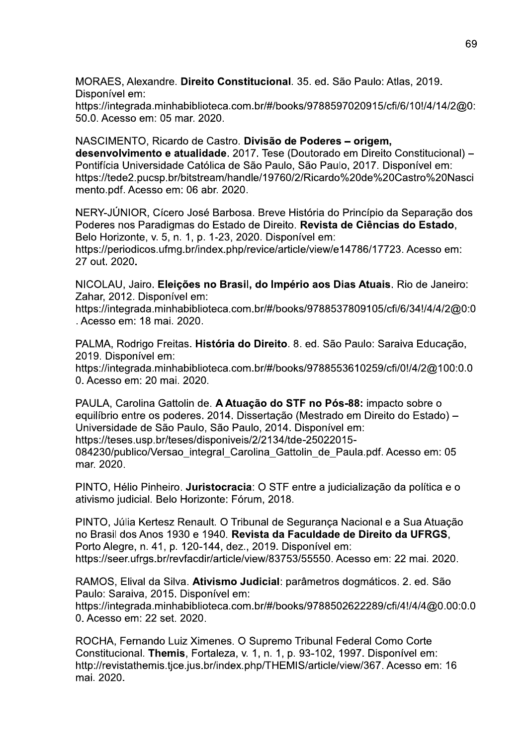MORAES, Alexandre. Direito Constitucional. 35. ed. São Paulo: Atlas, 2019. Disponível em:

https://integrada.minhabiblioteca.com.br/#/books/9788597020915/cfi/6/10!/4/14/2@0: 50.0. Acesso em: 05 mar. 2020.

NASCIMENTO. Ricardo de Castro. Divisão de Poderes - origem. desenvolvimento e atualidade. 2017. Tese (Doutorado em Direito Constitucional) -Pontifícia Universidade Católica de São Paulo, São Paulo, 2017. Disponível em: https://tede2.pucsp.br/bitstream/handle/19760/2/Ricardo%20de%20Castro%20Nasci mento.pdf. Acesso em: 06 abr. 2020.

NERY-JÚNIOR, Cícero José Barbosa. Breve História do Princípio da Separação dos Poderes nos Paradigmas do Estado de Direito. Revista de Ciências do Estado, Belo Horizonte, v. 5, n. 1, p. 1-23, 2020. Disponível em:

https://periodicos.ufmg.br/index.php/revice/article/view/e14786/17723. Acesso em: 27 out. 2020.

NICOLAU, Jairo. Eleições no Brasil, do Império aos Dias Atuais. Rio de Janeiro: Zahar, 2012. Disponível em:

https://integrada.minhabiblioteca.com.br/#/books/9788537809105/cfi/6/34!/4/4/2@0:0 . Acesso em: 18 mai. 2020.

PALMA, Rodrigo Freitas. História do Direito. 8. ed. São Paulo: Saraiva Educação, 2019. Disponível em:

https://integrada.minhabiblioteca.com.br/#/books/9788553610259/cfi/0!/4/2@100:0.0 0. Acesso em: 20 mai, 2020.

PAULA. Carolina Gattolin de. A Atuação do STF no Pós-88: impacto sobre o equilíbrio entre os poderes. 2014. Dissertação (Mestrado em Direito do Estado) – Universidade de São Paulo, São Paulo, 2014. Disponível em: https://teses.usp.br/teses/disponiveis/2/2134/tde-25022015-084230/publico/Versao integral Carolina Gattolin de Paula.pdf. Acesso em: 05 mar. 2020.

PINTO, Hélio Pinheiro. Juristocracia: O STF entre a judicialização da política e o ativismo judicial. Belo Horizonte: Fórum, 2018.

PINTO, Júlia Kertesz Renault. O Tribunal de Segurança Nacional e a Sua Atuação no Brasil dos Anos 1930 e 1940. Revista da Faculdade de Direito da UFRGS, Porto Alegre, n. 41, p. 120-144, dez., 2019. Disponível em: https://seer.ufras.br/revfacdir/article/view/83753/55550. Acesso em: 22 mai. 2020.

RAMOS, Elival da Silva. Ativismo Judicial: parâmetros dogmáticos. 2. ed. São Paulo: Saraiva, 2015. Disponível em:

https://integrada.minhabiblioteca.com.br/#/books/9788502622289/cfi/4!/4/4@0.00:0.0 0. Acesso em: 22 set. 2020.

ROCHA, Fernando Luiz Ximenes. O Supremo Tribunal Federal Como Corte Constitucional. Themis, Fortaleza, v. 1, n. 1, p. 93-102, 1997. Disponível em: http://revistathemis.tjce.jus.br/index.php/THEMIS/article/view/367. Acesso em: 16 mai. 2020.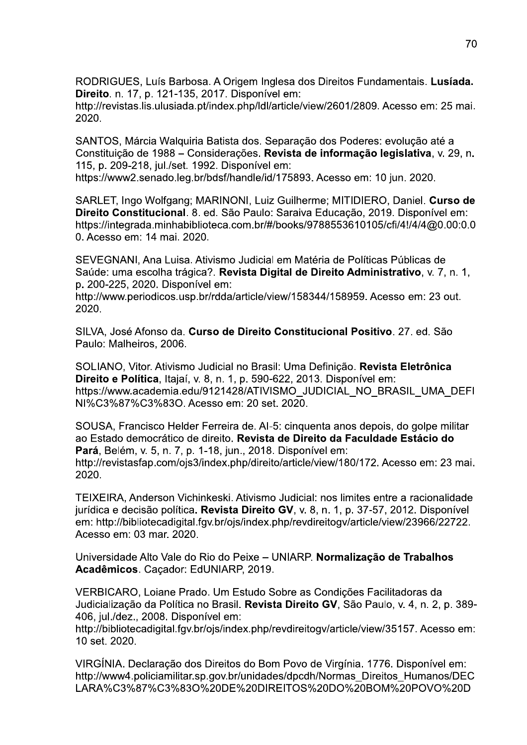RODRIGUES, Luís Barbosa. A Origem Inglesa dos Direitos Fundamentais. Lusíada. Direito, n. 17, p. 121-135, 2017. Disponível em:

http://revistas.lis.ulusiada.pt/index.php/ldl/article/view/2601/2809. Acesso em: 25 mai. 2020.

SANTOS, Márcia Walguiria Batista dos. Separação dos Poderes: evolução até a Constituição de 1988 – Considerações. Revista de informação legislativa, v. 29, n. 115, p. 209-218, jul./set. 1992. Disponível em:

https://www2.senado.leg.br/bdsf/handle/id/175893. Acesso em: 10 jun. 2020.

SARLET, Ingo Wolfgang: MARINONI, Luiz Guilherme: MITIDIERO, Daniel, Curso de Direito Constitucional. 8. ed. São Paulo: Saraiva Educação, 2019. Disponível em: https://integrada.minhabiblioteca.com.br/#/books/9788553610105/cfi/4!/4/4@0.00:0.0 0. Acesso em: 14 mai. 2020.

SEVEGNANI, Ana Luisa. Ativismo Judicial em Matéria de Políticas Públicas de Saúde: uma escolha trágica?. Revista Digital de Direito Administrativo, v. 7, n. 1, p. 200-225, 2020. Disponível em:

http://www.periodicos.usp.br/rdda/article/view/158344/158959. Acesso em: 23 out.  $2020.$ 

SILVA, José Afonso da. Curso de Direito Constitucional Positivo. 27. ed. São Paulo: Malheiros, 2006.

SOLIANO, Vitor. Ativismo Judicial no Brasil: Uma Definição. Revista Eletrônica Direito e Política, Itajaí, v. 8, n. 1, p. 590-622, 2013. Disponível em: https://www.academia.edu/9121428/ATIVISMO JUDICIAL NO BRASIL UMA DEFI NI%C3%87%C3%83O. Acesso em: 20 set. 2020.

SOUSA, Francisco Helder Ferreira de. Al-5: cinquenta anos depois, do golpe militar ao Estado democrático de direito. Revista de Direito da Faculdade Estácio do Pará, Belém, v. 5, n. 7, p. 1-18, jun., 2018, Disponível em: http://revistasfap.com/ojs3/index.php/direito/article/view/180/172. Acesso em: 23 mai. 2020.

TEIXEIRA, Anderson Vichinkeski. Ativismo Judicial: nos limites entre a racionalidade jurídica e decisão política. Revista Direito GV, v. 8, n. 1, p. 37-57, 2012. Disponível em: http://bibliotecadigital.fgv.br/ojs/index.php/revdireitogv/article/view/23966/22722. Acesso em: 03 mar. 2020.

Universidade Alto Vale do Rio do Peixe - UNIARP. Normalização de Trabalhos Acadêmicos. Caçador: EdUNIARP, 2019.

VERBICARO, Loiane Prado. Um Estudo Sobre as Condições Facilitadoras da Judicialização da Política no Brasil. Revista Direito GV, São Paulo, v. 4, n. 2, p. 389-406, jul./dez., 2008. Disponível em:

http://bibliotecadigital.fgv.br/ojs/index.php/revdireitogv/article/view/35157. Acesso em: 10 set. 2020.

VIRGÍNIA. Declaração dos Direitos do Bom Povo de Virgínia. 1776. Disponível em: http://www4.policiamilitar.sp.gov.br/unidades/dpcdh/Normas Direitos Humanos/DEC LARA%C3%87%C3%83O%20DE%20DIREITOS%20DO%20BOM%20POVO%20D